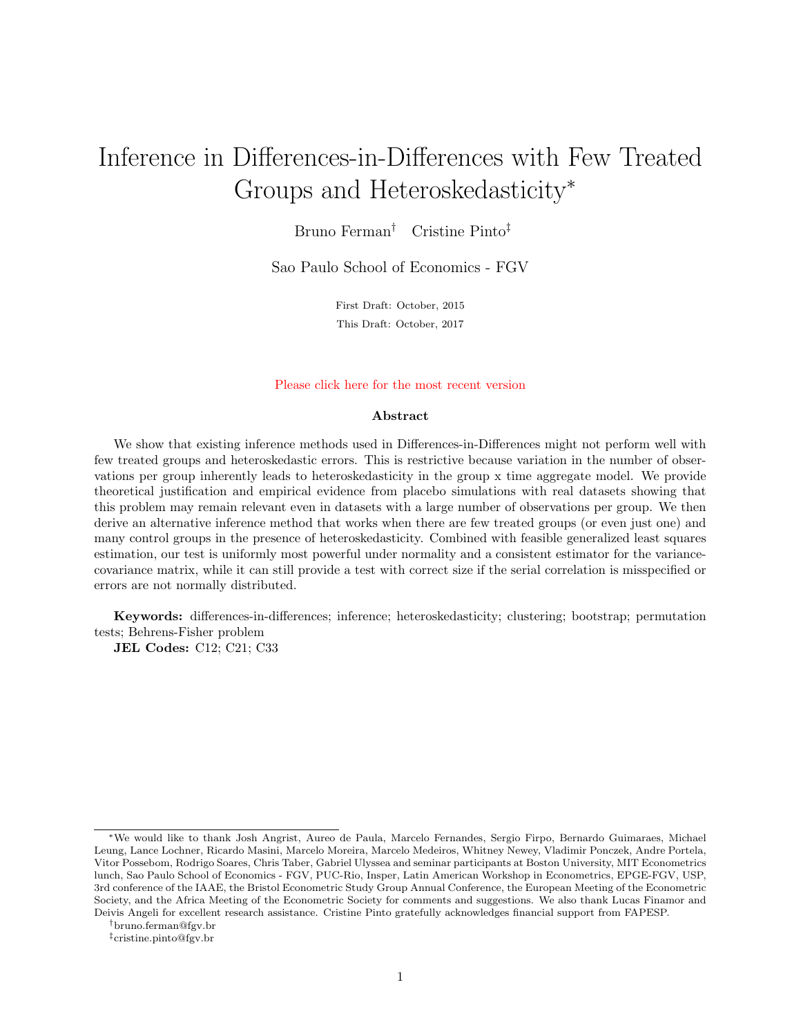# Inference in Differences-in-Differences with Few Treated Groups and Heteroskedasticity<sup>∗</sup>

Bruno Ferman† Cristine Pinto‡

Sao Paulo School of Economics - FGV

First Draft: October, 2015 This Draft: October, 2017

#### [Please click here for the most recent version](https://sites.google.com/site/brunoferman/research)

#### Abstract

We show that existing inference methods used in Differences-in-Differences might not perform well with few treated groups and heteroskedastic errors. This is restrictive because variation in the number of observations per group inherently leads to heteroskedasticity in the group x time aggregate model. We provide theoretical justification and empirical evidence from placebo simulations with real datasets showing that this problem may remain relevant even in datasets with a large number of observations per group. We then derive an alternative inference method that works when there are few treated groups (or even just one) and many control groups in the presence of heteroskedasticity. Combined with feasible generalized least squares estimation, our test is uniformly most powerful under normality and a consistent estimator for the variancecovariance matrix, while it can still provide a test with correct size if the serial correlation is misspecified or errors are not normally distributed.

Keywords: differences-in-differences; inference; heteroskedasticity; clustering; bootstrap; permutation tests; Behrens-Fisher problem

JEL Codes: C12; C21; C33

<sup>∗</sup>We would like to thank Josh Angrist, Aureo de Paula, Marcelo Fernandes, Sergio Firpo, Bernardo Guimaraes, Michael Leung, Lance Lochner, Ricardo Masini, Marcelo Moreira, Marcelo Medeiros, Whitney Newey, Vladimir Ponczek, Andre Portela, Vitor Possebom, Rodrigo Soares, Chris Taber, Gabriel Ulyssea and seminar participants at Boston University, MIT Econometrics lunch, Sao Paulo School of Economics - FGV, PUC-Rio, Insper, Latin American Workshop in Econometrics, EPGE-FGV, USP, 3rd conference of the IAAE, the Bristol Econometric Study Group Annual Conference, the European Meeting of the Econometric Society, and the Africa Meeting of the Econometric Society for comments and suggestions. We also thank Lucas Finamor and Deivis Angeli for excellent research assistance. Cristine Pinto gratefully acknowledges financial support from FAPESP.

<sup>†</sup>bruno.ferman@fgv.br

<sup>‡</sup>cristine.pinto@fgv.br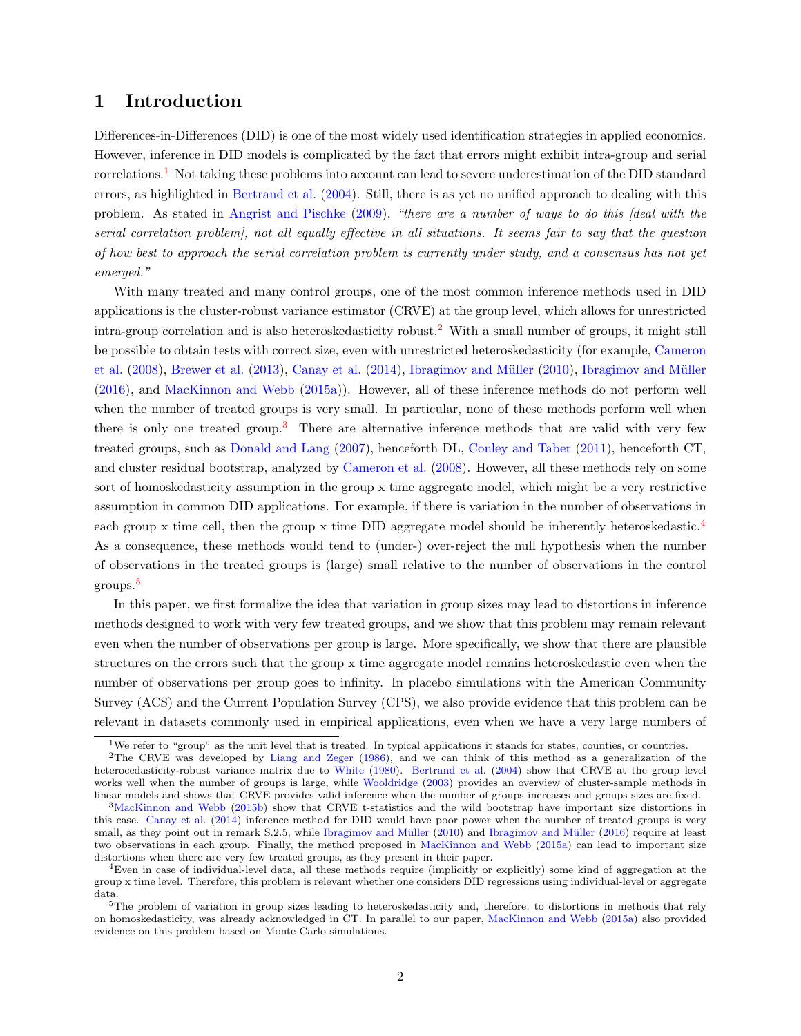# 1 Introduction

Differences-in-Differences (DID) is one of the most widely used identification strategies in applied economics. However, inference in DID models is complicated by the fact that errors might exhibit intra-group and serial correlations.[1](#page-1-0) Not taking these problems into account can lead to severe underestimation of the DID standard errors, as highlighted in [Bertrand et al.](#page-24-0) [\(2004\)](#page-24-0). Still, there is as yet no unified approach to dealing with this problem. As stated in [Angrist and Pischke](#page-24-1) [\(2009\)](#page-24-1), "there are a number of ways to do this [deal with the serial correlation problem], not all equally effective in all situations. It seems fair to say that the question of how best to approach the serial correlation problem is currently under study, and a consensus has not yet emerged."

With many treated and many control groups, one of the most common inference methods used in DID applications is the cluster-robust variance estimator (CRVE) at the group level, which allows for unrestricted intra-group correlation and is also heteroskedasticity robust.[2](#page-1-1) With a small number of groups, it might still be possible to obtain tests with correct size, even with unrestricted heteroskedasticity (for example, [Cameron](#page-24-2) [et al.](#page-24-2) [\(2008\)](#page-24-2), [Brewer et al.](#page-24-3) [\(2013\)](#page-24-3), [Canay et al.](#page-24-4) [\(2014\)](#page-24-4), [Ibragimov and M¨uller](#page-25-0) [\(2010\)](#page-25-0), [Ibragimov and M¨uller](#page-25-1) [\(2016\)](#page-25-1), and [MacKinnon and Webb](#page-25-2) [\(2015a\)](#page-25-2)). However, all of these inference methods do not perform well when the number of treated groups is very small. In particular, none of these methods perform well when there is only one treated group.<sup>[3](#page-1-2)</sup> There are alternative inference methods that are valid with very few treated groups, such as [Donald and Lang](#page-24-5) [\(2007\)](#page-24-5), henceforth DL, [Conley and Taber](#page-24-6) [\(2011\)](#page-24-6), henceforth CT, and cluster residual bootstrap, analyzed by [Cameron et al.](#page-24-2) [\(2008\)](#page-24-2). However, all these methods rely on some sort of homoskedasticity assumption in the group x time aggregate model, which might be a very restrictive assumption in common DID applications. For example, if there is variation in the number of observations in each group x time cell, then the group x time DID aggregate model should be inherently heteroskedastic.<sup>[4](#page-1-3)</sup> As a consequence, these methods would tend to (under-) over-reject the null hypothesis when the number of observations in the treated groups is (large) small relative to the number of observations in the control groups.<sup>[5](#page-1-4)</sup>

In this paper, we first formalize the idea that variation in group sizes may lead to distortions in inference methods designed to work with very few treated groups, and we show that this problem may remain relevant even when the number of observations per group is large. More specifically, we show that there are plausible structures on the errors such that the group x time aggregate model remains heteroskedastic even when the number of observations per group goes to infinity. In placebo simulations with the American Community Survey (ACS) and the Current Population Survey (CPS), we also provide evidence that this problem can be relevant in datasets commonly used in empirical applications, even when we have a very large numbers of

<span id="page-1-1"></span><span id="page-1-0"></span><sup>&</sup>lt;sup>1</sup>We refer to "group" as the unit level that is treated. In typical applications it stands for states, counties, or countries.

<sup>2</sup>The CRVE was developed by [Liang and Zeger](#page-25-3) [\(1986\)](#page-25-3), and we can think of this method as a generalization of the heterocedasticity-robust variance matrix due to [White](#page-26-0) [\(1980\)](#page-26-0). [Bertrand et al.](#page-24-0) [\(2004\)](#page-24-0) show that CRVE at the group level works well when the number of groups is large, while [Wooldridge](#page-26-1) [\(2003\)](#page-26-1) provides an overview of cluster-sample methods in linear models and shows that CRVE provides valid inference when the number of groups increases and groups sizes are fixed.

<span id="page-1-2"></span> $3$ [MacKinnon and Webb](#page-25-4) [\(2015b\)](#page-25-4) show that CRVE t-statistics and the wild bootstrap have important size distortions in this case. [Canay et al.](#page-24-4) [\(2014\)](#page-24-4) inference method for DID would have poor power when the number of treated groups is very small, as they point out in remark S.2.5, while Ibragimov and Müller [\(2010\)](#page-25-0) and Ibragimov and Müller [\(2016\)](#page-25-1) require at least two observations in each group. Finally, the method proposed in [MacKinnon and Webb](#page-25-2) [\(2015a\)](#page-25-2) can lead to important size distortions when there are very few treated groups, as they present in their paper.

<span id="page-1-3"></span><sup>4</sup>Even in case of individual-level data, all these methods require (implicitly or explicitly) some kind of aggregation at the group x time level. Therefore, this problem is relevant whether one considers DID regressions using individual-level or aggregate data.

<span id="page-1-4"></span><sup>&</sup>lt;sup>5</sup>The problem of variation in group sizes leading to heteroskedasticity and, therefore, to distortions in methods that rely on homoskedasticity, was already acknowledged in CT. In parallel to our paper, [MacKinnon and Webb](#page-25-2) [\(2015a\)](#page-25-2) also provided evidence on this problem based on Monte Carlo simulations.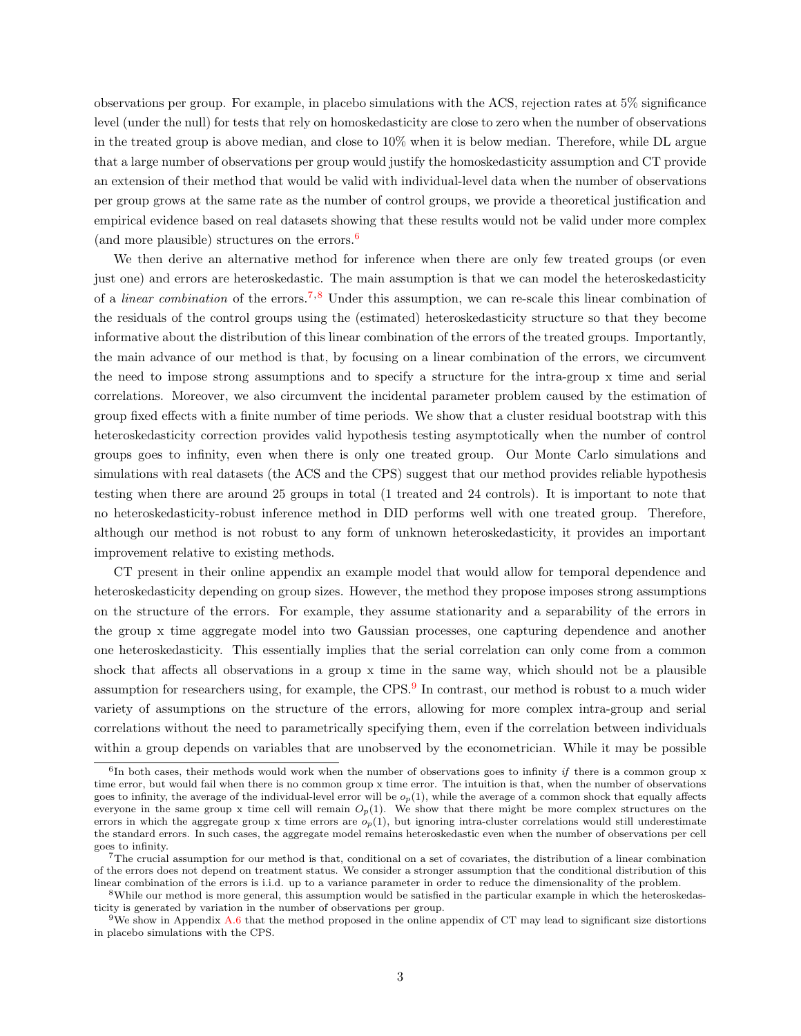observations per group. For example, in placebo simulations with the ACS, rejection rates at 5% significance level (under the null) for tests that rely on homoskedasticity are close to zero when the number of observations in the treated group is above median, and close to 10% when it is below median. Therefore, while DL argue that a large number of observations per group would justify the homoskedasticity assumption and CT provide an extension of their method that would be valid with individual-level data when the number of observations per group grows at the same rate as the number of control groups, we provide a theoretical justification and empirical evidence based on real datasets showing that these results would not be valid under more complex (and more plausible) structures on the errors.[6](#page-2-0)

We then derive an alternative method for inference when there are only few treated groups (or even just one) and errors are heteroskedastic. The main assumption is that we can model the heteroskedasticity of a *linear combination* of the errors.<sup>[7](#page-2-1),[8](#page-2-2)</sup> Under this assumption, we can re-scale this linear combination of the residuals of the control groups using the (estimated) heteroskedasticity structure so that they become informative about the distribution of this linear combination of the errors of the treated groups. Importantly, the main advance of our method is that, by focusing on a linear combination of the errors, we circumvent the need to impose strong assumptions and to specify a structure for the intra-group x time and serial correlations. Moreover, we also circumvent the incidental parameter problem caused by the estimation of group fixed effects with a finite number of time periods. We show that a cluster residual bootstrap with this heteroskedasticity correction provides valid hypothesis testing asymptotically when the number of control groups goes to infinity, even when there is only one treated group. Our Monte Carlo simulations and simulations with real datasets (the ACS and the CPS) suggest that our method provides reliable hypothesis testing when there are around 25 groups in total (1 treated and 24 controls). It is important to note that no heteroskedasticity-robust inference method in DID performs well with one treated group. Therefore, although our method is not robust to any form of unknown heteroskedasticity, it provides an important improvement relative to existing methods.

CT present in their online appendix an example model that would allow for temporal dependence and heteroskedasticity depending on group sizes. However, the method they propose imposes strong assumptions on the structure of the errors. For example, they assume stationarity and a separability of the errors in the group x time aggregate model into two Gaussian processes, one capturing dependence and another one heteroskedasticity. This essentially implies that the serial correlation can only come from a common shock that affects all observations in a group x time in the same way, which should not be a plausible assumption for researchers using, for example, the CPS.<sup>[9](#page-2-3)</sup> In contrast, our method is robust to a much wider variety of assumptions on the structure of the errors, allowing for more complex intra-group and serial correlations without the need to parametrically specifying them, even if the correlation between individuals within a group depends on variables that are unobserved by the econometrician. While it may be possible

<span id="page-2-0"></span><sup>&</sup>lt;sup>6</sup>In both cases, their methods would work when the number of observations goes to infinity if there is a common group x time error, but would fail when there is no common group x time error. The intuition is that, when the number of observations goes to infinity, the average of the individual-level error will be  $o_p(1)$ , while the average of a common shock that equally affects everyone in the same group x time cell will remain  $O_p(1)$ . We show that there might be more complex structures on the errors in which the aggregate group x time errors are  $o_p(1)$ , but ignoring intra-cluster correlations would still underestimate the standard errors. In such cases, the aggregate model remains heteroskedastic even when the number of observations per cell goes to infinity.

<span id="page-2-1"></span><sup>7</sup>The crucial assumption for our method is that, conditional on a set of covariates, the distribution of a linear combination of the errors does not depend on treatment status. We consider a stronger assumption that the conditional distribution of this linear combination of the errors is i.i.d. up to a variance parameter in order to reduce the dimensionality of the problem.

<span id="page-2-2"></span><sup>8</sup>While our method is more general, this assumption would be satisfied in the particular example in which the heteroskedasticity is generated by variation in the number of observations per group.

<span id="page-2-3"></span> $9$ We show in Appendix [A.6](#page-46-0) that the method proposed in the online appendix of CT may lead to significant size distortions in placebo simulations with the CPS.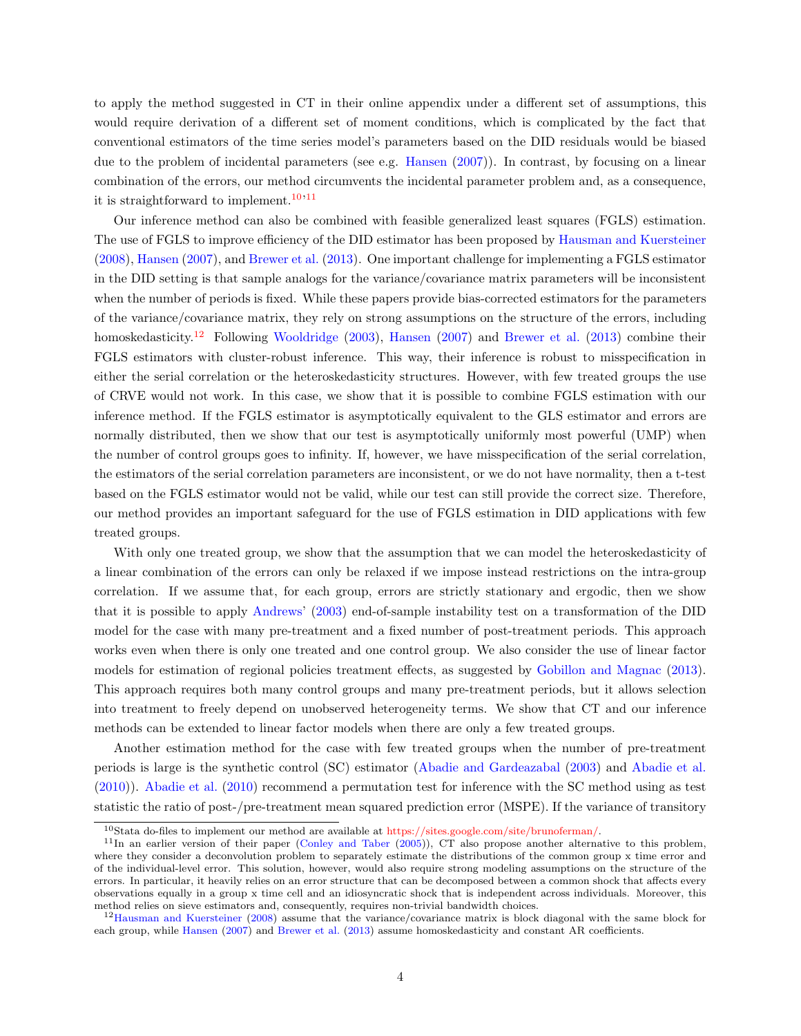to apply the method suggested in CT in their online appendix under a different set of assumptions, this would require derivation of a different set of moment conditions, which is complicated by the fact that conventional estimators of the time series model's parameters based on the DID residuals would be biased due to the problem of incidental parameters (see e.g. [Hansen](#page-25-5)  $(2007)$ ). In contrast, by focusing on a linear combination of the errors, our method circumvents the incidental parameter problem and, as a consequence, it is straightforward to implement.<sup>[10](#page-3-0),[11](#page-3-1)</sup>

Our inference method can also be combined with feasible generalized least squares (FGLS) estimation. The use of FGLS to improve efficiency of the DID estimator has been proposed by [Hausman and Kuersteiner](#page-25-6) [\(2008\)](#page-25-6), [Hansen](#page-25-5) [\(2007\)](#page-25-5), and [Brewer et al.](#page-24-3) [\(2013\)](#page-24-3). One important challenge for implementing a FGLS estimator in the DID setting is that sample analogs for the variance/covariance matrix parameters will be inconsistent when the number of periods is fixed. While these papers provide bias-corrected estimators for the parameters of the variance/covariance matrix, they rely on strong assumptions on the structure of the errors, including homoskedasticity.<sup>[12](#page-3-2)</sup> Following [Wooldridge](#page-26-1) [\(2003\)](#page-26-1), [Hansen](#page-25-5) [\(2007\)](#page-25-5) and [Brewer et al.](#page-24-3) [\(2013\)](#page-24-3) combine their FGLS estimators with cluster-robust inference. This way, their inference is robust to misspecification in either the serial correlation or the heteroskedasticity structures. However, with few treated groups the use of CRVE would not work. In this case, we show that it is possible to combine FGLS estimation with our inference method. If the FGLS estimator is asymptotically equivalent to the GLS estimator and errors are normally distributed, then we show that our test is asymptotically uniformly most powerful (UMP) when the number of control groups goes to infinity. If, however, we have misspecification of the serial correlation, the estimators of the serial correlation parameters are inconsistent, or we do not have normality, then a t-test based on the FGLS estimator would not be valid, while our test can still provide the correct size. Therefore, our method provides an important safeguard for the use of FGLS estimation in DID applications with few treated groups.

With only one treated group, we show that the assumption that we can model the heteroskedasticity of a linear combination of the errors can only be relaxed if we impose instead restrictions on the intra-group correlation. If we assume that, for each group, errors are strictly stationary and ergodic, then we show that it is possible to apply [Andrews' \(2003\)](#page-24-7) end-of-sample instability test on a transformation of the DID model for the case with many pre-treatment and a fixed number of post-treatment periods. This approach works even when there is only one treated and one control group. We also consider the use of linear factor models for estimation of regional policies treatment effects, as suggested by [Gobillon and Magnac](#page-25-7) [\(2013\)](#page-25-7). This approach requires both many control groups and many pre-treatment periods, but it allows selection into treatment to freely depend on unobserved heterogeneity terms. We show that CT and our inference methods can be extended to linear factor models when there are only a few treated groups.

Another estimation method for the case with few treated groups when the number of pre-treatment periods is large is the synthetic control (SC) estimator [\(Abadie and Gardeazabal](#page-24-8) [\(2003\)](#page-24-8) and [Abadie et al.](#page-24-9) [\(2010\)](#page-24-9)). [Abadie et al.](#page-24-9) [\(2010\)](#page-24-9) recommend a permutation test for inference with the SC method using as test statistic the ratio of post-/pre-treatment mean squared prediction error (MSPE). If the variance of transitory

<span id="page-3-1"></span><span id="page-3-0"></span><sup>10</sup>Stata do-files to implement our method are available at [https://sites.google.com/site/brunoferman/.](https://sites.google.com/site/brunoferman/)

<sup>&</sup>lt;sup>11</sup>In an earlier version of their paper [\(Conley and Taber](#page-24-10) [\(2005\)](#page-24-10)), CT also propose another alternative to this problem, where they consider a deconvolution problem to separately estimate the distributions of the common group x time error and of the individual-level error. This solution, however, would also require strong modeling assumptions on the structure of the errors. In particular, it heavily relies on an error structure that can be decomposed between a common shock that affects every observations equally in a group x time cell and an idiosyncratic shock that is independent across individuals. Moreover, this method relies on sieve estimators and, consequently, requires non-trivial bandwidth choices.

<span id="page-3-2"></span><sup>12</sup>[Hausman and Kuersteiner](#page-25-6) [\(2008\)](#page-25-6) assume that the variance/covariance matrix is block diagonal with the same block for each group, while [Hansen](#page-25-5) [\(2007\)](#page-25-5) and [Brewer et al.](#page-24-3) [\(2013\)](#page-24-3) assume homoskedasticity and constant AR coefficients.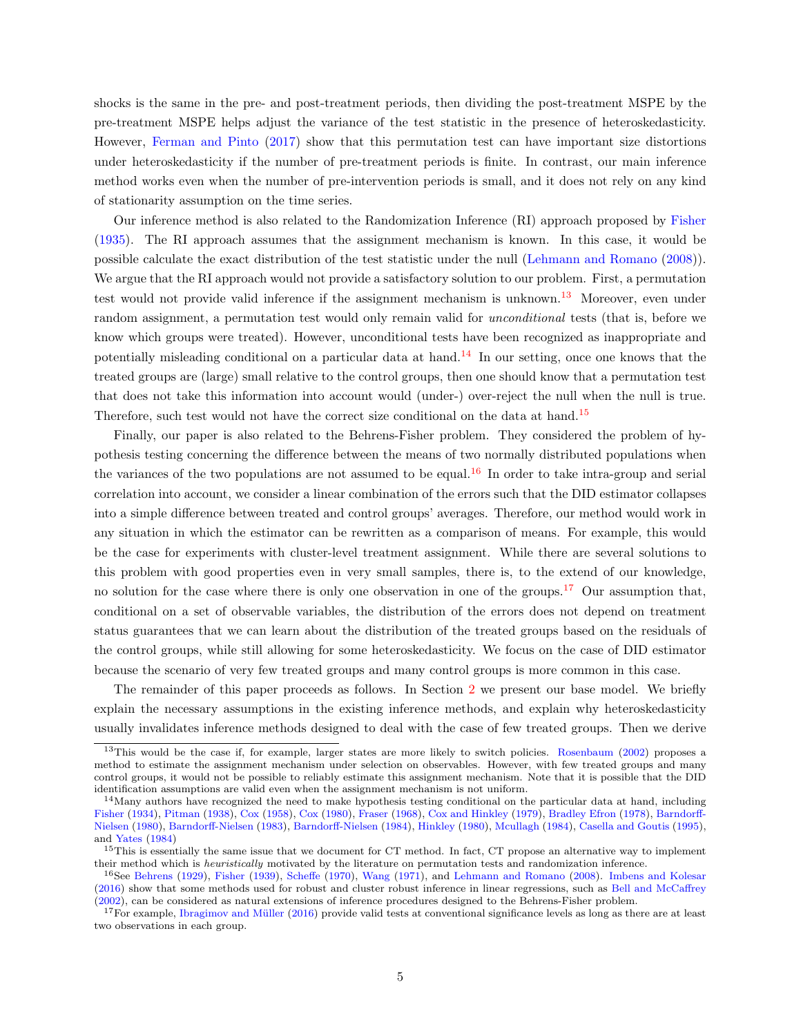shocks is the same in the pre- and post-treatment periods, then dividing the post-treatment MSPE by the pre-treatment MSPE helps adjust the variance of the test statistic in the presence of heteroskedasticity. However, [Ferman and Pinto](#page-25-8) [\(2017\)](#page-25-8) show that this permutation test can have important size distortions under heteroskedasticity if the number of pre-treatment periods is finite. In contrast, our main inference method works even when the number of pre-intervention periods is small, and it does not rely on any kind of stationarity assumption on the time series.

Our inference method is also related to the Randomization Inference (RI) approach proposed by [Fisher](#page-25-9) [\(1935\)](#page-25-9). The RI approach assumes that the assignment mechanism is known. In this case, it would be possible calculate the exact distribution of the test statistic under the null [\(Lehmann and Romano](#page-25-10) [\(2008\)](#page-25-10)). We argue that the RI approach would not provide a satisfactory solution to our problem. First, a permutation test would not provide valid inference if the assignment mechanism is unknown.[13](#page-4-0) Moreover, even under random assignment, a permutation test would only remain valid for *unconditional* tests (that is, before we know which groups were treated). However, unconditional tests have been recognized as inappropriate and potentially misleading conditional on a particular data at hand.<sup>[14](#page-4-1)</sup> In our setting, once one knows that the treated groups are (large) small relative to the control groups, then one should know that a permutation test that does not take this information into account would (under-) over-reject the null when the null is true. Therefore, such test would not have the correct size conditional on the data at hand.[15](#page-4-2)

Finally, our paper is also related to the Behrens-Fisher problem. They considered the problem of hypothesis testing concerning the difference between the means of two normally distributed populations when the variances of the two populations are not assumed to be equal.<sup>[16](#page-4-3)</sup> In order to take intra-group and serial correlation into account, we consider a linear combination of the errors such that the DID estimator collapses into a simple difference between treated and control groups' averages. Therefore, our method would work in any situation in which the estimator can be rewritten as a comparison of means. For example, this would be the case for experiments with cluster-level treatment assignment. While there are several solutions to this problem with good properties even in very small samples, there is, to the extend of our knowledge, no solution for the case where there is only one observation in one of the groups.[17](#page-4-4) Our assumption that, conditional on a set of observable variables, the distribution of the errors does not depend on treatment status guarantees that we can learn about the distribution of the treated groups based on the residuals of the control groups, while still allowing for some heteroskedasticity. We focus on the case of DID estimator because the scenario of very few treated groups and many control groups is more common in this case.

The remainder of this paper proceeds as follows. In Section [2](#page-5-0) we present our base model. We briefly explain the necessary assumptions in the existing inference methods, and explain why heteroskedasticity usually invalidates inference methods designed to deal with the case of few treated groups. Then we derive

<span id="page-4-0"></span> $13$ This would be the case if, for example, larger states are more likely to switch policies. [Rosenbaum](#page-25-11) [\(2002\)](#page-25-11) proposes a method to estimate the assignment mechanism under selection on observables. However, with few treated groups and many control groups, it would not be possible to reliably estimate this assignment mechanism. Note that it is possible that the DID identification assumptions are valid even when the assignment mechanism is not uniform.

<span id="page-4-1"></span> $14$ Many authors have recognized the need to make hypothesis testing conditional on the particular data at hand, including [Fisher](#page-25-12) [\(1934\)](#page-25-12), [Pitman](#page-25-13) [\(1938\)](#page-25-13), [Cox](#page-24-11) [\(1958\)](#page-24-11), [Cox](#page-24-12) [\(1980\)](#page-24-12), [Fraser](#page-25-14) [\(1968\)](#page-25-14), [Cox and Hinkley](#page-24-13) [\(1979\)](#page-24-13), [Bradley Efron](#page-24-14) [\(1978\)](#page-24-14), [Barndorff-](#page-24-15)[Nielsen](#page-24-15) [\(1980\)](#page-24-15), [Barndorff-Nielsen](#page-24-16) [\(1983\)](#page-24-16), [Barndorff-Nielsen](#page-24-17) [\(1984\)](#page-24-17), [Hinkley](#page-25-15) [\(1980\)](#page-25-15), [Mcullagh](#page-25-16) [\(1984\)](#page-25-16), [Casella and Goutis](#page-24-18) [\(1995\)](#page-24-18), and [Yates](#page-26-2) [\(1984\)](#page-26-2)

<span id="page-4-2"></span> $15$ This is essentially the same issue that we document for CT method. In fact, CT propose an alternative way to implement their method which is *heuristically* motivated by the literature on permutation tests and randomization inference.

<span id="page-4-3"></span><sup>16</sup>See [Behrens](#page-24-19) [\(1929\)](#page-24-19), [Fisher](#page-25-17) [\(1939\)](#page-25-17), [Scheffe](#page-25-18) [\(1970\)](#page-25-18), [Wang](#page-26-3) [\(1971\)](#page-26-3), and [Lehmann and Romano](#page-25-10) [\(2008\)](#page-25-10). [Imbens and Kolesar](#page-25-19) [\(2016\)](#page-25-19) show that some methods used for robust and cluster robust inference in linear regressions, such as [Bell and McCaffrey](#page-24-20) [\(2002\)](#page-24-20), can be considered as natural extensions of inference procedures designed to the Behrens-Fisher problem.

<span id="page-4-4"></span><sup>&</sup>lt;sup>17</sup>For example, Ibragimov and Müller [\(2016\)](#page-25-1) provide valid tests at conventional significance levels as long as there are at least two observations in each group.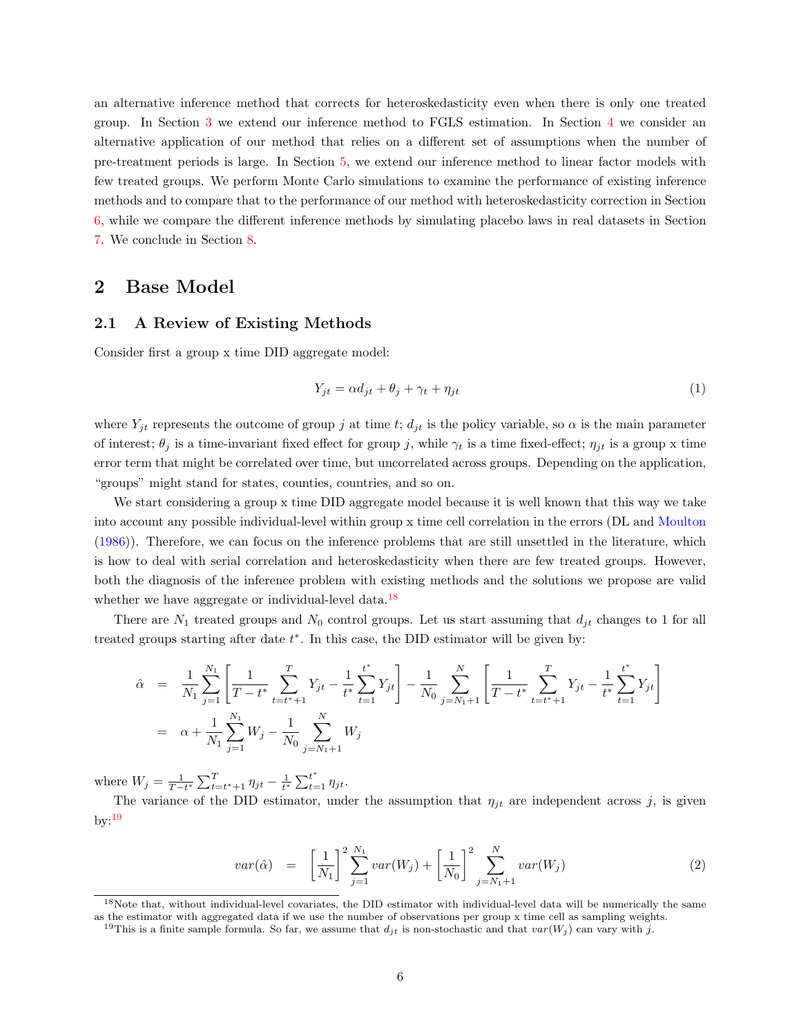an alternative inference method that corrects for heteroskedasticity even when there is only one treated group. In Section [3](#page-13-0) we extend our inference method to FGLS estimation. In Section [4](#page-14-0) we consider an alternative application of our method that relies on a different set of assumptions when the number of pre-treatment periods is large. In Section [5,](#page-15-0) we extend our inference method to linear factor models with few treated groups. We perform Monte Carlo simulations to examine the performance of existing inference methods and to compare that to the performance of our method with heteroskedasticity correction in Section [6,](#page-17-0) while we compare the different inference methods by simulating placebo laws in real datasets in Section [7.](#page-20-0) We conclude in Section [8.](#page-23-0)

# <span id="page-5-0"></span>2 Base Model

#### <span id="page-5-4"></span>2.1 A Review of Existing Methods

Consider first a group x time DID aggregate model:

<span id="page-5-3"></span>
$$
Y_{jt} = \alpha d_{jt} + \theta_j + \gamma_t + \eta_{jt} \tag{1}
$$

where  $Y_{jt}$  represents the outcome of group j at time t;  $d_{jt}$  is the policy variable, so  $\alpha$  is the main parameter of interest;  $\theta_j$  is a time-invariant fixed effect for group j, while  $\gamma_t$  is a time fixed-effect;  $\eta_{jt}$  is a group x time error term that might be correlated over time, but uncorrelated across groups. Depending on the application, "groups" might stand for states, counties, countries, and so on.

We start considering a group x time DID aggregate model because it is well known that this way we take into account any possible individual-level within group x time cell correlation in the errors (DL and [Moulton](#page-25-20) [\(1986\)](#page-25-20)). Therefore, we can focus on the inference problems that are still unsettled in the literature, which is how to deal with serial correlation and heteroskedasticity when there are few treated groups. However, both the diagnosis of the inference problem with existing methods and the solutions we propose are valid whether we have aggregate or individual-level data.<sup>[18](#page-5-1)</sup>

There are  $N_1$  treated groups and  $N_0$  control groups. Let us start assuming that  $d_{it}$  changes to 1 for all treated groups starting after date  $t^*$ . In this case, the DID estimator will be given by:

$$
\begin{aligned}\n\hat{\alpha} &= \frac{1}{N_1} \sum_{j=1}^{N_1} \left[ \frac{1}{T - t^*} \sum_{t=t^*+1}^T Y_{jt} - \frac{1}{t^*} \sum_{t=1}^{t^*} Y_{jt} \right] - \frac{1}{N_0} \sum_{j=N_1+1}^N \left[ \frac{1}{T - t^*} \sum_{t=t^*+1}^T Y_{jt} - \frac{1}{t^*} \sum_{t=1}^{t^*} Y_{jt} \right] \\
&= \alpha + \frac{1}{N_1} \sum_{j=1}^{N_1} W_j - \frac{1}{N_0} \sum_{j=N_1+1}^N W_j\n\end{aligned}
$$

where  $W_j = \frac{1}{T-t^*} \sum_{t=t^*+1}^T \eta_{jt} - \frac{1}{t^*} \sum_{t=1}^{t^*} \eta_{jt}.$ 

The variance of the DID estimator, under the assumption that  $\eta_{jt}$  are independent across j, is given  $by: <sup>19</sup>$  $by: <sup>19</sup>$  $by: <sup>19</sup>$ 

$$
var(\hat{\alpha}) = \left[\frac{1}{N_1}\right]^2 \sum_{j=1}^{N_1} var(W_j) + \left[\frac{1}{N_0}\right]^2 \sum_{j=N_1+1}^{N} var(W_j)
$$
 (2)

<span id="page-5-1"></span><sup>&</sup>lt;sup>18</sup>Note that, without individual-level covariates, the DID estimator with individual-level data will be numerically the same as the estimator with aggregated data if we use the number of observations per group x time cell as sampling weights.

<span id="page-5-2"></span><sup>&</sup>lt;sup>19</sup>This is a finite sample formula. So far, we assume that  $d_{jt}$  is non-stochastic and that  $var(W_j)$  can vary with j.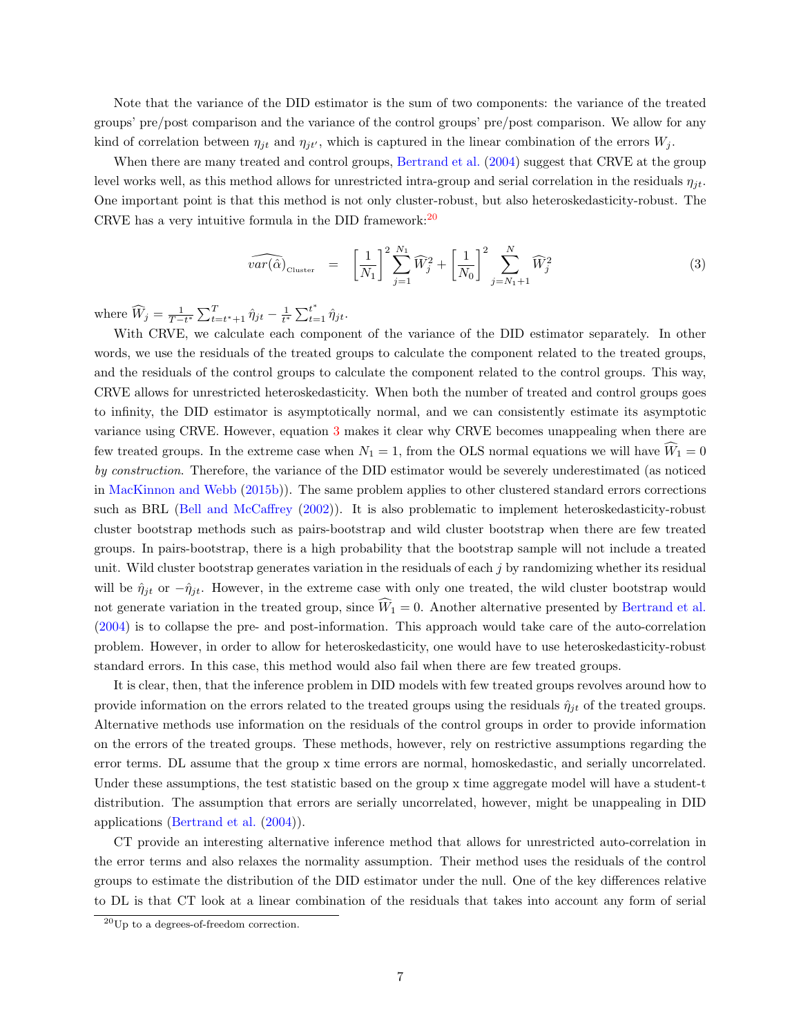Note that the variance of the DID estimator is the sum of two components: the variance of the treated groups' pre/post comparison and the variance of the control groups' pre/post comparison. We allow for any kind of correlation between  $\eta_{jt}$  and  $\eta_{jt'}$ , which is captured in the linear combination of the errors  $W_j$ .

When there are many treated and control groups, [Bertrand et al.](#page-24-0) [\(2004\)](#page-24-0) suggest that CRVE at the group level works well, as this method allows for unrestricted intra-group and serial correlation in the residuals  $\eta_{it}$ . One important point is that this method is not only cluster-robust, but also heteroskedasticity-robust. The CRVE has a very intuitive formula in the DID framework:  $20$ 

<span id="page-6-1"></span>
$$
\widehat{var(\hat{\alpha})}_{\text{Cluster}} = \left[\frac{1}{N_1}\right]^2 \sum_{j=1}^{N_1} \widehat{W}_j^2 + \left[\frac{1}{N_0}\right]^2 \sum_{j=N_1+1}^{N} \widehat{W}_j^2 \tag{3}
$$

where  $\widehat{W}_j = \frac{1}{T-t^*} \sum_{t=t^*+1}^T \hat{\eta}_{jt} - \frac{1}{t^*} \sum_{t=1}^{t^*} \hat{\eta}_{jt}.$ 

With CRVE, we calculate each component of the variance of the DID estimator separately. In other words, we use the residuals of the treated groups to calculate the component related to the treated groups, and the residuals of the control groups to calculate the component related to the control groups. This way, CRVE allows for unrestricted heteroskedasticity. When both the number of treated and control groups goes to infinity, the DID estimator is asymptotically normal, and we can consistently estimate its asymptotic variance using CRVE. However, equation [3](#page-6-1) makes it clear why CRVE becomes unappealing when there are few treated groups. In the extreme case when  $N_1 = 1$ , from the OLS normal equations we will have  $\hat{W}_1 = 0$ by construction. Therefore, the variance of the DID estimator would be severely underestimated (as noticed in [MacKinnon and Webb](#page-25-4) [\(2015b\)](#page-25-4)). The same problem applies to other clustered standard errors corrections such as BRL [\(Bell and McCaffrey](#page-24-20) [\(2002\)](#page-24-20)). It is also problematic to implement heteroskedasticity-robust cluster bootstrap methods such as pairs-bootstrap and wild cluster bootstrap when there are few treated groups. In pairs-bootstrap, there is a high probability that the bootstrap sample will not include a treated unit. Wild cluster bootstrap generates variation in the residuals of each j by randomizing whether its residual will be  $\hat{\eta}_{jt}$  or  $-\hat{\eta}_{jt}$ . However, in the extreme case with only one treated, the wild cluster bootstrap would not generate variation in the treated group, since  $\hat{W}_1 = 0$ . Another alternative presented by [Bertrand et al.](#page-24-0) [\(2004\)](#page-24-0) is to collapse the pre- and post-information. This approach would take care of the auto-correlation problem. However, in order to allow for heteroskedasticity, one would have to use heteroskedasticity-robust standard errors. In this case, this method would also fail when there are few treated groups.

It is clear, then, that the inference problem in DID models with few treated groups revolves around how to provide information on the errors related to the treated groups using the residuals  $\hat{\eta}_{jt}$  of the treated groups. Alternative methods use information on the residuals of the control groups in order to provide information on the errors of the treated groups. These methods, however, rely on restrictive assumptions regarding the error terms. DL assume that the group x time errors are normal, homoskedastic, and serially uncorrelated. Under these assumptions, the test statistic based on the group x time aggregate model will have a student-t distribution. The assumption that errors are serially uncorrelated, however, might be unappealing in DID applications [\(Bertrand et al.](#page-24-0) [\(2004\)](#page-24-0)).

CT provide an interesting alternative inference method that allows for unrestricted auto-correlation in the error terms and also relaxes the normality assumption. Their method uses the residuals of the control groups to estimate the distribution of the DID estimator under the null. One of the key differences relative to DL is that CT look at a linear combination of the residuals that takes into account any form of serial

<span id="page-6-0"></span><sup>20</sup>Up to a degrees-of-freedom correction.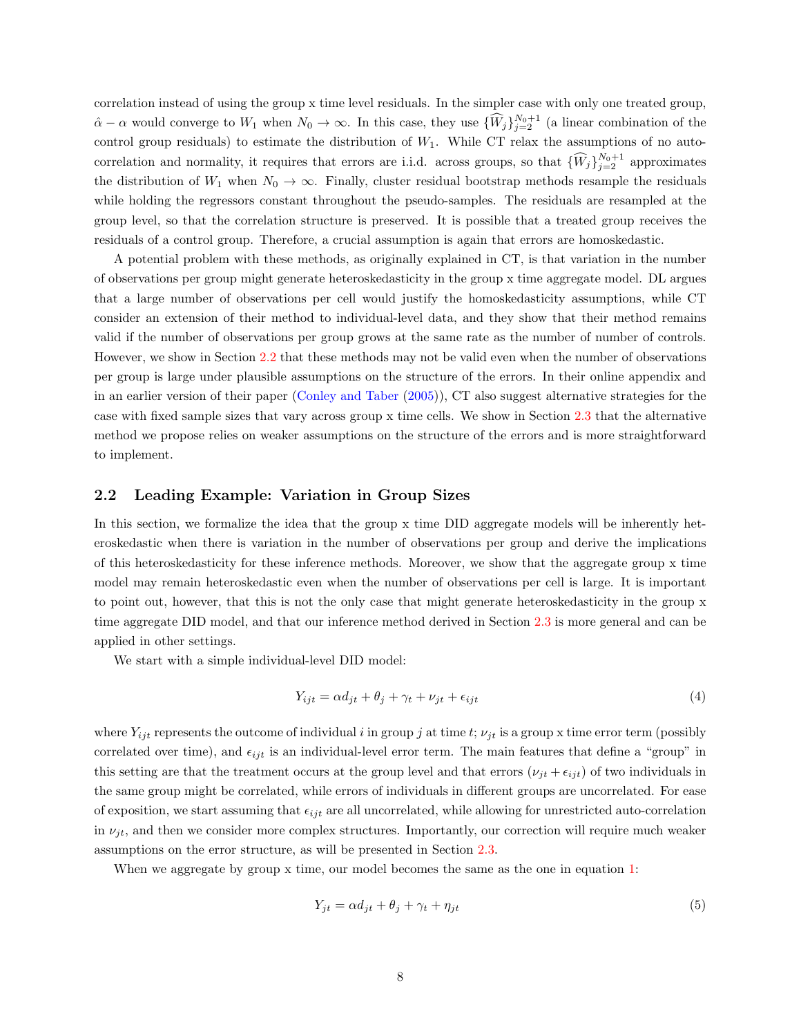correlation instead of using the group x time level residuals. In the simpler case with only one treated group,  $\hat{\alpha} - \alpha$  would converge to  $W_1$  when  $N_0 \to \infty$ . In this case, they use  $\{\widehat{W}_j\}_{j=2}^{N_0+1}$  (a linear combination of the control group residuals) to estimate the distribution of  $W_1$ . While CT relax the assumptions of no autocorrelation and normality, it requires that errors are i.i.d. across groups, so that  $\{\widehat{W}_j\}_{j=2}^{N_0+1}$  approximates the distribution of  $W_1$  when  $N_0 \to \infty$ . Finally, cluster residual bootstrap methods resample the residuals while holding the regressors constant throughout the pseudo-samples. The residuals are resampled at the group level, so that the correlation structure is preserved. It is possible that a treated group receives the residuals of a control group. Therefore, a crucial assumption is again that errors are homoskedastic.

A potential problem with these methods, as originally explained in CT, is that variation in the number of observations per group might generate heteroskedasticity in the group x time aggregate model. DL argues that a large number of observations per cell would justify the homoskedasticity assumptions, while CT consider an extension of their method to individual-level data, and they show that their method remains valid if the number of observations per group grows at the same rate as the number of number of controls. However, we show in Section [2.2](#page-7-0) that these methods may not be valid even when the number of observations per group is large under plausible assumptions on the structure of the errors. In their online appendix and in an earlier version of their paper [\(Conley and Taber](#page-24-10) [\(2005\)](#page-24-10)), CT also suggest alternative strategies for the case with fixed sample sizes that vary across group x time cells. We show in Section [2.3](#page-9-0) that the alternative method we propose relies on weaker assumptions on the structure of the errors and is more straightforward to implement.

### <span id="page-7-0"></span>2.2 Leading Example: Variation in Group Sizes

In this section, we formalize the idea that the group x time DID aggregate models will be inherently heteroskedastic when there is variation in the number of observations per group and derive the implications of this heteroskedasticity for these inference methods. Moreover, we show that the aggregate group x time model may remain heteroskedastic even when the number of observations per cell is large. It is important to point out, however, that this is not the only case that might generate heteroskedasticity in the group x time aggregate DID model, and that our inference method derived in Section [2.3](#page-9-0) is more general and can be applied in other settings.

We start with a simple individual-level DID model:

<span id="page-7-1"></span>
$$
Y_{ijt} = \alpha d_{jt} + \theta_j + \gamma_t + \nu_{jt} + \epsilon_{ijt}
$$
\n<sup>(4)</sup>

where  $Y_{ijt}$  represents the outcome of individual i in group j at time t;  $\nu_{jt}$  is a group x time error term (possibly correlated over time), and  $\epsilon_{ijt}$  is an individual-level error term. The main features that define a "group" in this setting are that the treatment occurs at the group level and that errors  $(\nu_{jt} + \epsilon_{ijt})$  of two individuals in the same group might be correlated, while errors of individuals in different groups are uncorrelated. For ease of exposition, we start assuming that  $\epsilon_{ijt}$  are all uncorrelated, while allowing for unrestricted auto-correlation in  $\nu_{it}$ , and then we consider more complex structures. Importantly, our correction will require much weaker assumptions on the error structure, as will be presented in Section [2.3.](#page-9-0)

When we aggregate by group x time, our model becomes the same as the one in equation [1:](#page-5-3)

$$
Y_{jt} = \alpha d_{jt} + \theta_j + \gamma_t + \eta_{jt} \tag{5}
$$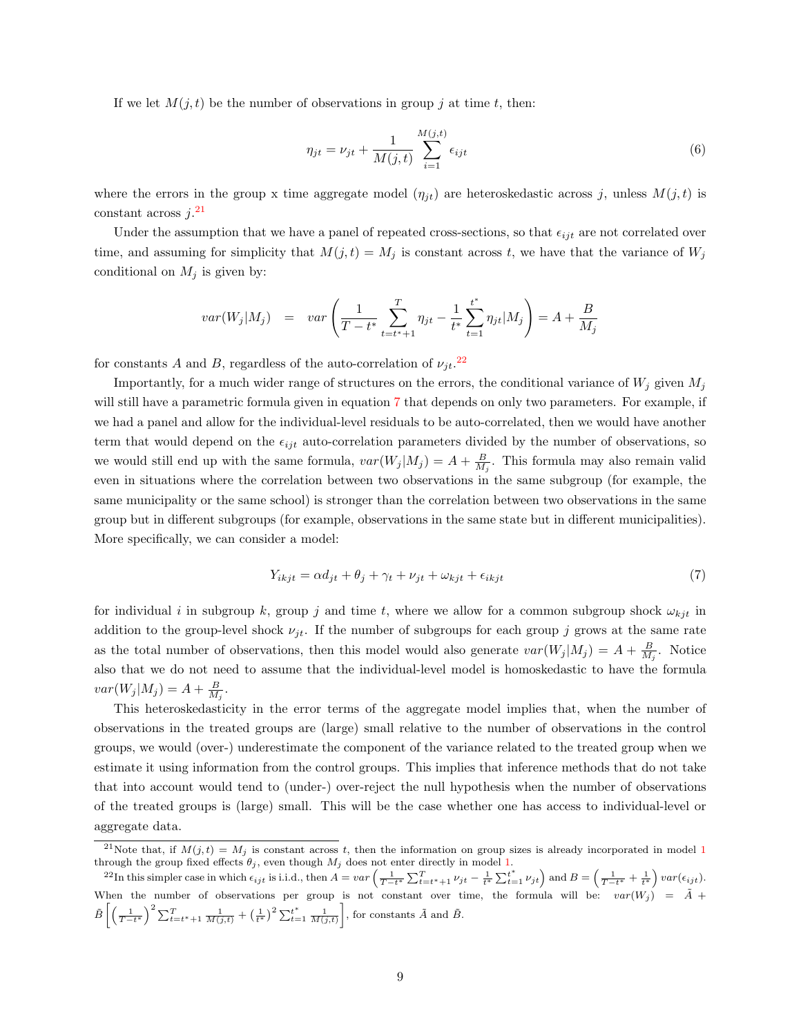If we let  $M(i, t)$  be the number of observations in group j at time t, then:

$$
\eta_{jt} = \nu_{jt} + \frac{1}{M(j,t)} \sum_{i=1}^{M(j,t)} \epsilon_{ijt}
$$
\n(6)

where the errors in the group x time aggregate model  $(\eta_{jt})$  are heteroskedastic across j, unless  $M(j, t)$  is constant across  $j$ <sup>[21](#page-8-0)</sup>

Under the assumption that we have a panel of repeated cross-sections, so that  $\epsilon_{ijt}$  are not correlated over time, and assuming for simplicity that  $M(j, t) = M_j$  is constant across t, we have that the variance of  $W_j$ conditional on  $M_j$  is given by:

<span id="page-8-2"></span>
$$
var(W_j|M_j) = var\left(\frac{1}{T-t^*}\sum_{t=t^*+1}^T \eta_{jt} - \frac{1}{t^*}\sum_{t=1}^{t^*} \eta_{jt}|M_j\right) = A + \frac{B}{M_j}
$$

for constants A and B, regardless of the auto-correlation of  $\nu_{jt}$ <sup>[22](#page-8-1)</sup>

Importantly, for a much wider range of structures on the errors, the conditional variance of  $W_j$  given  $M_j$ will still have a parametric formula given in equation [7](#page-8-2) that depends on only two parameters. For example, if we had a panel and allow for the individual-level residuals to be auto-correlated, then we would have another term that would depend on the  $\epsilon_{ijt}$  auto-correlation parameters divided by the number of observations, so we would still end up with the same formula,  $var(W_j|M_j) = A + \frac{B}{M_j}$ . This formula may also remain valid even in situations where the correlation between two observations in the same subgroup (for example, the same municipality or the same school) is stronger than the correlation between two observations in the same group but in different subgroups (for example, observations in the same state but in different municipalities). More specifically, we can consider a model:

$$
Y_{ikjt} = \alpha d_{jt} + \theta_j + \gamma_t + \nu_{jt} + \omega_{kjt} + \epsilon_{ikjt}
$$
\n<sup>(7)</sup>

for individual i in subgroup k, group j and time t, where we allow for a common subgroup shock  $\omega_{kji}$  in addition to the group-level shock  $\nu_{jt}$ . If the number of subgroups for each group j grows at the same rate as the total number of observations, then this model would also generate  $var(W_j|M_j) = A + \frac{B}{M_j}$ . Notice also that we do not need to assume that the individual-level model is homoskedastic to have the formula  $var(W_j|M_j) = A + \frac{B}{M_j}.$ 

This heteroskedasticity in the error terms of the aggregate model implies that, when the number of observations in the treated groups are (large) small relative to the number of observations in the control groups, we would (over-) underestimate the component of the variance related to the treated group when we estimate it using information from the control groups. This implies that inference methods that do not take that into account would tend to (under-) over-reject the null hypothesis when the number of observations of the treated groups is (large) small. This will be the case whether one has access to individual-level or aggregate data.

<span id="page-8-0"></span><sup>&</sup>lt;sup>2[1](#page-5-3)</sup>Note that, if  $M(j,t) = M_j$  is constant across t, then the information on group sizes is already incorporated in model 1 through the group fixed effects  $\theta_j$ , even though  $M_j$  does not enter directly in model [1.](#page-5-3)

<span id="page-8-1"></span><sup>&</sup>lt;sup>22</sup>In this simpler case in which  $\epsilon_{ijt}$  is i.i.d., then  $A = var\left(\frac{1}{T-t^*}\sum_{t=t^*+1}^T \nu_{jt} - \frac{1}{t^*}\sum_{t=1}^t \nu_{jt}\right)$  and  $B = \left(\frac{1}{T-t^*} + \frac{1}{t^*}\right) var(\epsilon_{ijt})$ . When the number of observations per group is not constant over time, the formula will be:  $var(W_j) = \tilde{A}$  +  $\tilde{B}\left[\left(\frac{1}{T-t^*}\right)^2 \sum_{t=t^*+1}^T \frac{1}{M(j,t)} + \left(\frac{1}{t^*}\right)^2 \sum_{t=1}^{t^*} \frac{1}{M(j,t)}\right]$ , for constants  $\tilde{A}$  and  $\tilde{B}$ .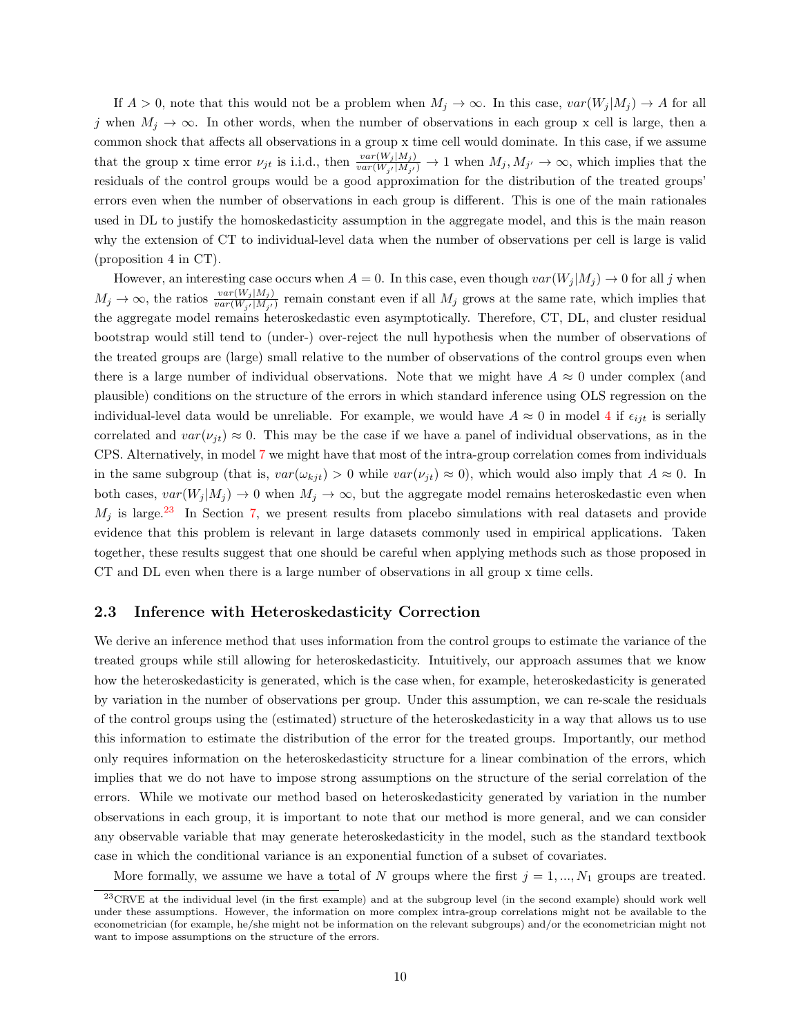If  $A > 0$ , note that this would not be a problem when  $M_j \to \infty$ . In this case,  $var(W_j | M_j) \to A$  for all j when  $M_j \to \infty$ . In other words, when the number of observations in each group x cell is large, then a common shock that affects all observations in a group x time cell would dominate. In this case, if we assume that the group x time error  $\nu_{jt}$  is i.i.d., then  $\frac{var(W_j|M_j)}{var(W_{j'}|M_{j'})} \to 1$  when  $M_j, M_{j'} \to \infty$ , which implies that the residuals of the control groups would be a good approximation for the distribution of the treated groups' errors even when the number of observations in each group is different. This is one of the main rationales used in DL to justify the homoskedasticity assumption in the aggregate model, and this is the main reason why the extension of CT to individual-level data when the number of observations per cell is large is valid (proposition 4 in CT).

However, an interesting case occurs when  $A = 0$ . In this case, even though  $var(W_j|M_j) \to 0$  for all j when  $M_j \to \infty$ , the ratios  $\frac{var(W_j|M_j)}{var(W_{j'}|M_{j'})}$  remain constant even if all  $M_j$  grows at the same rate, which implies that the aggregate model remains heteroskedastic even asymptotically. Therefore, CT, DL, and cluster residual bootstrap would still tend to (under-) over-reject the null hypothesis when the number of observations of the treated groups are (large) small relative to the number of observations of the control groups even when there is a large number of individual observations. Note that we might have  $A \approx 0$  under complex (and plausible) conditions on the structure of the errors in which standard inference using OLS regression on the individual-level data would be unreliable. For example, we would have  $A \approx 0$  in model [4](#page-7-1) if  $\epsilon_{ijt}$  is serially correlated and  $var(\nu_{it}) \approx 0$ . This may be the case if we have a panel of individual observations, as in the CPS. Alternatively, in model [7](#page-8-2) we might have that most of the intra-group correlation comes from individuals in the same subgroup (that is,  $var(\omega_{ki}) > 0$  while  $var(\nu_{ji}) \approx 0$ ), which would also imply that  $A \approx 0$ . In both cases,  $var(W_j | M_j) \to 0$  when  $M_j \to \infty$ , but the aggregate model remains heteroskedastic even when  $M_j$  is large.<sup>[23](#page-9-1)</sup> In Section [7,](#page-20-0) we present results from placebo simulations with real datasets and provide evidence that this problem is relevant in large datasets commonly used in empirical applications. Taken together, these results suggest that one should be careful when applying methods such as those proposed in CT and DL even when there is a large number of observations in all group x time cells.

### <span id="page-9-0"></span>2.3 Inference with Heteroskedasticity Correction

We derive an inference method that uses information from the control groups to estimate the variance of the treated groups while still allowing for heteroskedasticity. Intuitively, our approach assumes that we know how the heteroskedasticity is generated, which is the case when, for example, heteroskedasticity is generated by variation in the number of observations per group. Under this assumption, we can re-scale the residuals of the control groups using the (estimated) structure of the heteroskedasticity in a way that allows us to use this information to estimate the distribution of the error for the treated groups. Importantly, our method only requires information on the heteroskedasticity structure for a linear combination of the errors, which implies that we do not have to impose strong assumptions on the structure of the serial correlation of the errors. While we motivate our method based on heteroskedasticity generated by variation in the number observations in each group, it is important to note that our method is more general, and we can consider any observable variable that may generate heteroskedasticity in the model, such as the standard textbook case in which the conditional variance is an exponential function of a subset of covariates.

More formally, we assume we have a total of N groups where the first  $j = 1, ..., N_1$  groups are treated.

<span id="page-9-1"></span><sup>&</sup>lt;sup>23</sup> CRVE at the individual level (in the first example) and at the subgroup level (in the second example) should work well under these assumptions. However, the information on more complex intra-group correlations might not be available to the econometrician (for example, he/she might not be information on the relevant subgroups) and/or the econometrician might not want to impose assumptions on the structure of the errors.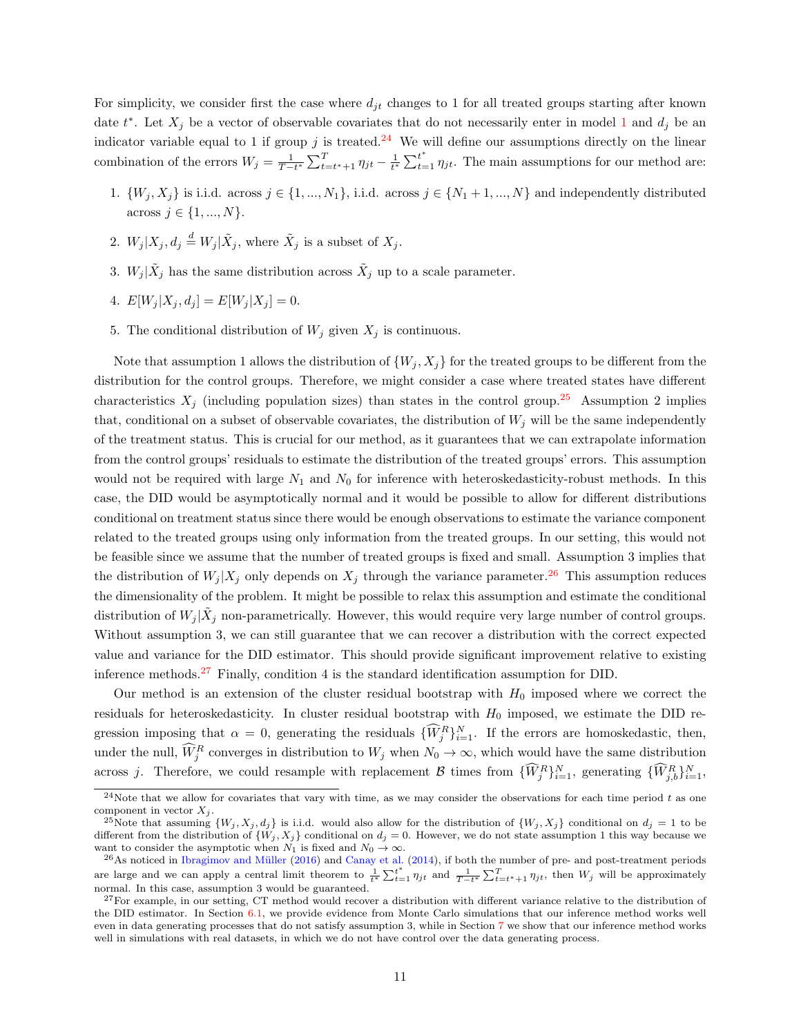For simplicity, we consider first the case where  $d_{it}$  changes to 1 for all treated groups starting after known date  $t^*$ . Let  $X_j$  be a vector of observable covariates that do not necessarily enter in model [1](#page-5-3) and  $d_j$  be an indicator variable equal to 1 if group j is treated.<sup>[24](#page-10-0)</sup> We will define our assumptions directly on the linear combination of the errors  $W_j = \frac{1}{T-t^*} \sum_{t=t^*+1}^T \eta_{jt} - \frac{1}{t^*} \sum_{t=1}^{t^*} \eta_{jt}$ . The main assumptions for our method are:

- 1.  $\{W_j, X_j\}$  is i.i.d. across  $j \in \{1, ..., N_1\}$ , i.i.d. across  $j \in \{N_1 + 1, ..., N\}$  and independently distributed across  $j \in \{1, ..., N\}$ .
- 2.  $W_j | X_j, d_j \stackrel{d}{=} W_j | \tilde{X}_j$ , where  $\tilde{X}_j$  is a subset of  $X_j$ .
- 3.  $W_j | \tilde{X}_j$  has the same distribution across  $\tilde{X}_j$  up to a scale parameter.
- 4.  $E[W_i | X_i, d_j] = E[W_j | X_j] = 0.$
- 5. The conditional distribution of  $W_j$  given  $X_j$  is continuous.

Note that assumption 1 allows the distribution of  $\{W_i, X_i\}$  for the treated groups to be different from the distribution for the control groups. Therefore, we might consider a case where treated states have different characteristics  $X_j$  (including population sizes) than states in the control group.<sup>[25](#page-10-1)</sup> Assumption 2 implies that, conditional on a subset of observable covariates, the distribution of  $W_j$  will be the same independently of the treatment status. This is crucial for our method, as it guarantees that we can extrapolate information from the control groups' residuals to estimate the distribution of the treated groups' errors. This assumption would not be required with large  $N_1$  and  $N_0$  for inference with heteroskedasticity-robust methods. In this case, the DID would be asymptotically normal and it would be possible to allow for different distributions conditional on treatment status since there would be enough observations to estimate the variance component related to the treated groups using only information from the treated groups. In our setting, this would not be feasible since we assume that the number of treated groups is fixed and small. Assumption 3 implies that the distribution of  $W_j | X_j$  only depends on  $X_j$  through the variance parameter.<sup>[26](#page-10-2)</sup> This assumption reduces the dimensionality of the problem. It might be possible to relax this assumption and estimate the conditional distribution of  $W_j | \tilde{X}_j$  non-parametrically. However, this would require very large number of control groups. Without assumption 3, we can still guarantee that we can recover a distribution with the correct expected value and variance for the DID estimator. This should provide significant improvement relative to existing inference methods.[27](#page-10-3) Finally, condition 4 is the standard identification assumption for DID.

Our method is an extension of the cluster residual bootstrap with  $H_0$  imposed where we correct the residuals for heteroskedasticity. In cluster residual bootstrap with  $H_0$  imposed, we estimate the DID regression imposing that  $\alpha = 0$ , generating the residuals  $\{\widehat{W}_j^R\}_{i=1}^N$ . If the errors are homoskedastic, then, under the null,  $\widehat{W}_j^R$  converges in distribution to  $W_j$  when  $N_0 \to \infty$ , which would have the same distribution across j. Therefore, we could resample with replacement B times from  $\{\widehat{W}_j^R\}_{i=1}^N$ , generating  $\{\widehat{W}_{j,b}^R\}_{i=1}^N$ ,

<span id="page-10-0"></span><sup>&</sup>lt;sup>24</sup>Note that we allow for covariates that vary with time, as we may consider the observations for each time period t as one component in vector  $X_i$ .

<span id="page-10-1"></span><sup>&</sup>lt;sup>25</sup>Note that assuming  $\{W_j, X_j, d_j\}$  is i.i.d. would also allow for the distribution of  $\{W_j, X_j\}$  conditional on  $d_j = 1$  to be different from the distribution of  $\{W_j, X_j\}$  conditional on  $d_j = 0$ . However, we do not state assumption 1 this way because we want to consider the asymptotic when  $N_1$  is fixed and  $N_0 \to \infty$ .

<span id="page-10-2"></span> $^{26}$ As noticed in Ibragimov and Müller [\(2016\)](#page-25-1) and [Canay et al.](#page-24-4) [\(2014\)](#page-24-4), if both the number of pre- and post-treatment periods are large and we can apply a central limit theorem to  $\frac{1}{t^*} \sum_{t=1}^{t^*} \eta_{jt}$  and  $\frac{1}{T-t^*} \sum_{t=t^*+1}^{T} \eta_{jt}$ , then  $W_j$  will be approximately normal. In this case, assumption 3 would be guaranteed.

<span id="page-10-3"></span> $27$  For example, in our setting, CT method would recover a distribution with different variance relative to the distribution of the DID estimator. In Section [6.1,](#page-17-1) we provide evidence from Monte Carlo simulations that our inference method works well even in data generating processes that do not satisfy assumption 3, while in Section [7](#page-20-0) we show that our inference method works well in simulations with real datasets, in which we do not have control over the data generating process.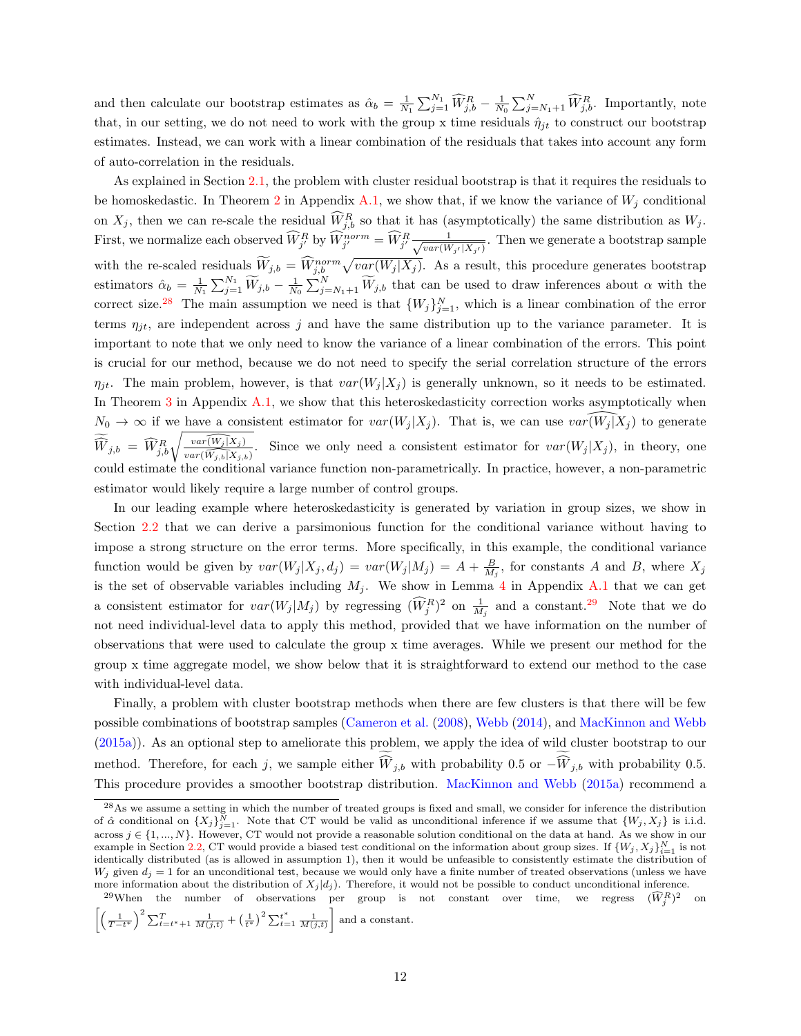and then calculate our bootstrap estimates as  $\hat{\alpha}_b = \frac{1}{N_1} \sum_{j=1}^{N_1} \widehat{W}_{j,b}^R - \frac{1}{N_0} \sum_{j=N_1+1}^{N} \widehat{W}_{j,b}^R$ . Importantly, note that, in our setting, we do not need to work with the group x time residuals  $\hat{\eta}_{it}$  to construct our bootstrap estimates. Instead, we can work with a linear combination of the residuals that takes into account any form of auto-correlation in the residuals.

As explained in Section [2.1,](#page-5-4) the problem with cluster residual bootstrap is that it requires the residuals to be homoskedastic. In Theorem [2](#page-33-0) in Appendix [A.1,](#page-32-0) we show that, if we know the variance of  $W_j$  conditional on  $X_j$ , then we can re-scale the residual  $\widetilde{W}_{j,b}^R$  so that it has (asymptotically) the same distribution as  $W_j$ . First, we normalize each observed  $\widehat{W}_{j'}^R$  by  $\widehat{W}_{j'}^{norm} = \widehat{W}_{j'}^R \frac{1}{\sqrt{var(W)}}$  $\frac{1}{var(W_{j'}|X_{j'})}$ . Then we generate a bootstrap sample with the re-scaled residuals  $\widetilde{W}_{j,b} = \widetilde{W}_{j,b}^{norm} \sqrt{var(W_j|X_j)}$ . As a result, this procedure generates bootstrap estimators  $\hat{\alpha}_b = \frac{1}{N_1} \sum_{j=1}^{N_1} \widetilde{W}_{j,b} - \frac{1}{N_0} \sum_{j=N_1+1}^{N} \widetilde{W}_{j,b}$  that can be used to draw inferences about  $\alpha$  with the correct size.<sup>[28](#page-11-0)</sup> The main assumption we need is that  $\{W_j\}_{j=1}^N$ , which is a linear combination of the error terms  $\eta_{jt}$ , are independent across j and have the same distribution up to the variance parameter. It is important to note that we only need to know the variance of a linear combination of the errors. This point is crucial for our method, because we do not need to specify the serial correlation structure of the errors  $\eta_{it}$ . The main problem, however, is that  $var(W_i | X_i)$  is generally unknown, so it needs to be estimated. In Theorem  $3$  in Appendix  $A.1$ , we show that this heteroskedasticity correction works asymptotically when  $N_0 \to \infty$  if we have a consistent estimator for  $var(W_j | X_j)$ . That is, we can use  $var(W_j | X_j)$  to generate  $\widetilde{\widehat{W}}_{j,b} = \widehat{W}_{j,b}^R \sqrt{\frac{var(\widehat{W_j|X_j})}{var(\widehat{W_{j,b}|X_{j,b}})}}$ . Since we only need a consistent estimator for  $var(W_j|X_j)$ , in theory, one could estimate the conditional variance function non-parametrically. In practice, however, a non-parametric estimator would likely require a large number of control groups.

In our leading example where heteroskedasticity is generated by variation in group sizes, we show in Section [2.2](#page-7-0) that we can derive a parsimonious function for the conditional variance without having to impose a strong structure on the error terms. More specifically, in this example, the conditional variance function would be given by  $var(W_j | X_j, d_j) = var(W_j | M_j) = A + \frac{B}{M_j}$ , for constants A and B, where  $X_j$ is the set of observable variables including  $M_j$ . We show in Lemma [4](#page-37-0) in Appendix [A.1](#page-32-0) that we can get a consistent estimator for  $var(W_j|M_j)$  by regressing  $(\widehat{W}_j^R)^2$  on  $\frac{1}{M_j}$  and a constant.<sup>[29](#page-11-1)</sup> Note that we do not need individual-level data to apply this method, provided that we have information on the number of observations that were used to calculate the group x time averages. While we present our method for the group x time aggregate model, we show below that it is straightforward to extend our method to the case with individual-level data.

Finally, a problem with cluster bootstrap methods when there are few clusters is that there will be few possible combinations of bootstrap samples [\(Cameron et al.](#page-24-2) [\(2008\)](#page-24-2), [Webb](#page-26-4) [\(2014\)](#page-26-4), and [MacKinnon and Webb](#page-25-2) [\(2015a\)](#page-25-2)). As an optional step to ameliorate this problem, we apply the idea of wild cluster bootstrap to our method. Therefore, for each j, we sample either  $W_{j,b}$  with probability 0.5 or  $-W_{j,b}$  with probability 0.5. This procedure provides a smoother bootstrap distribution. [MacKinnon and Webb](#page-25-2) [\(2015a\)](#page-25-2) recommend a

<span id="page-11-0"></span> $^{28}$ As we assume a setting in which the number of treated groups is fixed and small, we consider for inference the distribution of  $\hat{\alpha}$  conditional on  $\{X_j\}_{j=1}^N$ . Note that CT would be valid as unconditional inference if we assume that  $\{W_j, X_j\}$  is i.i.d. across  $j \in \{1, ..., N\}$ . However, CT would not provide a reasonable solution conditional on the data at hand. As we show in our example in Section [2.2,](#page-7-0) CT would provide a biased test conditional on the information about group sizes. If  $\{W_j, X_j\}_{i=1}^N$  is not identically distributed (as is allowed in assumption 1), then it would be unfeasible to consistently estimate the distribution of  $W_j$  given  $d_j = 1$  for an unconditional test, because we would only have a finite number of treated observations (unless we have more information about the distribution of  $X_j |d_j$ ). Therefore, it would not be possible to conduct unconditional inference.

<span id="page-11-1"></span><sup>&</sup>lt;sup>29</sup>When the number of observations per group is not constant over time, we regress  $(\widehat{W}_{j}^{R})$ <sup>2</sup> on  $\left[\left(\frac{1}{T-t^*}\right)^2 \sum_{t=t^*+1}^T \frac{1}{M(j,t)} + \left(\frac{1}{t^*}\right)^2 \sum_{t=1}^{t^*} \frac{1}{M(j,t)}\right]$ and a constant.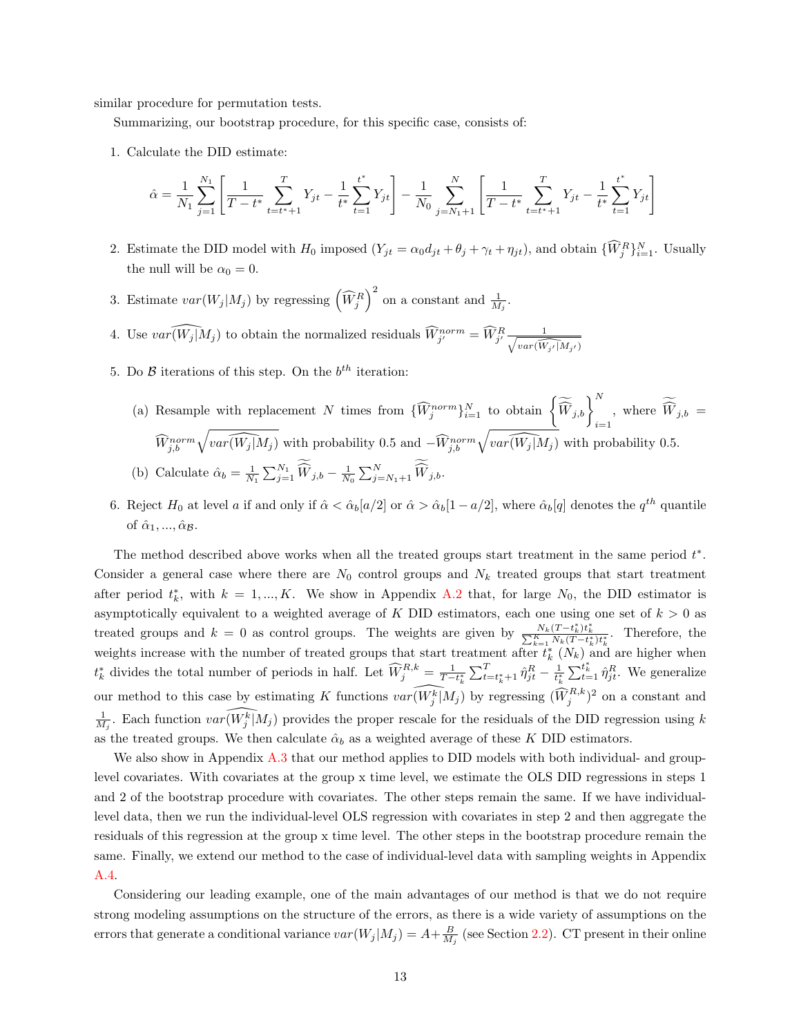similar procedure for permutation tests.

Summarizing, our bootstrap procedure, for this specific case, consists of:

1. Calculate the DID estimate:

$$
\hat{\alpha} = \frac{1}{N_1} \sum_{j=1}^{N_1} \left[ \frac{1}{T - t^*} \sum_{t=t^*+1}^T Y_{jt} - \frac{1}{t^*} \sum_{t=1}^{t^*} Y_{jt} \right] - \frac{1}{N_0} \sum_{j=N_1+1}^N \left[ \frac{1}{T - t^*} \sum_{t=t^*+1}^T Y_{jt} - \frac{1}{t^*} \sum_{t=1}^{t^*} Y_{jt} \right]
$$

- 2. Estimate the DID model with  $H_0$  imposed  $(Y_{jt} = \alpha_0 d_{jt} + \theta_j + \gamma_t + \eta_{jt})$ , and obtain  $\{\widehat{W}_j^R\}_{i=1}^N$ . Usually the null will be  $\alpha_0 = 0$ .
- 3. Estimate  $var(W_j|M_j)$  by regressing  $(\widehat{W}_j^R)^2$  on a constant and  $\frac{1}{M_j}$ .
- 4. Use  $var(\widehat{(W_j | M_j})$  to obtain the normalized residuals  $\widehat{W}_{j'}^{norm} = \widehat{W}_{j'}^R \frac{1}{\sqrt{var(\widehat{W_{j'}} | M_{j'})}}$
- 5. Do  $\beta$  iterations of this step. On the  $b^{th}$  iteration:
	- (a) Resample with replacement N times from  $\{\widehat{W}_j^{norm}\}_{i=1}^N$  to obtain  $\left\{\widetilde{\widehat{W}}_{j,b}\right\}_{j=1}^N$ , where  $\widetilde{\widehat{W}}_{j,b}$  =  $i=1$  $\widehat{W}_{j,b}^{norm}\sqrt{var(\widehat{W_j}|M_j)}$  with probability 0.5 and  $-\widehat{W}_{j,b}^{norm}\sqrt{var(\widehat{W_j}|M_j)}$  with probability 0.5. (b) Calculate  $\hat{\alpha}_b = \frac{1}{N_1} \sum_{j=1}^{N_1} \widehat{W}_{j,b} - \frac{1}{N_0} \sum_{j=N_1+1}^{N} \widehat{W}_{j,b}.$
- 6. Reject  $H_0$  at level a if and only if  $\hat{\alpha} < \hat{\alpha}_b[a/2]$  or  $\hat{\alpha} > \hat{\alpha}_b[1-a/2]$ , where  $\hat{\alpha}_b[q]$  denotes the  $q^{th}$  quantile of  $\hat{\alpha}_1, ..., \hat{\alpha}_{\mathcal{B}}$ .

The method described above works when all the treated groups start treatment in the same period  $t^*$ . Consider a general case where there are  $N_0$  control groups and  $N_k$  treated groups that start treatment after period  $t_k^*$ , with  $k = 1, ..., K$ . We show in Appendix [A.2](#page-37-1) that, for large  $N_0$ , the DID estimator is asymptotically equivalent to a weighted average of K DID estimators, each one using one set of  $k > 0$  as treated groups and  $k = 0$  as control groups. The weights are given by  $\frac{N_k(T - t_k^*)t_k^*}{\sum_{k=1}^K N_k(T - t_k^*)t_k^*}$ . Therefore, the weights increase with the number of treated groups that start treatment after  $t_k^*$   $(N_k)$  and are higher when  $t_k^*$  divides the total number of periods in half. Let  $\widehat{W}_j^{R,k} = \frac{1}{T-t_k^*} \sum_{t=t_k^*+1}^T \hat{\eta}_{jt}^R - \frac{1}{t_k^*} \sum_{t=1}^{t_k^*} \hat{\eta}_{jt}^R$ . We generalize our method to this case by estimating K functions  $var(\widehat{W_j^k|M_j})$  by regressing  $(\widehat{W_j}^{R,k})^2$  on a constant and  $\frac{1}{M_j}$ . Each function  $var(\widehat{W_j^k}|M_j)$  provides the proper rescale for the residuals of the DID regression using k as the treated groups. We then calculate  $\hat{\alpha}_b$  as a weighted average of these K DID estimators.

We also show in Appendix [A.3](#page-40-0) that our method applies to DID models with both individual- and grouplevel covariates. With covariates at the group x time level, we estimate the OLS DID regressions in steps 1 and 2 of the bootstrap procedure with covariates. The other steps remain the same. If we have individuallevel data, then we run the individual-level OLS regression with covariates in step 2 and then aggregate the residuals of this regression at the group x time level. The other steps in the bootstrap procedure remain the same. Finally, we extend our method to the case of individual-level data with sampling weights in Appendix [A.4.](#page-40-1)

Considering our leading example, one of the main advantages of our method is that we do not require strong modeling assumptions on the structure of the errors, as there is a wide variety of assumptions on the errors that generate a conditional variance  $var(W_j|M_j) = A + \frac{B}{M_j}$  (see Section [2.2\)](#page-7-0). CT present in their online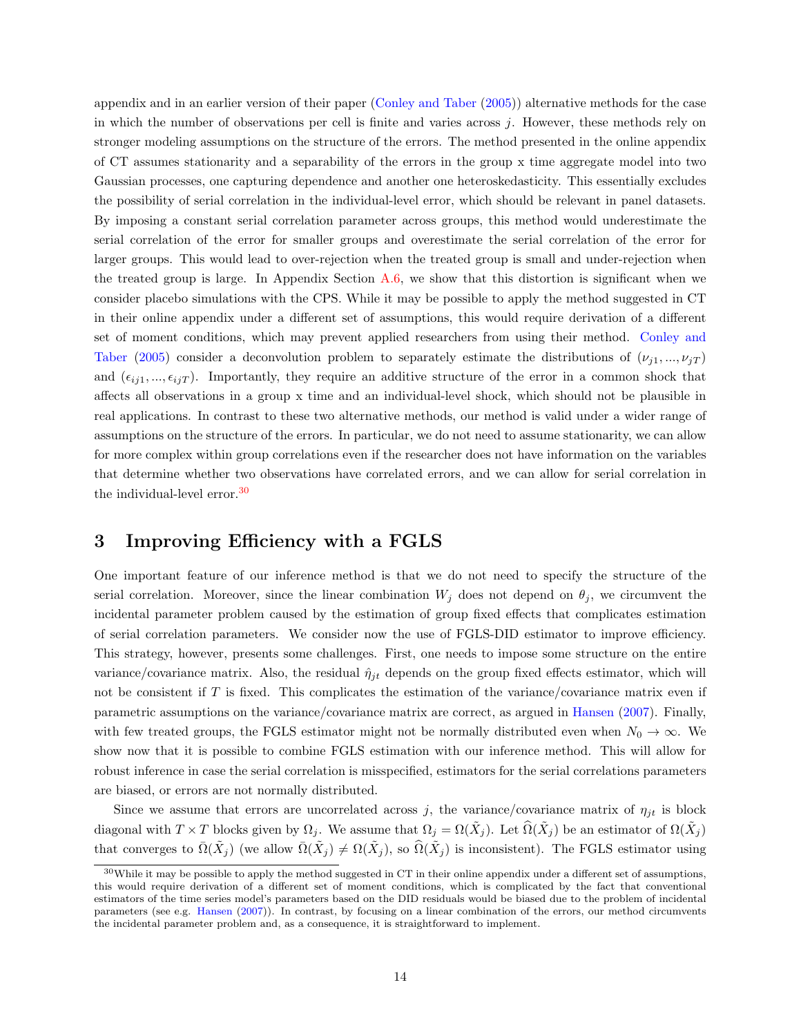appendix and in an earlier version of their paper [\(Conley and Taber](#page-24-10) [\(2005\)](#page-24-10)) alternative methods for the case in which the number of observations per cell is finite and varies across  $j$ . However, these methods rely on stronger modeling assumptions on the structure of the errors. The method presented in the online appendix of CT assumes stationarity and a separability of the errors in the group x time aggregate model into two Gaussian processes, one capturing dependence and another one heteroskedasticity. This essentially excludes the possibility of serial correlation in the individual-level error, which should be relevant in panel datasets. By imposing a constant serial correlation parameter across groups, this method would underestimate the serial correlation of the error for smaller groups and overestimate the serial correlation of the error for larger groups. This would lead to over-rejection when the treated group is small and under-rejection when the treated group is large. In Appendix Section  $A.6$ , we show that this distortion is significant when we consider placebo simulations with the CPS. While it may be possible to apply the method suggested in CT in their online appendix under a different set of assumptions, this would require derivation of a different set of moment conditions, which may prevent applied researchers from using their method. [Conley and](#page-24-10) [Taber](#page-24-10) [\(2005\)](#page-24-10) consider a deconvolution problem to separately estimate the distributions of  $(\nu_{i1},...,\nu_{iT})$ and  $(\epsilon_{ij1}, ..., \epsilon_{ijT})$ . Importantly, they require an additive structure of the error in a common shock that affects all observations in a group x time and an individual-level shock, which should not be plausible in real applications. In contrast to these two alternative methods, our method is valid under a wider range of assumptions on the structure of the errors. In particular, we do not need to assume stationarity, we can allow for more complex within group correlations even if the researcher does not have information on the variables that determine whether two observations have correlated errors, and we can allow for serial correlation in the individual-level error.[30](#page-13-1)

# <span id="page-13-0"></span>3 Improving Efficiency with a FGLS

One important feature of our inference method is that we do not need to specify the structure of the serial correlation. Moreover, since the linear combination  $W_j$  does not depend on  $\theta_j$ , we circumvent the incidental parameter problem caused by the estimation of group fixed effects that complicates estimation of serial correlation parameters. We consider now the use of FGLS-DID estimator to improve efficiency. This strategy, however, presents some challenges. First, one needs to impose some structure on the entire variance/covariance matrix. Also, the residual  $\hat{\eta}_{it}$  depends on the group fixed effects estimator, which will not be consistent if  $T$  is fixed. This complicates the estimation of the variance/covariance matrix even if parametric assumptions on the variance/covariance matrix are correct, as argued in [Hansen](#page-25-5) [\(2007\)](#page-25-5). Finally, with few treated groups, the FGLS estimator might not be normally distributed even when  $N_0 \to \infty$ . We show now that it is possible to combine FGLS estimation with our inference method. This will allow for robust inference in case the serial correlation is misspecified, estimators for the serial correlations parameters are biased, or errors are not normally distributed.

Since we assume that errors are uncorrelated across j, the variance/covariance matrix of  $\eta_{it}$  is block diagonal with  $T \times T$  blocks given by  $\Omega_j$ . We assume that  $\Omega_j = \Omega(\tilde{X}_j)$ . Let  $\widehat{\Omega}(\tilde{X}_j)$  be an estimator of  $\Omega(\tilde{X}_j)$ that converges to  $\overline{\Omega}(\tilde{X}_j)$  (we allow  $\overline{\Omega}(\tilde{X}_j) \neq \Omega(\tilde{X}_j)$ , so  $\widehat{\Omega}(\tilde{X}_j)$  is inconsistent). The FGLS estimator using

<span id="page-13-1"></span> $30$ While it may be possible to apply the method suggested in CT in their online appendix under a different set of assumptions, this would require derivation of a different set of moment conditions, which is complicated by the fact that conventional estimators of the time series model's parameters based on the DID residuals would be biased due to the problem of incidental parameters (see e.g. [Hansen](#page-25-5) [\(2007\)](#page-25-5)). In contrast, by focusing on a linear combination of the errors, our method circumvents the incidental parameter problem and, as a consequence, it is straightforward to implement.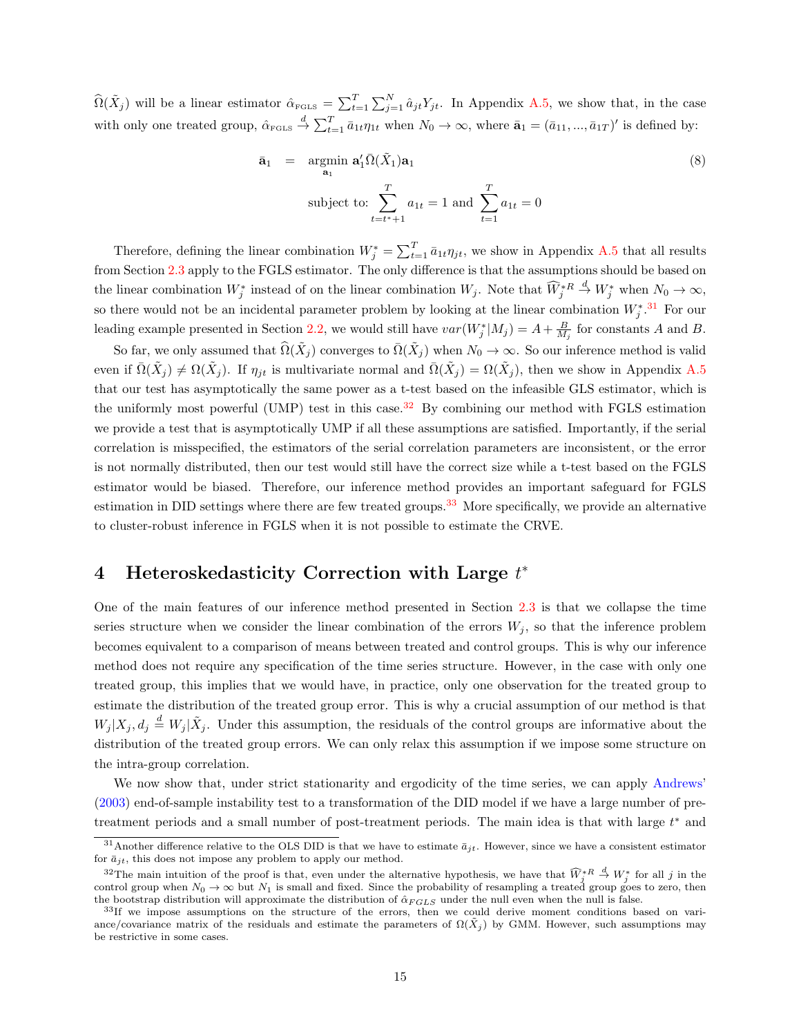$\widehat{\Omega}(\tilde{X}_j)$  will be a linear estimator  $\widehat{\alpha}_{\text{FGLS}} = \sum_{t=1}^T \sum_{j=1}^N \widehat{a}_{jt} Y_{jt}$ . In Appendix [A.5,](#page-41-0) we show that, in the case with only one treated group,  $\hat{\alpha}_{\text{FGLS}} \stackrel{d}{\rightarrow} \sum_{t=1}^{T} \bar{a}_{1t} \eta_{1t}$  when  $N_0 \rightarrow \infty$ , where  $\bar{\mathbf{a}}_1 = (\bar{a}_{11}, ..., \bar{a}_{1T})'$  is defined by:

$$
\bar{\mathbf{a}}_1 = \underset{\mathbf{a}_1}{\text{argmin}} \ \mathbf{a}'_1 \overline{\Omega}(\tilde{X}_1) \mathbf{a}_1
$$
\n
$$
\text{subject to: } \sum_{t=t^*+1}^{T} a_{1t} = 1 \text{ and } \sum_{t=1}^{T} a_{1t} = 0
$$
\n
$$
(8)
$$

Therefore, defining the linear combination  $W_j^* = \sum_{t=1}^T \bar{a}_{1t} \eta_{jt}$ , we show in Appendix [A.5](#page-41-0) that all results from Section [2.3](#page-9-0) apply to the FGLS estimator. The only difference is that the assumptions should be based on the linear combination  $W_j^*$  instead of on the linear combination  $W_j$ . Note that  $\widehat{W}_j^{*R}$  $\stackrel{d}{\to} W_j^*$  when  $N_0 \to \infty$ , so there would not be an incidental parameter problem by looking at the linear combination  $W_j^*$ .<sup>[31](#page-14-1)</sup> For our leading example presented in Section [2.2,](#page-7-0) we would still have  $var(W_j^*|M_j) = A + \frac{B}{M_j}$  for constants A and B.

So far, we only assumed that  $\widehat{\Omega}(\tilde{X}_j)$  converges to  $\overline{\Omega}(\tilde{X}_j)$  when  $N_0 \to \infty$ . So our inference method is valid even if  $\bar{\Omega}(\tilde{X}_j) \neq \Omega(\tilde{X}_j)$ . If  $\eta_{jt}$  is multivariate normal and  $\bar{\Omega}(\tilde{X}_j) = \Omega(\tilde{X}_j)$ , then we show in Appendix [A.5](#page-41-0) that our test has asymptotically the same power as a t-test based on the infeasible GLS estimator, which is the uniformly most powerful (UMP) test in this case.<sup>[32](#page-14-2)</sup> By combining our method with FGLS estimation we provide a test that is asymptotically UMP if all these assumptions are satisfied. Importantly, if the serial correlation is misspecified, the estimators of the serial correlation parameters are inconsistent, or the error is not normally distributed, then our test would still have the correct size while a t-test based on the FGLS estimator would be biased. Therefore, our inference method provides an important safeguard for FGLS estimation in DID settings where there are few treated groups.<sup>[33](#page-14-3)</sup> More specifically, we provide an alternative to cluster-robust inference in FGLS when it is not possible to estimate the CRVE.

# <span id="page-14-0"></span>4 Heteroskedasticity Correction with Large  $t^*$

One of the main features of our inference method presented in Section [2.3](#page-9-0) is that we collapse the time series structure when we consider the linear combination of the errors  $W_i$ , so that the inference problem becomes equivalent to a comparison of means between treated and control groups. This is why our inference method does not require any specification of the time series structure. However, in the case with only one treated group, this implies that we would have, in practice, only one observation for the treated group to estimate the distribution of the treated group error. This is why a crucial assumption of our method is that  $W_j | X_j, d_j \stackrel{d}{=} W_j | \tilde{X}_j$ . Under this assumption, the residuals of the control groups are informative about the distribution of the treated group errors. We can only relax this assumption if we impose some structure on the intra-group correlation.

We now show that, under strict stationarity and ergodicity of the time series, we can apply [Andrews'](#page-24-7) [\(2003\)](#page-24-7) end-of-sample instability test to a transformation of the DID model if we have a large number of pretreatment periods and a small number of post-treatment periods. The main idea is that with large  $t^*$  and

<span id="page-14-1"></span><sup>&</sup>lt;sup>31</sup>Another difference relative to the OLS DID is that we have to estimate  $\bar{a}_{it}$ . However, since we have a consistent estimator for  $\bar{a}_{it}$ , this does not impose any problem to apply our method.

<span id="page-14-2"></span><sup>&</sup>lt;sup>32</sup>The main intuition of the proof is that, even under the alternative hypothesis, we have that  $\widehat{W}_{j}^{*R} \stackrel{d}{\rightarrow} W_{j}^{*}$  for all j in the control group when  $N_0 \to \infty$  but  $N_1$  is small and fixed. Since the probability of resampling a treated group goes to zero, then the bootstrap distribution will approximate the distribution of  $\hat{\alpha}_{FGLS}$  under the null even when the null is false.

<span id="page-14-3"></span><sup>&</sup>lt;sup>33</sup>If we impose assumptions on the structure of the errors, then we could derive moment conditions based on variance/covariance matrix of the residuals and estimate the parameters of  $\Omega(\tilde{X}_j)$  by GMM. However, such assumptions may be restrictive in some cases.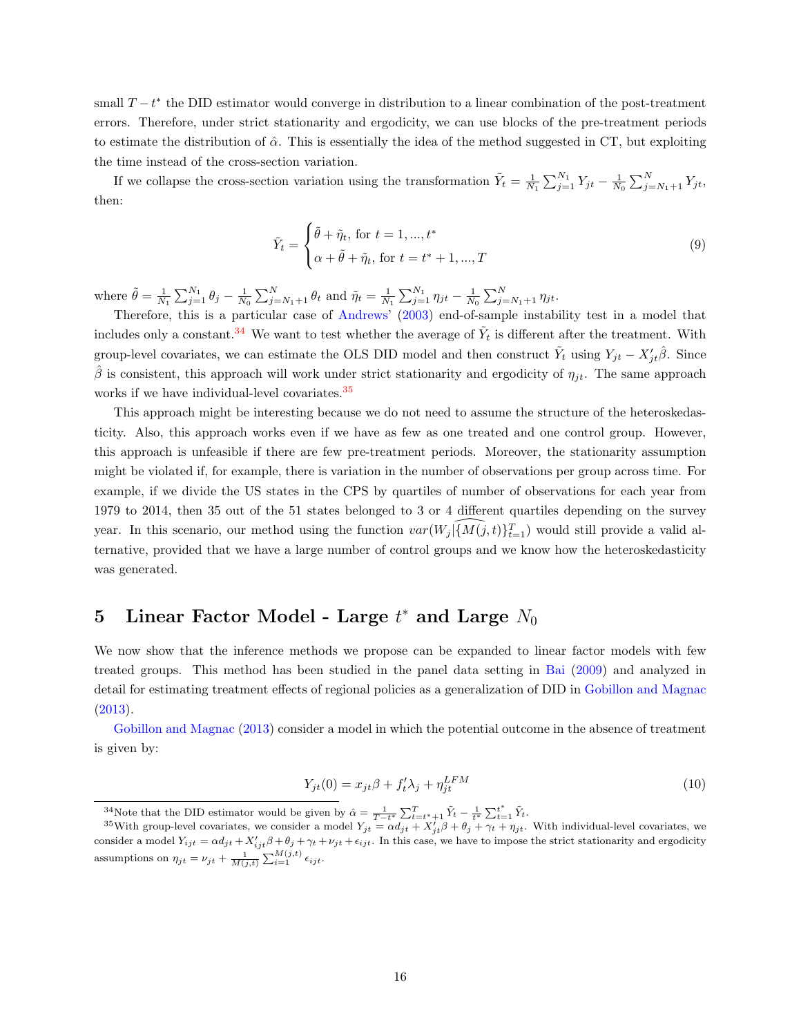small  $T - t^*$  the DID estimator would converge in distribution to a linear combination of the post-treatment errors. Therefore, under strict stationarity and ergodicity, we can use blocks of the pre-treatment periods to estimate the distribution of  $\hat{\alpha}$ . This is essentially the idea of the method suggested in CT, but exploiting the time instead of the cross-section variation.

If we collapse the cross-section variation using the transformation  $\tilde{Y}_t = \frac{1}{N_1} \sum_{j=1}^{N_1} Y_{jt} - \frac{1}{N_0} \sum_{j=N_1+1}^{N} Y_{jt}$ , then:

$$
\tilde{Y}_t = \begin{cases}\n\tilde{\theta} + \tilde{\eta}_t, \text{ for } t = 1, ..., t^* \\
\alpha + \tilde{\theta} + \tilde{\eta}_t, \text{ for } t = t^* + 1, ..., T\n\end{cases}
$$
\n(9)

where  $\tilde{\theta} = \frac{1}{N_1} \sum_{j=1}^{N_1} \theta_j - \frac{1}{N_0} \sum_{j=N_1+1}^{N} \theta_t$  and  $\tilde{\eta}_t = \frac{1}{N_1} \sum_{j=1}^{N_1} \eta_{jt} - \frac{1}{N_0} \sum_{j=N_1+1}^{N} \eta_{jt}$ .

Therefore, this is a particular case of [Andrews' \(2003\)](#page-24-7) end-of-sample instability test in a model that includes only a constant.<sup>[34](#page-15-1)</sup> We want to test whether the average of  $\tilde{Y}_t$  is different after the treatment. With group-level covariates, we can estimate the OLS DID model and then construct  $\tilde{Y}_t$  using  $Y_{jt} - X'_{jt} \hat{\beta}$ . Since  $\hat{\beta}$  is consistent, this approach will work under strict stationarity and ergodicity of  $\eta_{jt}$ . The same approach works if we have individual-level covariates.<sup>[35](#page-15-2)</sup>

This approach might be interesting because we do not need to assume the structure of the heteroskedasticity. Also, this approach works even if we have as few as one treated and one control group. However, this approach is unfeasible if there are few pre-treatment periods. Moreover, the stationarity assumption might be violated if, for example, there is variation in the number of observations per group across time. For example, if we divide the US states in the CPS by quartiles of number of observations for each year from 1979 to 2014, then 35 out of the 51 states belonged to 3 or 4 different quartiles depending on the survey year. In this scenario, our method using the function  $var(W_j | \widehat{\{M(j, t)\}_{t=1}^T})$  would still provide a valid alternative, provided that we have a large number of control groups and we know how the heteroskedasticity was generated.

# <span id="page-15-0"></span>5 Linear Factor Model - Large  $t^*$  and Large  $N_0$

We now show that the inference methods we propose can be expanded to linear factor models with few treated groups. This method has been studied in the panel data setting in [Bai](#page-24-21) [\(2009\)](#page-24-21) and analyzed in detail for estimating treatment effects of regional policies as a generalization of DID in [Gobillon and Magnac](#page-25-7) [\(2013\)](#page-25-7).

[Gobillon and Magnac](#page-25-7) [\(2013\)](#page-25-7) consider a model in which the potential outcome in the absence of treatment is given by:

<span id="page-15-3"></span>
$$
Y_{jt}(0) = x_{jt}\beta + f_t'\lambda_j + \eta_{jt}^{LFM}
$$
\n(10)

<span id="page-15-2"></span><span id="page-15-1"></span><sup>34</sup>Note that the DID estimator would be given by  $\hat{\alpha} = \frac{1}{T-t^*} \sum_{t=t^*+1}^T \tilde{Y}_t - \frac{1}{t^*} \sum_{t=1}^{t^*} \tilde{Y}_t$ .

<sup>&</sup>lt;sup>35</sup>With group-level covariates, we consider a model  $Y_{jt} = \alpha d_{jt} + X'_{jt} \beta + \theta_j + \gamma_t + \eta_{jt}$ . With individual-level covariates, we consider a model  $Y_{ijt} = \alpha d_{jt} + X'_{ijt}\beta + \theta_j + \gamma_t + \nu_{jt} + \epsilon_{ijt}$ . In this case, we have to impose the strict stationarity and ergodicity assumptions on  $\eta_{jt} = \nu_{jt} + \frac{1}{M(j,t)} \sum_{i=1}^{M(j,t)} \epsilon_{ijt}$ .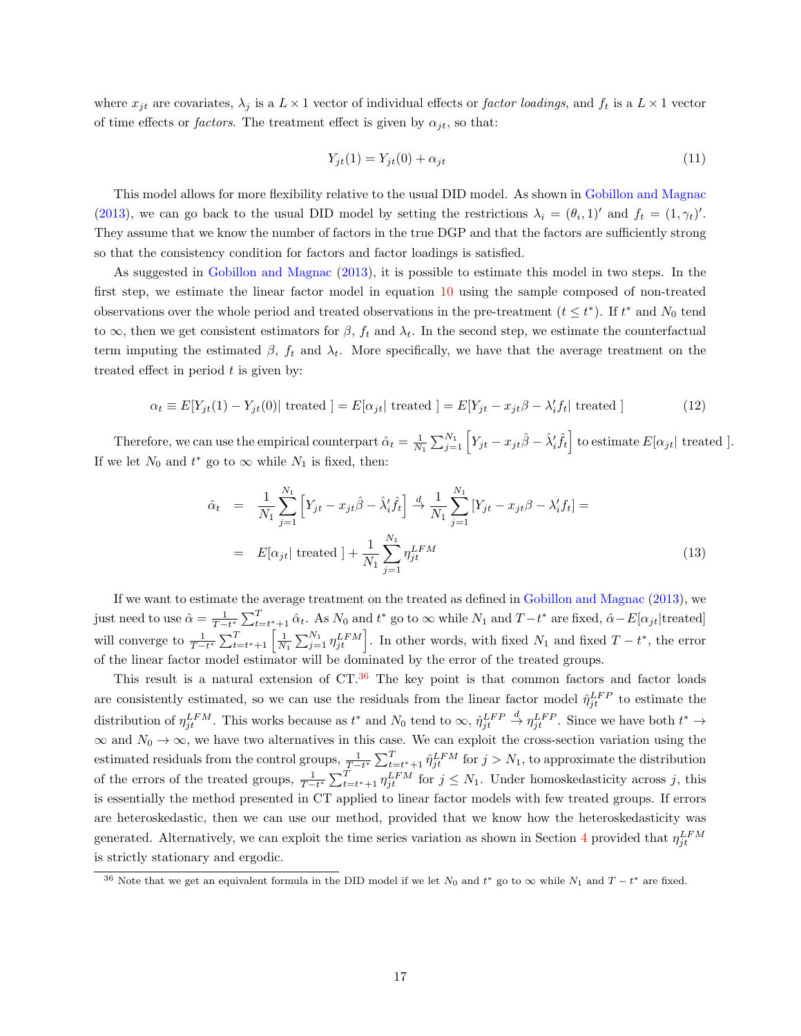where  $x_{it}$  are covariates,  $\lambda_i$  is a  $L \times 1$  vector of individual effects or factor loadings, and  $f_t$  is a  $L \times 1$  vector of time effects or *factors*. The treatment effect is given by  $\alpha_{jt}$ , so that:

$$
Y_{jt}(1) = Y_{jt}(0) + \alpha_{jt} \tag{11}
$$

This model allows for more flexibility relative to the usual DID model. As shown in [Gobillon and Magnac](#page-25-7) [\(2013\)](#page-25-7), we can go back to the usual DID model by setting the restrictions  $\lambda_i = (\theta_i, 1)'$  and  $f_t = (1, \gamma_t)'$ . They assume that we know the number of factors in the true DGP and that the factors are sufficiently strong so that the consistency condition for factors and factor loadings is satisfied.

As suggested in [Gobillon and Magnac](#page-25-7) [\(2013\)](#page-25-7), it is possible to estimate this model in two steps. In the first step, we estimate the linear factor model in equation [10](#page-15-3) using the sample composed of non-treated observations over the whole period and treated observations in the pre-treatment  $(t \leq t^*)$ . If  $t^*$  and  $N_0$  tend to  $\infty$ , then we get consistent estimators for  $\beta$ ,  $f_t$  and  $\lambda_t$ . In the second step, we estimate the counterfactual term imputing the estimated  $\beta$ ,  $f_t$  and  $\lambda_t$ . More specifically, we have that the average treatment on the treated effect in period  $t$  is given by:

$$
\alpha_t \equiv E[Y_{jt}(1) - Y_{jt}(0)] \text{ treated } ] = E[\alpha_{jt} | \text{ treated } ] = E[Y_{jt} - x_{jt}\beta - \lambda_i' f_t] \text{ treated } ] \tag{12}
$$

Therefore, we can use the empirical counterpart  $\hat{\alpha}_t = \frac{1}{N_1} \sum_{j=1}^{N_1} \left[ Y_{jt} - x_{jt} \hat{\beta} - \hat{\lambda}'_i \hat{f}_t \right]$  to estimate  $E[\alpha_{jt}]$  treated ]. If we let  $N_0$  and  $t^*$  go to  $\infty$  while  $N_1$  is fixed, then:

$$
\hat{\alpha}_t = \frac{1}{N_1} \sum_{j=1}^{N_1} \left[ Y_{jt} - x_{jt} \hat{\beta} - \hat{\lambda}'_i \hat{f}_t \right] \stackrel{d}{\to} \frac{1}{N_1} \sum_{j=1}^{N_1} \left[ Y_{jt} - x_{jt} \beta - \lambda'_i f_t \right] =
$$
\n
$$
= E[\alpha_{jt}| \text{ treated } ] + \frac{1}{N_1} \sum_{j=1}^{N_1} \eta_{jt}^{LFM} \tag{13}
$$

If we want to estimate the average treatment on the treated as defined in [Gobillon and Magnac](#page-25-7) [\(2013\)](#page-25-7), we just need to use  $\hat{\alpha} = \frac{1}{T-t^*} \sum_{t=t^*+1}^T \hat{\alpha}_t$ . As  $N_0$  and  $t^*$  go to  $\infty$  while  $N_1$  and  $T-t^*$  are fixed,  $\hat{\alpha} - E[\alpha_{jt} |$ treated] will converge to  $\frac{1}{T-t^*}\sum_{t=t^*+1}^T\left[\frac{1}{N_1}\sum_{j=1}^{N_1}\eta_{jt}^{LFM}\right]$ . In other words, with fixed  $N_1$  and fixed  $T-t^*$ , the error of the linear factor model estimator will be dominated by the error of the treated groups.

This result is a natural extension of  $CT<sup>36</sup>$  $CT<sup>36</sup>$  $CT<sup>36</sup>$  The key point is that common factors and factor loads are consistently estimated, so we can use the residuals from the linear factor model  $\hat{\eta}_{jt}^{LFP}$  to estimate the distribution of  $\eta_{jt}^{LFM}$ . This works because as  $t^*$  and  $N_0$  tend to  $\infty$ ,  $\hat{\eta}_{jt}^{LFF}$  $\stackrel{d}{\to} \eta_{jt}^{LFP}$ . Since we have both  $t^* \to$  $\infty$  and  $N_0 \to \infty$ , we have two alternatives in this case. We can exploit the cross-section variation using the estimated residuals from the control groups,  $\frac{1}{T-t^*} \sum_{t=t^*+1}^T \hat{\eta}_{jt}^{LFM}$  for  $j > N_1$ , to approximate the distribution of the errors of the treated groups,  $\frac{1}{T-t^*}\sum_{t=t^*+1}^T \eta_{jt}^{LFM}$  for  $j \leq N_1$ . Under homoskedasticity across j, this is essentially the method presented in CT applied to linear factor models with few treated groups. If errors are heteroskedastic, then we can use our method, provided that we know how the heteroskedasticity was generated. Alternatively, we can exploit the time series variation as shown in Section [4](#page-14-0) provided that  $\eta_{jt}^{LFM}$ is strictly stationary and ergodic.

<span id="page-16-0"></span><sup>&</sup>lt;sup>36</sup> Note that we get an equivalent formula in the DID model if we let  $N_0$  and  $t^*$  go to  $\infty$  while  $N_1$  and  $T-t^*$  are fixed.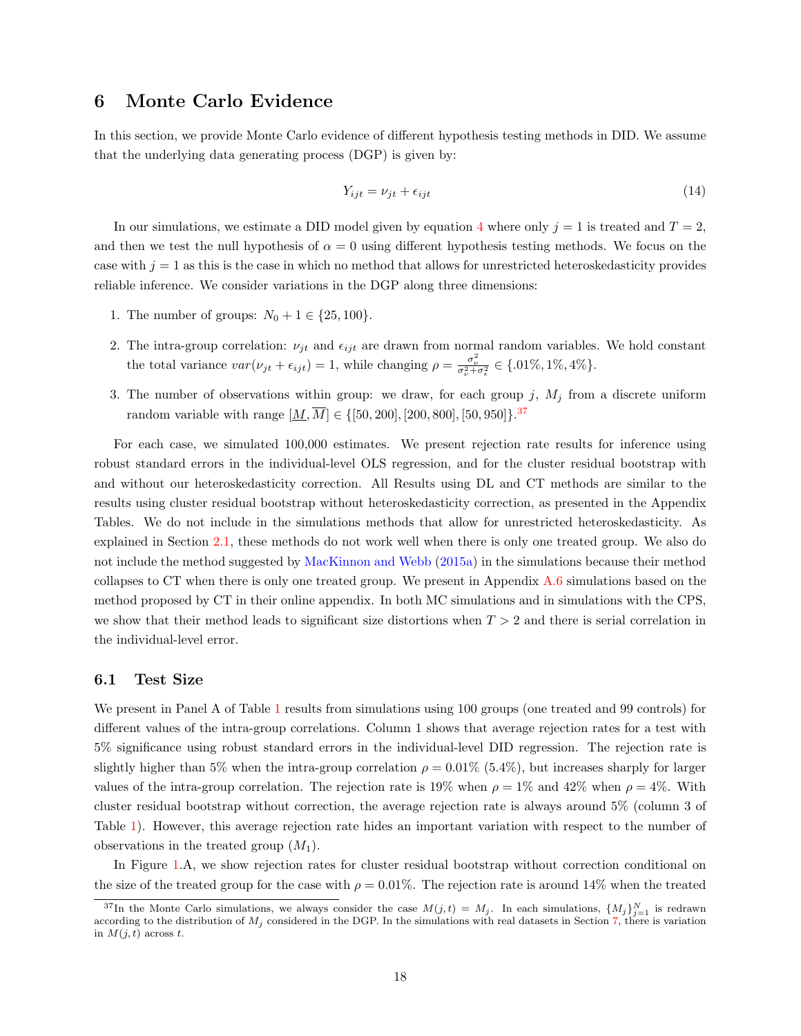# <span id="page-17-0"></span>6 Monte Carlo Evidence

In this section, we provide Monte Carlo evidence of different hypothesis testing methods in DID. We assume that the underlying data generating process (DGP) is given by:

$$
Y_{ijt} = \nu_{jt} + \epsilon_{ijt} \tag{14}
$$

In our simulations, we estimate a DID model given by equation [4](#page-7-1) where only  $j = 1$  is treated and  $T = 2$ , and then we test the null hypothesis of  $\alpha = 0$  using different hypothesis testing methods. We focus on the case with  $j = 1$  as this is the case in which no method that allows for unrestricted heteroskedasticity provides reliable inference. We consider variations in the DGP along three dimensions:

- 1. The number of groups:  $N_0 + 1 \in \{25, 100\}.$
- 2. The intra-group correlation:  $\nu_{jt}$  and  $\epsilon_{ijt}$  are drawn from normal random variables. We hold constant the total variance  $var(\nu_{jt} + \epsilon_{ijt}) = 1$ , while changing  $\rho = \frac{\sigma_{\nu}^2}{\sigma_{\nu}^2 + \sigma_{\epsilon}^2} \in \{.01\%, 1\%, 4\%\}.$
- 3. The number of observations within group: we draw, for each group j,  $M_j$  from a discrete uniform random variable with range  $[\underline{M}, \overline{M}] \in \{[50, 200], [200, 800], [50, 950]\}.$ <sup>[37](#page-17-2)</sup>

For each case, we simulated 100,000 estimates. We present rejection rate results for inference using robust standard errors in the individual-level OLS regression, and for the cluster residual bootstrap with and without our heteroskedasticity correction. All Results using DL and CT methods are similar to the results using cluster residual bootstrap without heteroskedasticity correction, as presented in the Appendix Tables. We do not include in the simulations methods that allow for unrestricted heteroskedasticity. As explained in Section [2.1,](#page-5-4) these methods do not work well when there is only one treated group. We also do not include the method suggested by [MacKinnon and Webb](#page-25-2) [\(2015a\)](#page-25-2) in the simulations because their method collapses to CT when there is only one treated group. We present in Appendix [A.6](#page-46-0) simulations based on the method proposed by CT in their online appendix. In both MC simulations and in simulations with the CPS, we show that their method leads to significant size distortions when  $T > 2$  and there is serial correlation in the individual-level error.

#### <span id="page-17-1"></span>6.1 Test Size

We present in Panel A of Table [1](#page-29-0) results from simulations using 100 groups (one treated and 99 controls) for different values of the intra-group correlations. Column 1 shows that average rejection rates for a test with 5% significance using robust standard errors in the individual-level DID regression. The rejection rate is slightly higher than 5% when the intra-group correlation  $\rho = 0.01\%$  (5.4%), but increases sharply for larger values of the intra-group correlation. The rejection rate is 19% when  $\rho = 1\%$  and 42% when  $\rho = 4\%$ . With cluster residual bootstrap without correction, the average rejection rate is always around 5% (column 3 of Table [1\)](#page-29-0). However, this average rejection rate hides an important variation with respect to the number of observations in the treated group  $(M_1)$ .

In Figure [1.](#page-27-0)A, we show rejection rates for cluster residual bootstrap without correction conditional on the size of the treated group for the case with  $\rho = 0.01\%$ . The rejection rate is around 14% when the treated

<span id="page-17-2"></span><sup>&</sup>lt;sup>37</sup>In the Monte Carlo simulations, we always consider the case  $M(j,t) = M_j$ . In each simulations,  $\{M_j\}_{j=1}^N$  is redrawn according to the distribution of  $M_j$  considered in the DGP. In the simulations with real datasets in Section [7,](#page-20-0) there is variation in  $M(j, t)$  across t.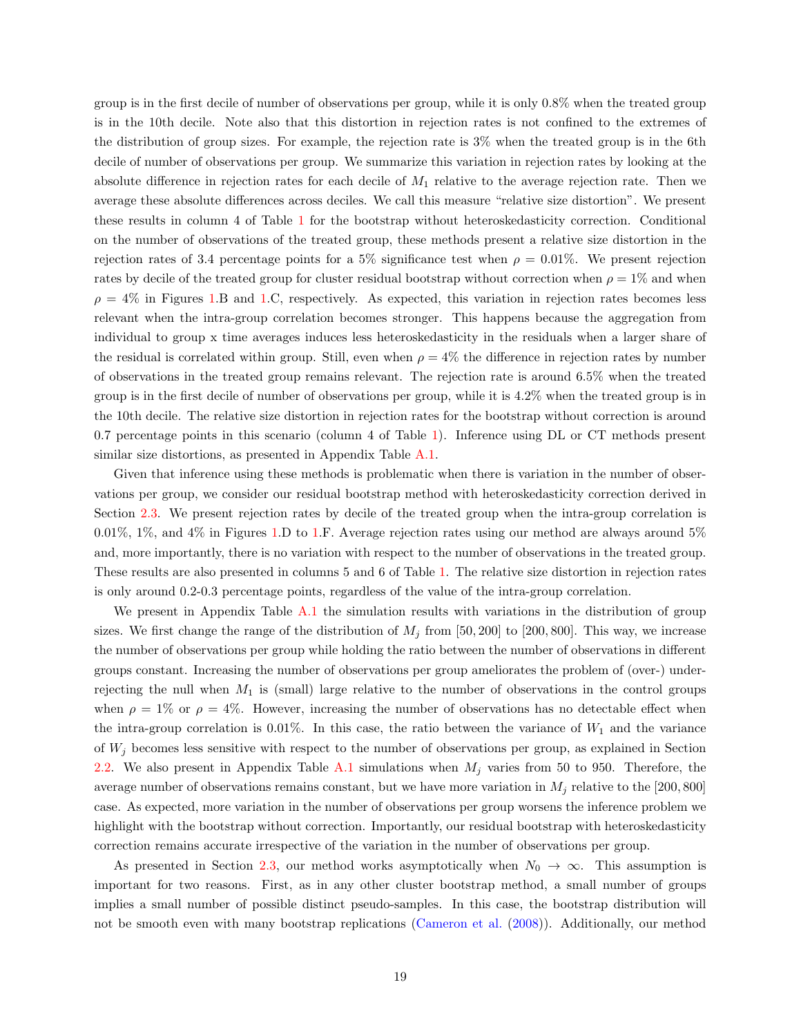group is in the first decile of number of observations per group, while it is only 0.8% when the treated group is in the 10th decile. Note also that this distortion in rejection rates is not confined to the extremes of the distribution of group sizes. For example, the rejection rate is 3% when the treated group is in the 6th decile of number of observations per group. We summarize this variation in rejection rates by looking at the absolute difference in rejection rates for each decile of  $M_1$  relative to the average rejection rate. Then we average these absolute differences across deciles. We call this measure "relative size distortion". We present these results in column 4 of Table [1](#page-29-0) for the bootstrap without heteroskedasticity correction. Conditional on the number of observations of the treated group, these methods present a relative size distortion in the rejection rates of 3.4 percentage points for a 5% significance test when  $\rho = 0.01\%$ . We present rejection rates by decile of the treated group for cluster residual bootstrap without correction when  $\rho = 1\%$  and when  $\rho = 4\%$  in Figures [1.](#page-27-0)B and 1.C, respectively. As expected, this variation in rejection rates becomes less relevant when the intra-group correlation becomes stronger. This happens because the aggregation from individual to group x time averages induces less heteroskedasticity in the residuals when a larger share of the residual is correlated within group. Still, even when  $\rho = 4\%$  the difference in rejection rates by number of observations in the treated group remains relevant. The rejection rate is around 6.5% when the treated group is in the first decile of number of observations per group, while it is 4.2% when the treated group is in the 10th decile. The relative size distortion in rejection rates for the bootstrap without correction is around 0.7 percentage points in this scenario (column 4 of Table [1\)](#page-29-0). Inference using DL or CT methods present similar size distortions, as presented in Appendix Table [A.1.](#page-29-0)

Given that inference using these methods is problematic when there is variation in the number of observations per group, we consider our residual bootstrap method with heteroskedasticity correction derived in Section [2.3.](#page-9-0) We present rejection rates by decile of the treated group when the intra-group correlation is 0.01%, 1%, and 4% in Figures [1.](#page-27-0)D to [1.](#page-27-0)F. Average rejection rates using our method are always around 5% and, more importantly, there is no variation with respect to the number of observations in the treated group. These results are also presented in columns 5 and 6 of Table [1.](#page-29-0) The relative size distortion in rejection rates is only around 0.2-0.3 percentage points, regardless of the value of the intra-group correlation.

We present in Appendix Table [A.1](#page-29-0) the simulation results with variations in the distribution of group sizes. We first change the range of the distribution of  $M_j$  from [50, 200] to [200, 800]. This way, we increase the number of observations per group while holding the ratio between the number of observations in different groups constant. Increasing the number of observations per group ameliorates the problem of (over-) underrejecting the null when  $M_1$  is (small) large relative to the number of observations in the control groups when  $\rho = 1\%$  or  $\rho = 4\%$ . However, increasing the number of observations has no detectable effect when the intra-group correlation is 0.01%. In this case, the ratio between the variance of  $W_1$  and the variance of  $W_j$  becomes less sensitive with respect to the number of observations per group, as explained in Section [2.2.](#page-7-0) We also present in Appendix Table [A.1](#page-29-0) simulations when  $M_j$  varies from 50 to 950. Therefore, the average number of observations remains constant, but we have more variation in  $M_j$  relative to the [200, 800] case. As expected, more variation in the number of observations per group worsens the inference problem we highlight with the bootstrap without correction. Importantly, our residual bootstrap with heteroskedasticity correction remains accurate irrespective of the variation in the number of observations per group.

As presented in Section [2.3,](#page-9-0) our method works asymptotically when  $N_0 \to \infty$ . This assumption is important for two reasons. First, as in any other cluster bootstrap method, a small number of groups implies a small number of possible distinct pseudo-samples. In this case, the bootstrap distribution will not be smooth even with many bootstrap replications [\(Cameron et al.](#page-24-2) [\(2008\)](#page-24-2)). Additionally, our method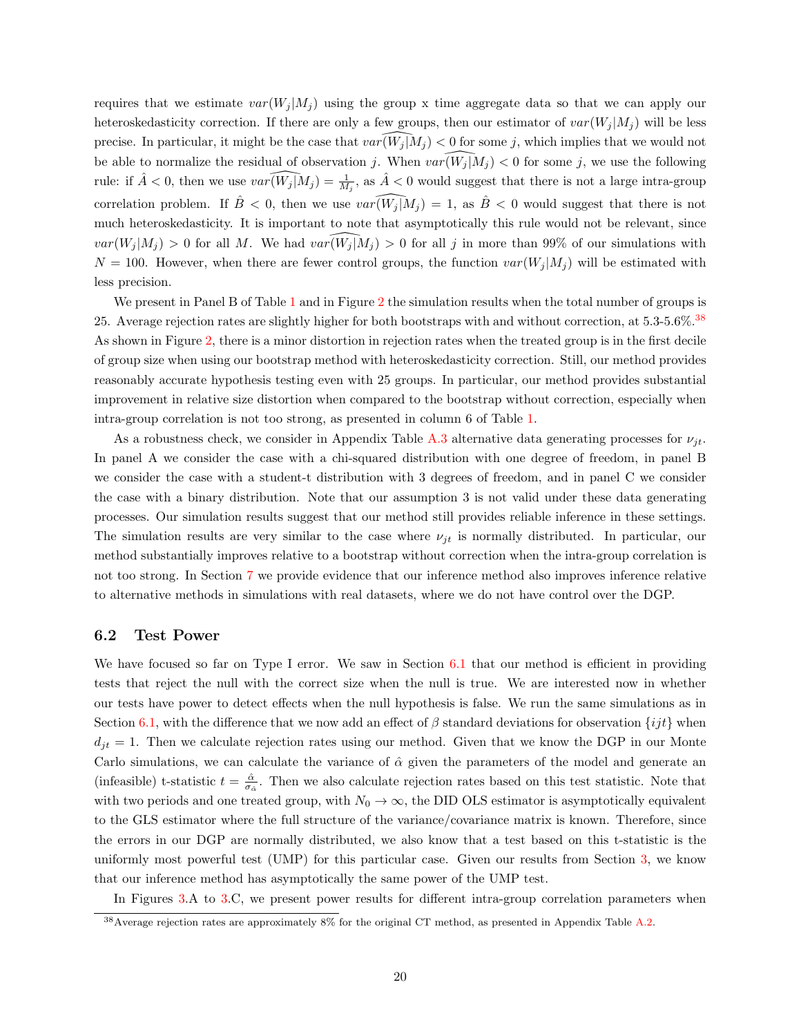requires that we estimate  $var(W_i | M_i)$  using the group x time aggregate data so that we can apply our heteroskedasticity correction. If there are only a few groups, then our estimator of  $var(W_i | M_i)$  will be less precise. In particular, it might be the case that  $var(W_j | M_j) < 0$  for some j, which implies that we would not be able to normalize the residual of observation j. When  $var(W_j | M_j ) < 0$  for some j, we use the following rule: if  $\hat{A} < 0$ , then we use  $var(\widehat{W_j | M_j}) = \frac{1}{M_j}$ , as  $\hat{A} < 0$  would suggest that there is not a large intra-group correlation problem. If  $\hat{B} < 0$ , then we use  $var(W_j | M_j ) = 1$ , as  $\hat{B} < 0$  would suggest that there is not much heteroskedasticity. It is important to note that asymptotically this rule would not be relevant, since  $var(W_j | M_j) > 0$  for all M. We had  $var(W_j | M_j) > 0$  for all j in more than 99% of our simulations with  $N = 100$ . However, when there are fewer control groups, the function  $var(W_i|M_i)$  will be estimated with less precision.

We present in Panel B of Table [1](#page-29-0) and in Figure [2](#page-27-1) the simulation results when the total number of groups is 25. Average rejection rates are slightly higher for both bootstraps with and without correction, at 5.3-5.6%.[38](#page-19-0) As shown in Figure [2,](#page-27-1) there is a minor distortion in rejection rates when the treated group is in the first decile of group size when using our bootstrap method with heteroskedasticity correction. Still, our method provides reasonably accurate hypothesis testing even with 25 groups. In particular, our method provides substantial improvement in relative size distortion when compared to the bootstrap without correction, especially when intra-group correlation is not too strong, as presented in column 6 of Table [1.](#page-29-0)

As a robustness check, we consider in Appendix Table [A.3](#page-30-0) alternative data generating processes for  $\nu_{jt}$ . In panel A we consider the case with a chi-squared distribution with one degree of freedom, in panel B we consider the case with a student-t distribution with 3 degrees of freedom, and in panel C we consider the case with a binary distribution. Note that our assumption 3 is not valid under these data generating processes. Our simulation results suggest that our method still provides reliable inference in these settings. The simulation results are very similar to the case where  $\nu_{it}$  is normally distributed. In particular, our method substantially improves relative to a bootstrap without correction when the intra-group correlation is not too strong. In Section [7](#page-20-0) we provide evidence that our inference method also improves inference relative to alternative methods in simulations with real datasets, where we do not have control over the DGP.

#### 6.2 Test Power

We have focused so far on Type I error. We saw in Section [6.1](#page-17-1) that our method is efficient in providing tests that reject the null with the correct size when the null is true. We are interested now in whether our tests have power to detect effects when the null hypothesis is false. We run the same simulations as in Section [6.1,](#page-17-1) with the difference that we now add an effect of  $\beta$  standard deviations for observation  $\{ijt\}$  when  $d_{it} = 1$ . Then we calculate rejection rates using our method. Given that we know the DGP in our Monte Carlo simulations, we can calculate the variance of  $\hat{\alpha}$  given the parameters of the model and generate an (infeasible) t-statistic  $t = \frac{\hat{\alpha}}{\sigma_{\hat{\alpha}}}$ . Then we also calculate rejection rates based on this test statistic. Note that with two periods and one treated group, with  $N_0 \to \infty$ , the DID OLS estimator is asymptotically equivalent to the GLS estimator where the full structure of the variance/covariance matrix is known. Therefore, since the errors in our DGP are normally distributed, we also know that a test based on this t-statistic is the uniformly most powerful test (UMP) for this particular case. Given our results from Section [3,](#page-13-0) we know that our inference method has asymptotically the same power of the UMP test.

In Figures [3.](#page-28-0)A to [3.](#page-28-0)C, we present power results for different intra-group correlation parameters when

<span id="page-19-0"></span><sup>38</sup>Average rejection rates are approximately 8% for the original CT method, as presented in Appendix Table [A.2.](#page-29-1)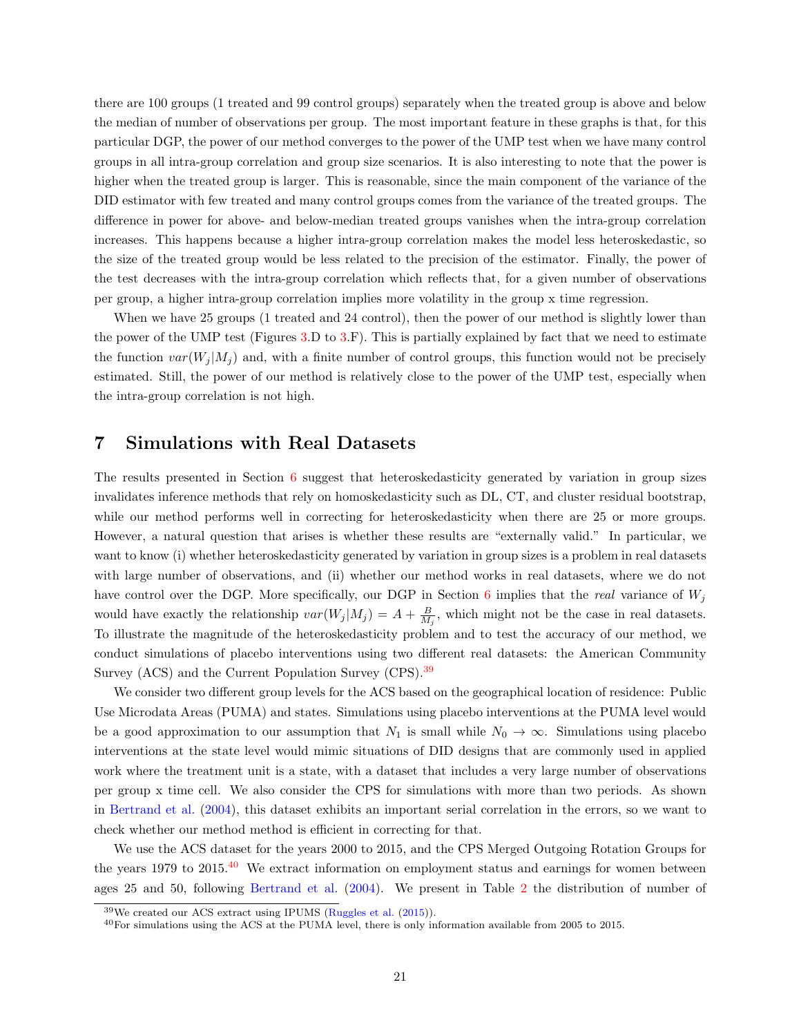there are 100 groups (1 treated and 99 control groups) separately when the treated group is above and below the median of number of observations per group. The most important feature in these graphs is that, for this particular DGP, the power of our method converges to the power of the UMP test when we have many control groups in all intra-group correlation and group size scenarios. It is also interesting to note that the power is higher when the treated group is larger. This is reasonable, since the main component of the variance of the DID estimator with few treated and many control groups comes from the variance of the treated groups. The difference in power for above- and below-median treated groups vanishes when the intra-group correlation increases. This happens because a higher intra-group correlation makes the model less heteroskedastic, so the size of the treated group would be less related to the precision of the estimator. Finally, the power of the test decreases with the intra-group correlation which reflects that, for a given number of observations per group, a higher intra-group correlation implies more volatility in the group x time regression.

When we have 25 groups (1 treated and 24 control), then the power of our method is slightly lower than the power of the UMP test (Figures [3.](#page-28-0)D to [3.](#page-28-0)F). This is partially explained by fact that we need to estimate the function  $var(W_i | M_i)$  and, with a finite number of control groups, this function would not be precisely estimated. Still, the power of our method is relatively close to the power of the UMP test, especially when the intra-group correlation is not high.

# <span id="page-20-0"></span>7 Simulations with Real Datasets

The results presented in Section [6](#page-17-0) suggest that heteroskedasticity generated by variation in group sizes invalidates inference methods that rely on homoskedasticity such as DL, CT, and cluster residual bootstrap, while our method performs well in correcting for heteroskedasticity when there are 25 or more groups. However, a natural question that arises is whether these results are "externally valid." In particular, we want to know (i) whether heteroskedasticity generated by variation in group sizes is a problem in real datasets with large number of observations, and (ii) whether our method works in real datasets, where we do not have control over the DGP. More specifically, our DGP in Section [6](#page-17-0) implies that the real variance of  $W_j$ would have exactly the relationship  $var(W_j | M_j) = A + \frac{B}{M_j}$ , which might not be the case in real datasets. To illustrate the magnitude of the heteroskedasticity problem and to test the accuracy of our method, we conduct simulations of placebo interventions using two different real datasets: the American Community Survey (ACS) and the Current Population Survey (CPS).<sup>[39](#page-20-1)</sup>

We consider two different group levels for the ACS based on the geographical location of residence: Public Use Microdata Areas (PUMA) and states. Simulations using placebo interventions at the PUMA level would be a good approximation to our assumption that  $N_1$  is small while  $N_0 \to \infty$ . Simulations using placebo interventions at the state level would mimic situations of DID designs that are commonly used in applied work where the treatment unit is a state, with a dataset that includes a very large number of observations per group x time cell. We also consider the CPS for simulations with more than two periods. As shown in [Bertrand et al.](#page-24-0) [\(2004\)](#page-24-0), this dataset exhibits an important serial correlation in the errors, so we want to check whether our method method is efficient in correcting for that.

We use the ACS dataset for the years 2000 to 2015, and the CPS Merged Outgoing Rotation Groups for the years 1979 to 2015.<sup>[40](#page-20-2)</sup> We extract information on employment status and earnings for women between ages 25 and 50, following [Bertrand et al.](#page-24-0) [\(2004\)](#page-24-0). We present in Table [2](#page-29-1) the distribution of number of

<span id="page-20-1"></span><sup>39</sup>We created our ACS extract using IPUMS [\(Ruggles et al.](#page-25-21) [\(2015\)](#page-25-21)).

<span id="page-20-2"></span><sup>40</sup>For simulations using the ACS at the PUMA level, there is only information available from 2005 to 2015.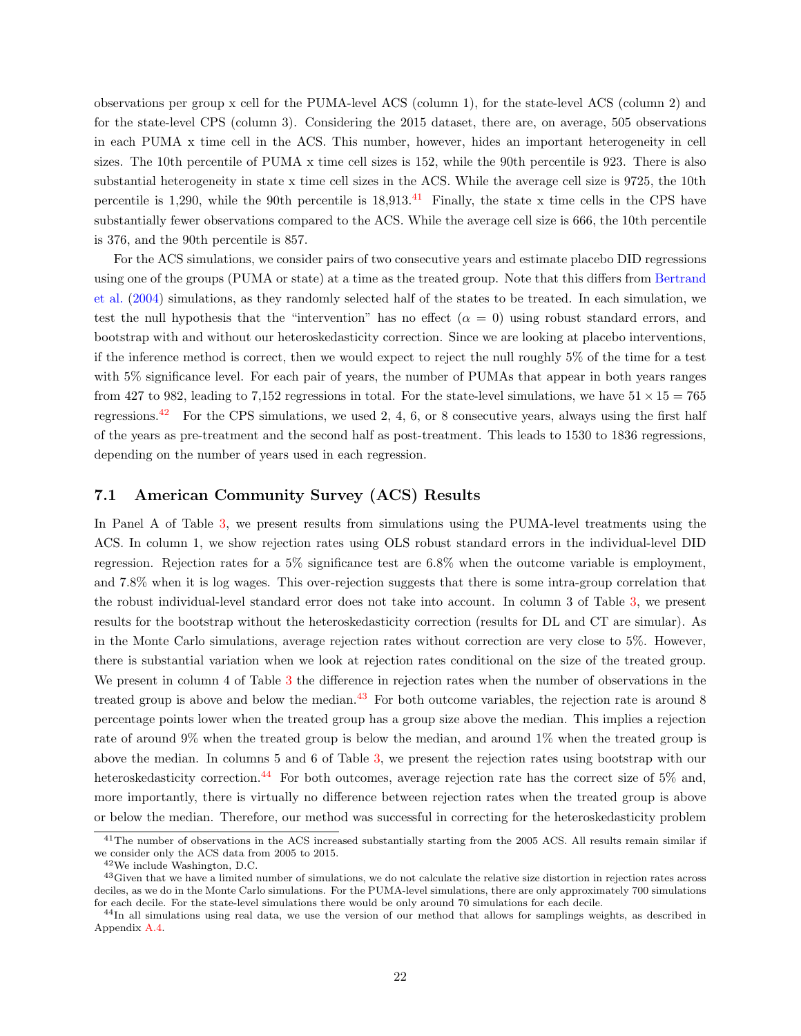observations per group x cell for the PUMA-level ACS (column 1), for the state-level ACS (column 2) and for the state-level CPS (column 3). Considering the 2015 dataset, there are, on average, 505 observations in each PUMA x time cell in the ACS. This number, however, hides an important heterogeneity in cell sizes. The 10th percentile of PUMA x time cell sizes is 152, while the 90th percentile is 923. There is also substantial heterogeneity in state x time cell sizes in the ACS. While the average cell size is 9725, the 10th percentile is 1,290, while the 90th percentile is  $18,913$ .<sup>[41](#page-21-0)</sup> Finally, the state x time cells in the CPS have substantially fewer observations compared to the ACS. While the average cell size is 666, the 10th percentile is 376, and the 90th percentile is 857.

For the ACS simulations, we consider pairs of two consecutive years and estimate placebo DID regressions using one of the groups (PUMA or state) at a time as the treated group. Note that this differs from [Bertrand](#page-24-0) [et al.](#page-24-0) [\(2004\)](#page-24-0) simulations, as they randomly selected half of the states to be treated. In each simulation, we test the null hypothesis that the "intervention" has no effect  $(\alpha = 0)$  using robust standard errors, and bootstrap with and without our heteroskedasticity correction. Since we are looking at placebo interventions, if the inference method is correct, then we would expect to reject the null roughly 5% of the time for a test with 5% significance level. For each pair of years, the number of PUMAs that appear in both years ranges from 427 to 982, leading to 7,152 regressions in total. For the state-level simulations, we have  $51 \times 15 = 765$ regressions.<sup>[42](#page-21-1)</sup> For the CPS simulations, we used 2, 4, 6, or 8 consecutive years, always using the first half of the years as pre-treatment and the second half as post-treatment. This leads to 1530 to 1836 regressions, depending on the number of years used in each regression.

### <span id="page-21-4"></span>7.1 American Community Survey (ACS) Results

In Panel A of Table [3,](#page-30-0) we present results from simulations using the PUMA-level treatments using the ACS. In column 1, we show rejection rates using OLS robust standard errors in the individual-level DID regression. Rejection rates for a 5% significance test are 6.8% when the outcome variable is employment, and 7.8% when it is log wages. This over-rejection suggests that there is some intra-group correlation that the robust individual-level standard error does not take into account. In column 3 of Table [3,](#page-30-0) we present results for the bootstrap without the heteroskedasticity correction (results for DL and CT are simular). As in the Monte Carlo simulations, average rejection rates without correction are very close to 5%. However, there is substantial variation when we look at rejection rates conditional on the size of the treated group. We present in column 4 of Table [3](#page-30-0) the difference in rejection rates when the number of observations in the treated group is above and below the median. $43$  For both outcome variables, the rejection rate is around 8 percentage points lower when the treated group has a group size above the median. This implies a rejection rate of around 9% when the treated group is below the median, and around 1% when the treated group is above the median. In columns 5 and 6 of Table [3,](#page-30-0) we present the rejection rates using bootstrap with our heteroskedasticity correction.<sup>[44](#page-21-3)</sup> For both outcomes, average rejection rate has the correct size of 5% and, more importantly, there is virtually no difference between rejection rates when the treated group is above or below the median. Therefore, our method was successful in correcting for the heteroskedasticity problem

<span id="page-21-0"></span><sup>&</sup>lt;sup>41</sup>The number of observations in the ACS increased substantially starting from the 2005 ACS. All results remain similar if we consider only the ACS data from 2005 to 2015.

<span id="page-21-2"></span><span id="page-21-1"></span><sup>42</sup>We include Washington, D.C.

<sup>&</sup>lt;sup>43</sup>Given that we have a limited number of simulations, we do not calculate the relative size distortion in rejection rates across deciles, as we do in the Monte Carlo simulations. For the PUMA-level simulations, there are only approximately 700 simulations for each decile. For the state-level simulations there would be only around 70 simulations for each decile.

<span id="page-21-3"></span> $^{44}$ In all simulations using real data, we use the version of our method that allows for samplings weights, as described in Appendix [A.4.](#page-40-1)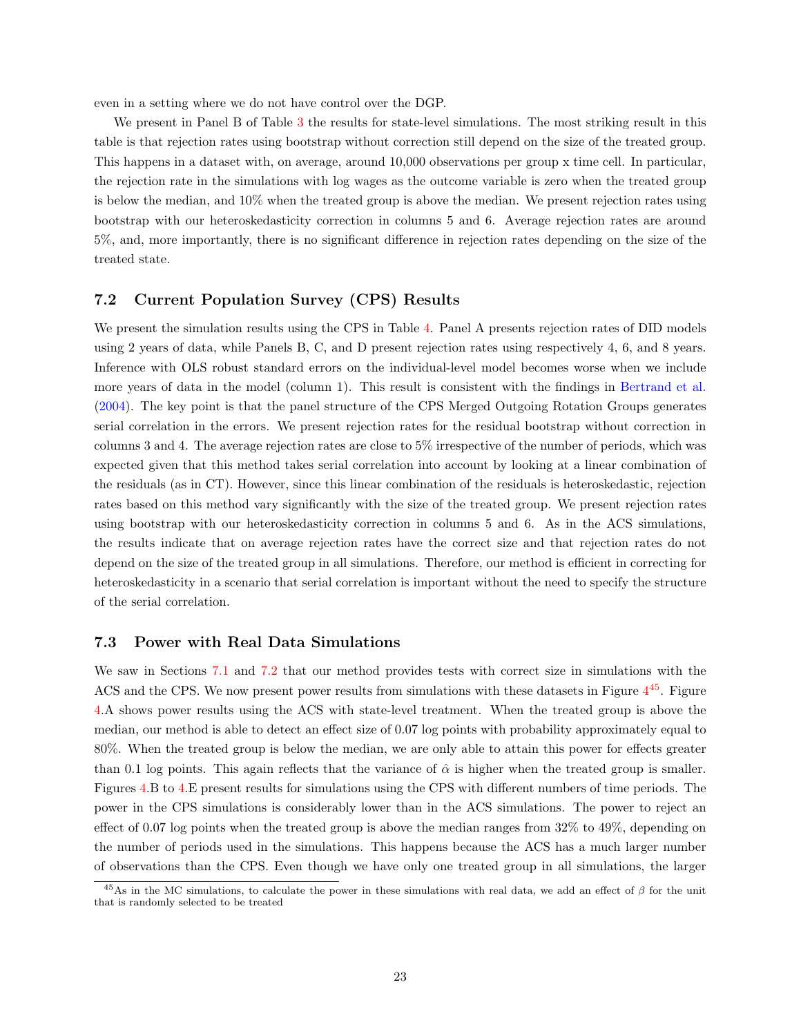even in a setting where we do not have control over the DGP.

We present in Panel B of Table [3](#page-30-0) the results for state-level simulations. The most striking result in this table is that rejection rates using bootstrap without correction still depend on the size of the treated group. This happens in a dataset with, on average, around 10,000 observations per group x time cell. In particular, the rejection rate in the simulations with log wages as the outcome variable is zero when the treated group is below the median, and 10% when the treated group is above the median. We present rejection rates using bootstrap with our heteroskedasticity correction in columns 5 and 6. Average rejection rates are around 5%, and, more importantly, there is no significant difference in rejection rates depending on the size of the treated state.

#### <span id="page-22-0"></span>7.2 Current Population Survey (CPS) Results

We present the simulation results using the CPS in Table [4.](#page-31-0) Panel A presents rejection rates of DID models using 2 years of data, while Panels B, C, and D present rejection rates using respectively 4, 6, and 8 years. Inference with OLS robust standard errors on the individual-level model becomes worse when we include more years of data in the model (column 1). This result is consistent with the findings in [Bertrand et al.](#page-24-0) [\(2004\)](#page-24-0). The key point is that the panel structure of the CPS Merged Outgoing Rotation Groups generates serial correlation in the errors. We present rejection rates for the residual bootstrap without correction in columns 3 and 4. The average rejection rates are close to 5% irrespective of the number of periods, which was expected given that this method takes serial correlation into account by looking at a linear combination of the residuals (as in CT). However, since this linear combination of the residuals is heteroskedastic, rejection rates based on this method vary significantly with the size of the treated group. We present rejection rates using bootstrap with our heteroskedasticity correction in columns 5 and 6. As in the ACS simulations, the results indicate that on average rejection rates have the correct size and that rejection rates do not depend on the size of the treated group in all simulations. Therefore, our method is efficient in correcting for heteroskedasticity in a scenario that serial correlation is important without the need to specify the structure of the serial correlation.

#### 7.3 Power with Real Data Simulations

We saw in Sections [7.1](#page-21-4) and [7.2](#page-22-0) that our method provides tests with correct size in simulations with the ACS and the CPS. We now present power results from simulations with these datasets in Figure  $4^{45}$  $4^{45}$  $4^{45}$  $4^{45}$ . Figure [4.](#page-28-1)A shows power results using the ACS with state-level treatment. When the treated group is above the median, our method is able to detect an effect size of 0.07 log points with probability approximately equal to 80%. When the treated group is below the median, we are only able to attain this power for effects greater than 0.1 log points. This again reflects that the variance of  $\hat{\alpha}$  is higher when the treated group is smaller. Figures [4.](#page-28-1)B to [4.](#page-28-1)E present results for simulations using the CPS with different numbers of time periods. The power in the CPS simulations is considerably lower than in the ACS simulations. The power to reject an effect of 0.07 log points when the treated group is above the median ranges from 32% to 49%, depending on the number of periods used in the simulations. This happens because the ACS has a much larger number of observations than the CPS. Even though we have only one treated group in all simulations, the larger

<span id="page-22-1"></span><sup>&</sup>lt;sup>45</sup>As in the MC simulations, to calculate the power in these simulations with real data, we add an effect of  $\beta$  for the unit that is randomly selected to be treated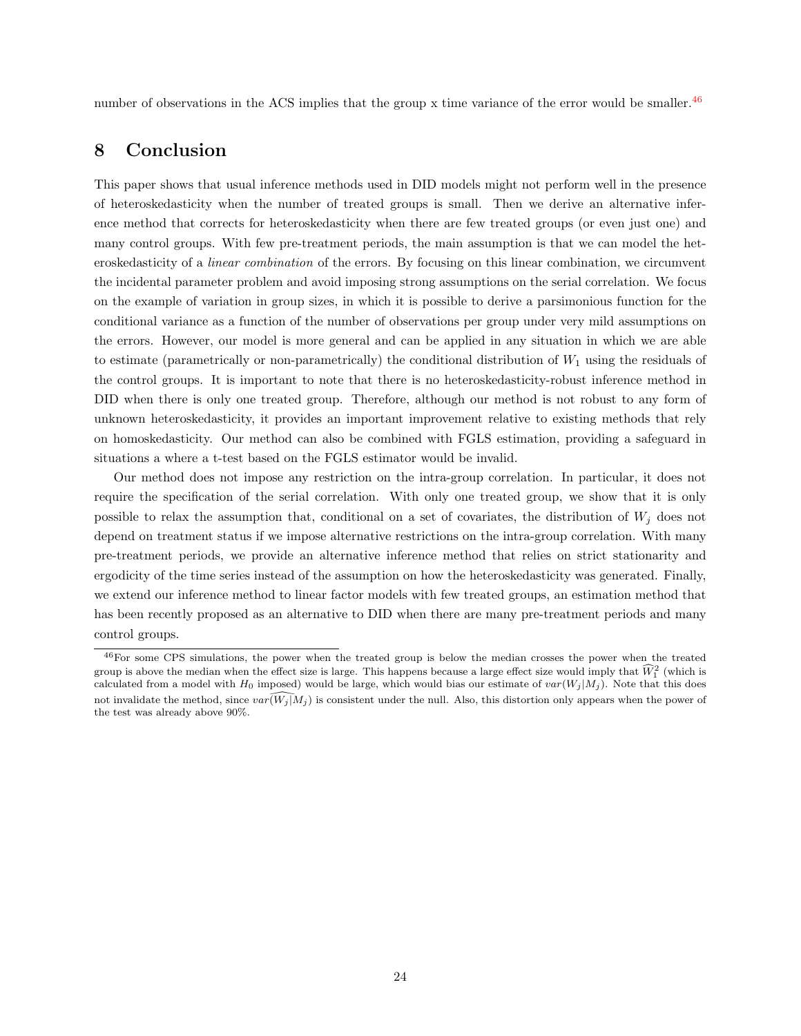number of observations in the ACS implies that the group x time variance of the error would be smaller.<sup>[46](#page-23-1)</sup>

# <span id="page-23-0"></span>8 Conclusion

This paper shows that usual inference methods used in DID models might not perform well in the presence of heteroskedasticity when the number of treated groups is small. Then we derive an alternative inference method that corrects for heteroskedasticity when there are few treated groups (or even just one) and many control groups. With few pre-treatment periods, the main assumption is that we can model the heteroskedasticity of a linear combination of the errors. By focusing on this linear combination, we circumvent the incidental parameter problem and avoid imposing strong assumptions on the serial correlation. We focus on the example of variation in group sizes, in which it is possible to derive a parsimonious function for the conditional variance as a function of the number of observations per group under very mild assumptions on the errors. However, our model is more general and can be applied in any situation in which we are able to estimate (parametrically or non-parametrically) the conditional distribution of  $W_1$  using the residuals of the control groups. It is important to note that there is no heteroskedasticity-robust inference method in DID when there is only one treated group. Therefore, although our method is not robust to any form of unknown heteroskedasticity, it provides an important improvement relative to existing methods that rely on homoskedasticity. Our method can also be combined with FGLS estimation, providing a safeguard in situations a where a t-test based on the FGLS estimator would be invalid.

Our method does not impose any restriction on the intra-group correlation. In particular, it does not require the specification of the serial correlation. With only one treated group, we show that it is only possible to relax the assumption that, conditional on a set of covariates, the distribution of  $W_i$  does not depend on treatment status if we impose alternative restrictions on the intra-group correlation. With many pre-treatment periods, we provide an alternative inference method that relies on strict stationarity and ergodicity of the time series instead of the assumption on how the heteroskedasticity was generated. Finally, we extend our inference method to linear factor models with few treated groups, an estimation method that has been recently proposed as an alternative to DID when there are many pre-treatment periods and many control groups.

<span id="page-23-1"></span><sup>46</sup>For some CPS simulations, the power when the treated group is below the median crosses the power when the treated group is above the median when the effect size is large. This happens because a large effect size would imply that  $\widehat{W}_1^2$  (which is calculated from a model with  $H_0$  imposed) would be large, which would bias our estimate of  $var(W_j | M_j)$ . Note that this does not invalidate the method, since  $var(\widehat{W_j | M_j})$  is consistent under the null. Also, this distortion only appears when the power of the test was already above 90%.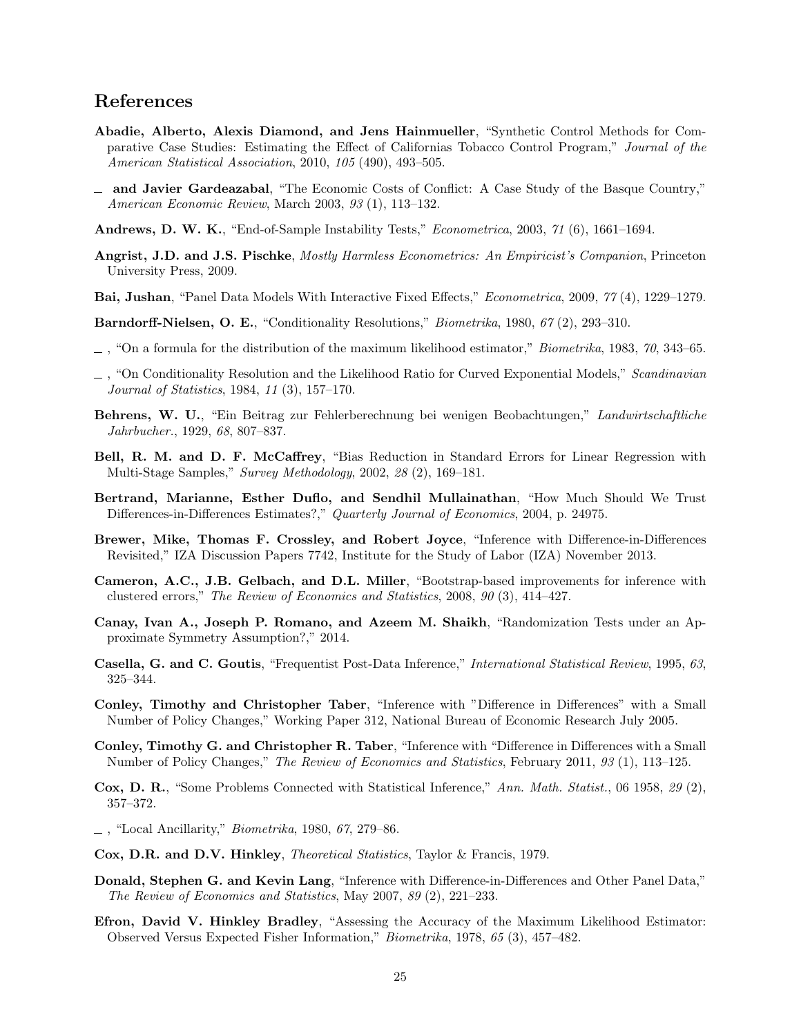# References

- <span id="page-24-9"></span>Abadie, Alberto, Alexis Diamond, and Jens Hainmueller, "Synthetic Control Methods for Comparative Case Studies: Estimating the Effect of Californias Tobacco Control Program," Journal of the American Statistical Association, 2010, 105 (490), 493–505.
- <span id="page-24-8"></span>and Javier Gardeazabal, "The Economic Costs of Conflict: A Case Study of the Basque Country," American Economic Review, March 2003, 93 (1), 113–132.
- <span id="page-24-7"></span>Andrews, D. W. K., "End-of-Sample Instability Tests," Econometrica, 2003, 71 (6), 1661–1694.
- <span id="page-24-1"></span>Angrist, J.D. and J.S. Pischke, Mostly Harmless Econometrics: An Empiricist's Companion, Princeton University Press, 2009.
- <span id="page-24-21"></span>Bai, Jushan, "Panel Data Models With Interactive Fixed Effects," Econometrica, 2009, 77 (4), 1229–1279.

<span id="page-24-15"></span>Barndorff-Nielsen, O. E., "Conditionality Resolutions," Biometrika, 1980, 67 (2), 293-310.

- <span id="page-24-16"></span> $\ldots$ , "On a formula for the distribution of the maximum likelihood estimator," *Biometrika*, 1983, 70, 343–65.
- <span id="page-24-17"></span> $\Box$ , "On Conditionality Resolution and the Likelihood Ratio for Curved Exponential Models," Scandinavian Journal of Statistics, 1984, 11 (3), 157–170.
- <span id="page-24-19"></span>Behrens, W. U., "Ein Beitrag zur Fehlerberechnung bei wenigen Beobachtungen," Landwirtschaftliche Jahrbucher., 1929, 68, 807–837.
- <span id="page-24-20"></span>Bell, R. M. and D. F. McCaffrey, "Bias Reduction in Standard Errors for Linear Regression with Multi-Stage Samples," Survey Methodology, 2002, 28 (2), 169–181.
- <span id="page-24-0"></span>Bertrand, Marianne, Esther Duflo, and Sendhil Mullainathan, "How Much Should We Trust Differences-in-Differences Estimates?," Quarterly Journal of Economics, 2004, p. 24975.
- <span id="page-24-3"></span>Brewer, Mike, Thomas F. Crossley, and Robert Joyce, "Inference with Difference-in-Differences Revisited," IZA Discussion Papers 7742, Institute for the Study of Labor (IZA) November 2013.
- <span id="page-24-2"></span>Cameron, A.C., J.B. Gelbach, and D.L. Miller, "Bootstrap-based improvements for inference with clustered errors," The Review of Economics and Statistics, 2008, 90 (3), 414–427.
- <span id="page-24-4"></span>Canay, Ivan A., Joseph P. Romano, and Azeem M. Shaikh, "Randomization Tests under an Approximate Symmetry Assumption?," 2014.
- <span id="page-24-18"></span>Casella, G. and C. Goutis, "Frequentist Post-Data Inference," International Statistical Review, 1995, 63, 325–344.
- <span id="page-24-10"></span>Conley, Timothy and Christopher Taber, "Inference with "Difference in Differences" with a Small Number of Policy Changes," Working Paper 312, National Bureau of Economic Research July 2005.
- <span id="page-24-6"></span>Conley, Timothy G. and Christopher R. Taber, "Inference with "Difference in Differences with a Small Number of Policy Changes," The Review of Economics and Statistics, February 2011, 93 (1), 113–125.
- <span id="page-24-11"></span>Cox, D. R., "Some Problems Connected with Statistical Inference," Ann. Math. Statist., 06 1958, 29 (2), 357–372.
- <span id="page-24-12"></span> $\overline{\phantom{a}}$ , "Local Ancillarity," *Biometrika*, 1980, 67, 279–86.
- <span id="page-24-13"></span>Cox, D.R. and D.V. Hinkley, Theoretical Statistics, Taylor & Francis, 1979.
- <span id="page-24-5"></span>Donald, Stephen G. and Kevin Lang, "Inference with Difference-in-Differences and Other Panel Data," The Review of Economics and Statistics, May 2007, 89 (2), 221–233.
- <span id="page-24-14"></span>Efron, David V. Hinkley Bradley, "Assessing the Accuracy of the Maximum Likelihood Estimator: Observed Versus Expected Fisher Information," Biometrika, 1978, 65 (3), 457–482.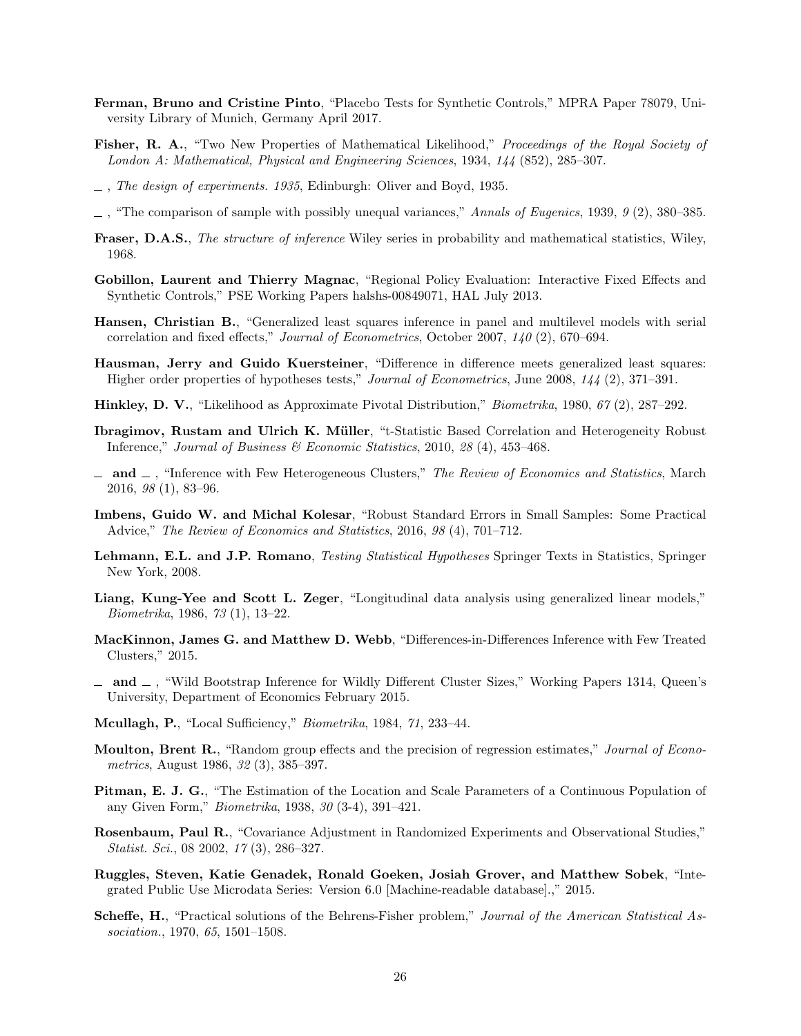- <span id="page-25-8"></span>Ferman, Bruno and Cristine Pinto, "Placebo Tests for Synthetic Controls," MPRA Paper 78079, University Library of Munich, Germany April 2017.
- <span id="page-25-12"></span>Fisher, R. A., "Two New Properties of Mathematical Likelihood," Proceedings of the Royal Society of London A: Mathematical, Physical and Engineering Sciences, 1934, 144 (852), 285–307.
- <span id="page-25-9"></span> $-$ , The design of experiments. 1935, Edinburgh: Oliver and Boyd, 1935.
- <span id="page-25-17"></span> $\Box$ , "The comparison of sample with possibly unequal variances," Annals of Eugenics, 1939, 9 (2), 380–385.
- <span id="page-25-14"></span>Fraser, D.A.S., The structure of inference Wiley series in probability and mathematical statistics, Wiley, 1968.
- <span id="page-25-7"></span>Gobillon, Laurent and Thierry Magnac, "Regional Policy Evaluation: Interactive Fixed Effects and Synthetic Controls," PSE Working Papers halshs-00849071, HAL July 2013.
- <span id="page-25-5"></span>Hansen, Christian B., "Generalized least squares inference in panel and multilevel models with serial correlation and fixed effects," Journal of Econometrics, October 2007, 140 (2), 670–694.
- <span id="page-25-6"></span>Hausman, Jerry and Guido Kuersteiner, "Difference in difference meets generalized least squares: Higher order properties of hypotheses tests," *Journal of Econometrics*, June 2008, 144 (2), 371–391.
- <span id="page-25-15"></span>Hinkley, D. V., "Likelihood as Approximate Pivotal Distribution," Biometrika, 1980, 67 (2), 287–292.
- <span id="page-25-0"></span>Ibragimov, Rustam and Ulrich K. Müller, "t-Statistic Based Correlation and Heterogeneity Robust Inference," Journal of Business & Economic Statistics, 2010, 28 (4), 453-468.
- <span id="page-25-1"></span> $-$  and  $-$ , "Inference with Few Heterogeneous Clusters," The Review of Economics and Statistics, March 2016, 98 (1), 83–96.
- <span id="page-25-19"></span>Imbens, Guido W. and Michal Kolesar, "Robust Standard Errors in Small Samples: Some Practical Advice," The Review of Economics and Statistics, 2016, 98 (4), 701–712.
- <span id="page-25-10"></span>Lehmann, E.L. and J.P. Romano, *Testing Statistical Hypotheses* Springer Texts in Statistics, Springer New York, 2008.
- <span id="page-25-3"></span>Liang, Kung-Yee and Scott L. Zeger, "Longitudinal data analysis using generalized linear models," Biometrika, 1986, 73 (1), 13–22.
- <span id="page-25-2"></span>MacKinnon, James G. and Matthew D. Webb, "Differences-in-Differences Inference with Few Treated Clusters," 2015.
- <span id="page-25-4"></span> $-$  and  $-$ , "Wild Bootstrap Inference for Wildly Different Cluster Sizes," Working Papers 1314, Queen's University, Department of Economics February 2015.
- <span id="page-25-16"></span>Mcullagh, P., "Local Sufficiency," Biometrika, 1984, 71, 233–44.
- <span id="page-25-20"></span>Moulton, Brent R., "Random group effects and the precision of regression estimates," Journal of Econometrics, August 1986, 32 (3), 385–397.
- <span id="page-25-13"></span>Pitman, E. J. G., "The Estimation of the Location and Scale Parameters of a Continuous Population of any Given Form," Biometrika, 1938, 30 (3-4), 391–421.
- <span id="page-25-11"></span>Rosenbaum, Paul R., "Covariance Adjustment in Randomized Experiments and Observational Studies," Statist. Sci., 08 2002, 17 (3), 286–327.
- <span id="page-25-21"></span>Ruggles, Steven, Katie Genadek, Ronald Goeken, Josiah Grover, and Matthew Sobek, "Integrated Public Use Microdata Series: Version 6.0 [Machine-readable database].," 2015.
- <span id="page-25-18"></span>Scheffe, H., "Practical solutions of the Behrens-Fisher problem," Journal of the American Statistical Association., 1970, 65, 1501–1508.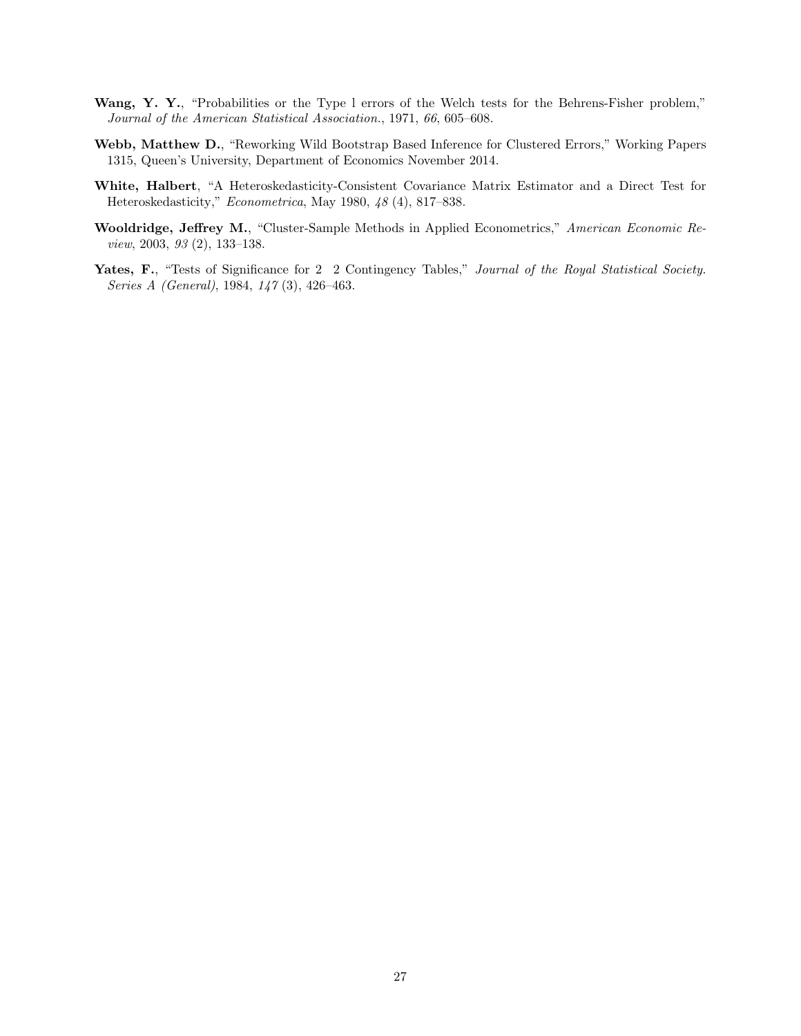- <span id="page-26-3"></span>Wang, Y. Y., "Probabilities or the Type 1 errors of the Welch tests for the Behrens-Fisher problem," Journal of the American Statistical Association., 1971, 66, 605–608.
- <span id="page-26-4"></span>Webb, Matthew D., "Reworking Wild Bootstrap Based Inference for Clustered Errors," Working Papers 1315, Queen's University, Department of Economics November 2014.
- <span id="page-26-0"></span>White, Halbert, "A Heteroskedasticity-Consistent Covariance Matrix Estimator and a Direct Test for Heteroskedasticity," Econometrica, May 1980, 48 (4), 817–838.
- <span id="page-26-1"></span>Wooldridge, Jeffrey M., "Cluster-Sample Methods in Applied Econometrics," American Economic Review, 2003, 93 (2), 133–138.
- <span id="page-26-2"></span>Yates, F., "Tests of Significance for 2 2 Contingency Tables," Journal of the Royal Statistical Society. Series A (General), 1984, 147 (3), 426–463.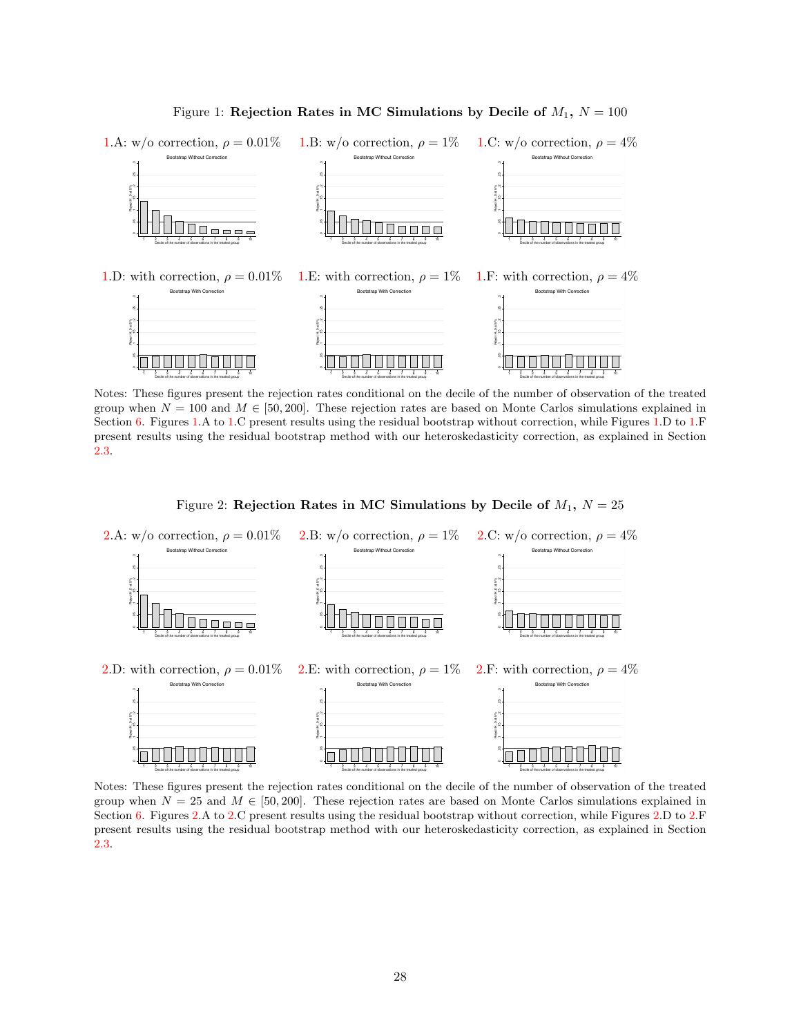

<span id="page-27-0"></span>Figure 1: Rejection Rates in MC Simulations by Decile of  $M_1$ ,  $N = 100$ 

Notes: These figures present the rejection rates conditional on the decile of the number of observation of the treated group when  $N = 100$  and  $M \in [50, 200]$ . These rejection rates are based on Monte Carlos simulations explained in Section [6.](#page-17-0) Figures [1.](#page-27-0)A to 1.C present results using the residual bootstrap without correction, while Figures 1.D to 1.F present results using the residual bootstrap method with our heteroskedasticity correction, as explained in Section [2.3.](#page-9-0)

<span id="page-27-1"></span>



Notes: These figures present the rejection rates conditional on the decile of the number of observation of the treated group when  $N = 25$  and  $M \in [50, 200]$ . These rejection rates are based on Monte Carlos simulations explained in Section [6.](#page-17-0) Figures [2.](#page-27-1)A to [2.](#page-27-1)C present results using the residual bootstrap without correction, while Figures [2.](#page-27-1)D to [2.](#page-27-1)F present results using the residual bootstrap method with our heteroskedasticity correction, as explained in Section [2.3.](#page-9-0)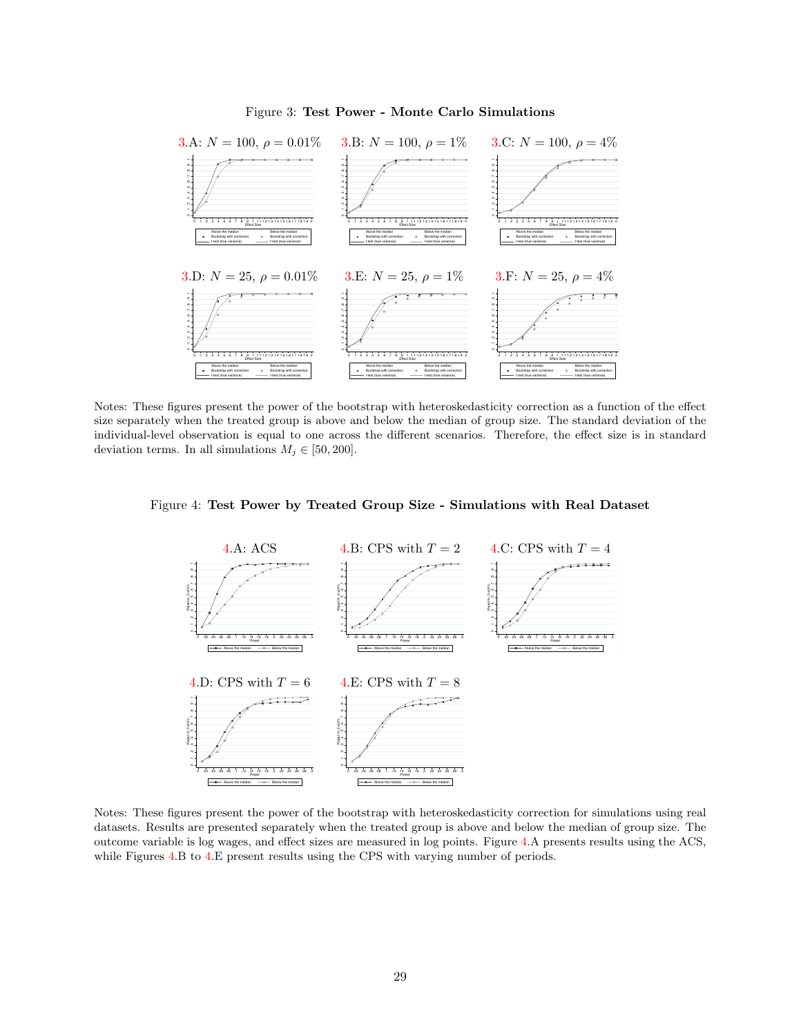

#### <span id="page-28-0"></span>Figure 3: Test Power - Monte Carlo Simulations

Notes: These figures present the power of the bootstrap with heteroskedasticity correction as a function of the effect size separately when the treated group is above and below the median of group size. The standard deviation of the individual-level observation is equal to one across the different scenarios. Therefore, the effect size is in standard deviation terms. In all simulations  $M_j \in [50, 200]$ .



<span id="page-28-1"></span>

Notes: These figures present the power of the bootstrap with heteroskedasticity correction for simulations using real datasets. Results are presented separately when the treated group is above and below the median of group size. The outcome variable is log wages, and effect sizes are measured in log points. Figure [4.](#page-28-1)A presents results using the ACS, while Figures [4.](#page-28-1)B to [4.](#page-28-1)E present results using the CPS with varying number of periods.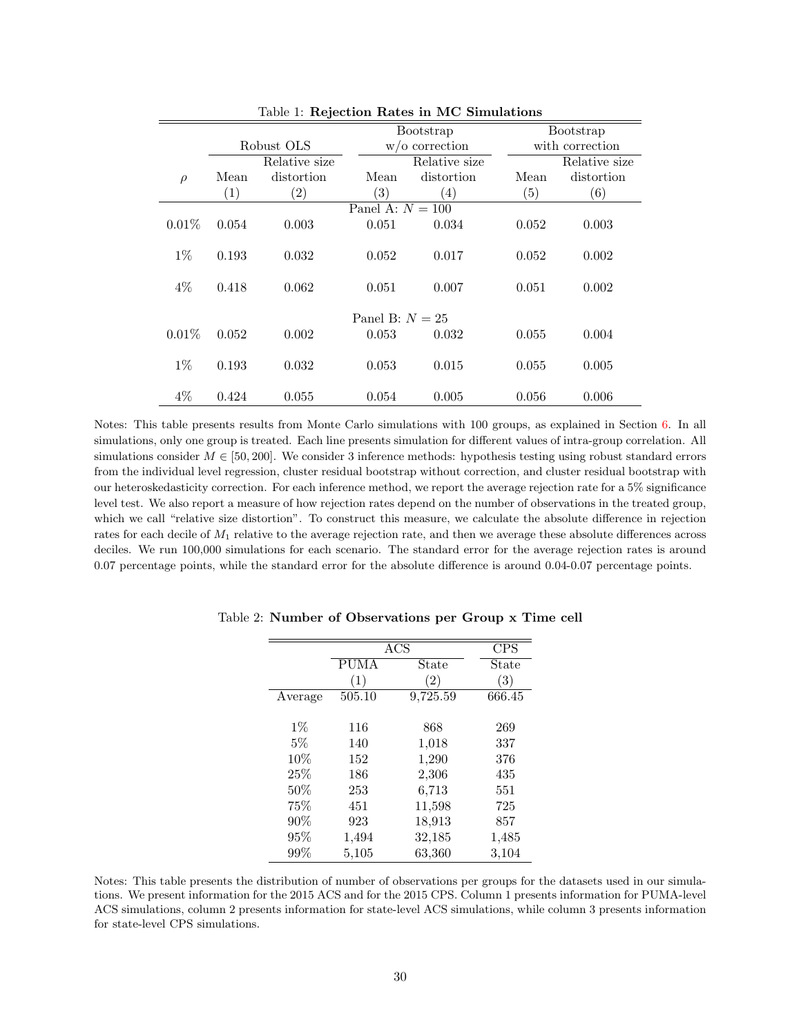|        |                   |                   |                    | Bootstrap         |       | Bootstrap       |
|--------|-------------------|-------------------|--------------------|-------------------|-------|-----------------|
|        |                   | Robust OLS        |                    | $w$ /o correction |       | with correction |
|        |                   | Relative size     |                    | Relative size     |       | Relative size   |
| $\rho$ | Mean              | distortion        | Mean               | distortion        | Mean  | distortion      |
|        | $\left( 1\right)$ | $\left( 2\right)$ | $\left( 3\right)$  | (4)               | (5)   | (6)             |
|        |                   |                   | Panel A: $N = 100$ |                   |       |                 |
| 0.01%  | 0.054             | 0.003             | 0.051              | 0.034             | 0.052 | 0.003           |
|        |                   |                   |                    |                   |       |                 |
| $1\%$  | 0.193             | 0.032             | 0.052              | 0.017             | 0.052 | 0.002           |
|        |                   |                   |                    |                   |       |                 |
| $4\%$  | 0.418             | 0.062             | 0.051              | 0.007             | 0.051 | 0.002           |
|        |                   |                   |                    |                   |       |                 |
|        |                   |                   | Panel B: $N = 25$  |                   |       |                 |
| 0.01%  | 0.052             | 0.002             | 0.053              | 0.032             | 0.055 | 0.004           |
|        |                   |                   |                    |                   |       |                 |
| $1\%$  | 0.193             | 0.032             | 0.053              | 0.015             | 0.055 | 0.005           |
|        |                   |                   |                    |                   |       |                 |
| $4\%$  | 0.424             | 0.055             | 0.054              | 0.005             | 0.056 | 0.006           |

<span id="page-29-0"></span>Table 1: Rejection Rates in MC Simulations

Notes: This table presents results from Monte Carlo simulations with 100 groups, as explained in Section [6.](#page-17-0) In all simulations, only one group is treated. Each line presents simulation for different values of intra-group correlation. All simulations consider  $M \in [50, 200]$ . We consider 3 inference methods: hypothesis testing using robust standard errors from the individual level regression, cluster residual bootstrap without correction, and cluster residual bootstrap with our heteroskedasticity correction. For each inference method, we report the average rejection rate for a 5% significance level test. We also report a measure of how rejection rates depend on the number of observations in the treated group, which we call "relative size distortion". To construct this measure, we calculate the absolute difference in rejection rates for each decile of  $M_1$  relative to the average rejection rate, and then we average these absolute differences across deciles. We run 100,000 simulations for each scenario. The standard error for the average rejection rates is around 0.07 percentage points, while the standard error for the absolute difference is around 0.04-0.07 percentage points.

<span id="page-29-1"></span>

|                  |                   | <b>CPS</b> |
|------------------|-------------------|------------|
| <b>PUMA</b>      | State             | State      |
| $\left(1\right)$ | $\left( 2\right)$ | (3)        |
| 505.10           | 9,725.59          | 666.45     |
|                  |                   |            |
| 116              | 868               | 269        |
| 140              | 1,018             | 337        |
| 152              | 1,290             | 376        |
| 186              | 2,306             | 435        |
| 253              | 6,713             | 551        |
| 451              | 11,598            | 725        |
| 923              | 18,913            | 857        |
| 1,494            | 32,185            | 1,485      |
| 5,105            | 63,360            | 3,104      |
|                  |                   | ACS        |

Table 2: Number of Observations per Group x Time cell

Notes: This table presents the distribution of number of observations per groups for the datasets used in our simulations. We present information for the 2015 ACS and for the 2015 CPS. Column 1 presents information for PUMA-level ACS simulations, column 2 presents information for state-level ACS simulations, while column 3 presents information for state-level CPS simulations.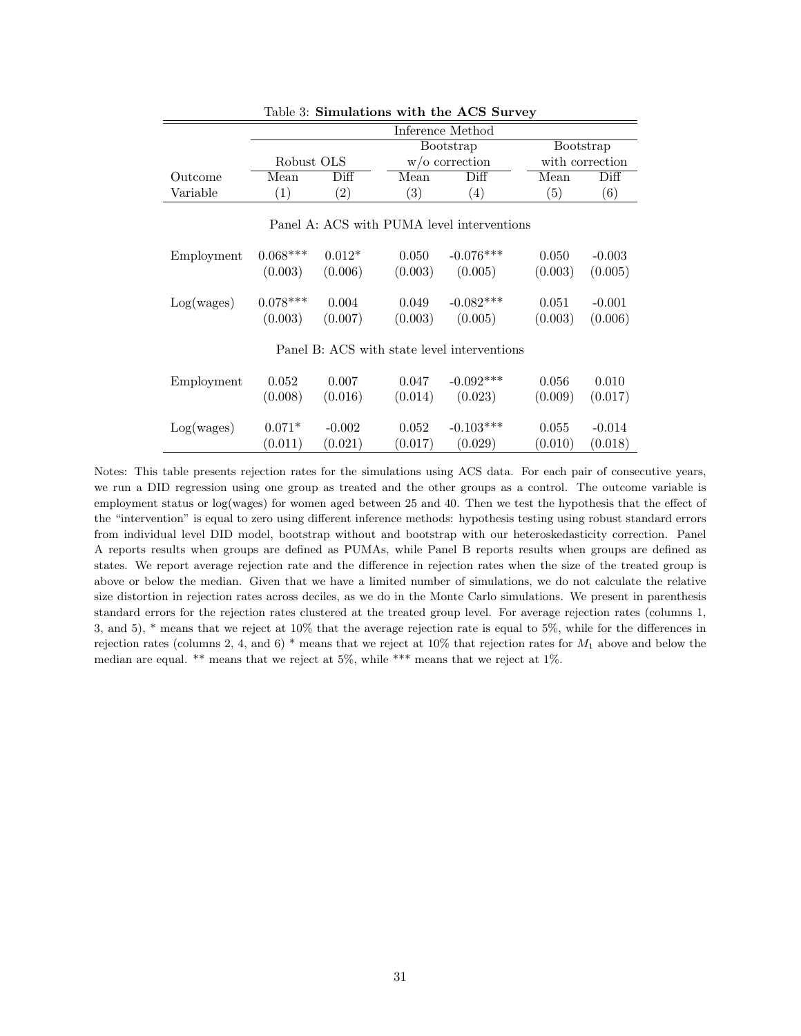|                                            | Lable 5. SHIRTHALLOIDS WITH THE ACS SUIVEY |          |         |                                             |         |                 |  |  |  |
|--------------------------------------------|--------------------------------------------|----------|---------|---------------------------------------------|---------|-----------------|--|--|--|
|                                            |                                            |          |         | Inference Method                            |         |                 |  |  |  |
|                                            |                                            |          |         | Bootstrap                                   |         | Bootstrap       |  |  |  |
|                                            | Robust OLS                                 |          |         | $w$ /o correction                           |         | with correction |  |  |  |
| Outcome                                    | Mean                                       | Diff     | Mean    | Diff                                        | Mean    | Diff            |  |  |  |
| Variable                                   | (1)                                        | (2)      | (3)     | (4)                                         | (5)     | (6)             |  |  |  |
| Panel A: ACS with PUMA level interventions |                                            |          |         |                                             |         |                 |  |  |  |
| Employment                                 | $0.068***$                                 | $0.012*$ | 0.050   | $-0.076***$                                 | 0.050   | $-0.003$        |  |  |  |
|                                            | (0.003)                                    | (0.006)  | (0.003) | (0.005)                                     | (0.003) | (0.005)         |  |  |  |
| Log(wages)                                 | $0.078***$                                 | 0.004    | 0.049   | $-0.082***$                                 | 0.051   | $-0.001$        |  |  |  |
|                                            | (0.003)                                    | (0.007)  | (0.003) | (0.005)                                     | (0.003) | (0.006)         |  |  |  |
|                                            |                                            |          |         | Panel B: ACS with state level interventions |         |                 |  |  |  |
| Employment                                 | 0.052                                      | 0.007    | 0.047   | $-0.092***$                                 | 0.056   | 0.010           |  |  |  |
|                                            | (0.008)                                    | (0.016)  | (0.014) | (0.023)                                     | (0.009) | (0.017)         |  |  |  |
| Log(wages)                                 | $0.071*$                                   | $-0.002$ | 0.052   | $-0.103***$                                 | 0.055   | $-0.014$        |  |  |  |
|                                            | (0.011)                                    | (0.021)  | (0.017) | (0.029)                                     | (0.010) | (0.018)         |  |  |  |

## <span id="page-30-0"></span>Table 3: Simulations with the ACS Survey

Notes: This table presents rejection rates for the simulations using ACS data. For each pair of consecutive years, we run a DID regression using one group as treated and the other groups as a control. The outcome variable is employment status or log(wages) for women aged between 25 and 40. Then we test the hypothesis that the effect of the "intervention" is equal to zero using different inference methods: hypothesis testing using robust standard errors from individual level DID model, bootstrap without and bootstrap with our heteroskedasticity correction. Panel A reports results when groups are defined as PUMAs, while Panel B reports results when groups are defined as states. We report average rejection rate and the difference in rejection rates when the size of the treated group is above or below the median. Given that we have a limited number of simulations, we do not calculate the relative size distortion in rejection rates across deciles, as we do in the Monte Carlo simulations. We present in parenthesis standard errors for the rejection rates clustered at the treated group level. For average rejection rates (columns 1, 3, and 5), \* means that we reject at 10% that the average rejection rate is equal to 5%, while for the differences in rejection rates (columns 2, 4, and 6) \* means that we reject at 10% that rejection rates for  $M_1$  above and below the median are equal. \*\* means that we reject at 5%, while \*\*\* means that we reject at 1%.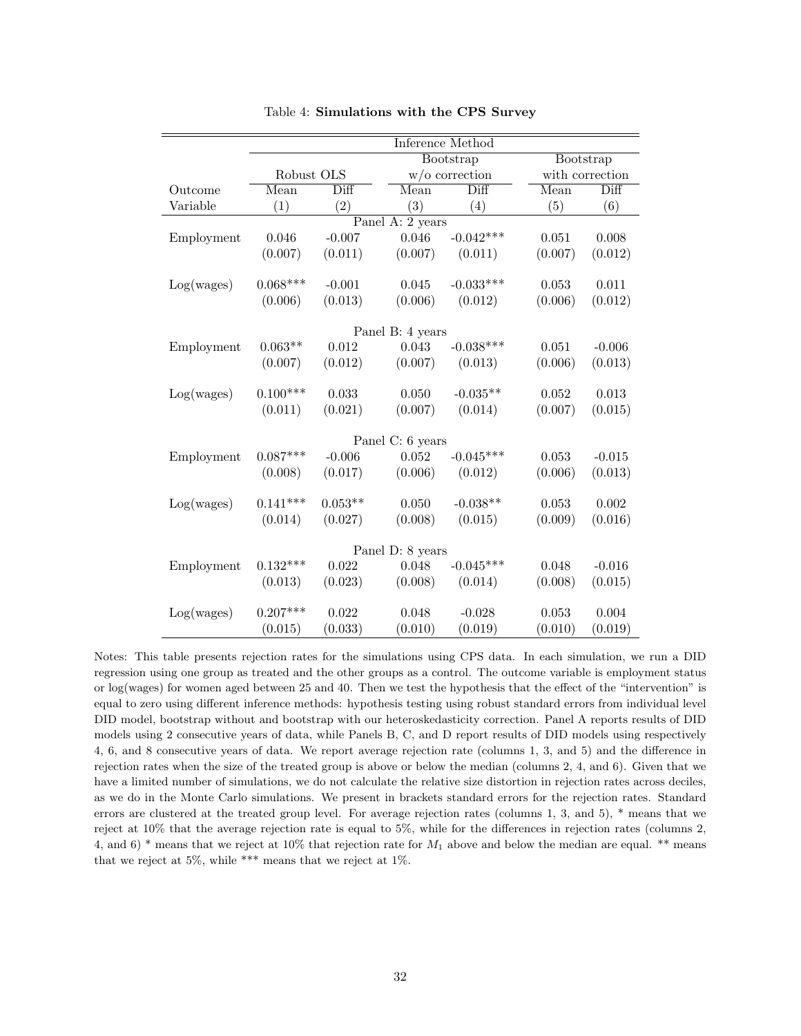|            |                                 |                            |                  | Inference Method           |         |                 |
|------------|---------------------------------|----------------------------|------------------|----------------------------|---------|-----------------|
|            |                                 |                            |                  | Bootstrap                  |         | Bootstrap       |
|            | Robust OLS<br>$w$ /o correction |                            |                  |                            |         | with correction |
| Outcome    | Mean                            | $\overline{\mathrm{Diff}}$ | Mean             | $\overline{\mathrm{Diff}}$ | Mean    | Diff            |
| Variable   | (1)                             | (2)                        | (3)              | (4)                        | (5)     | (6)             |
|            |                                 |                            | Panel A: 2 years |                            |         |                 |
| Employment | 0.046                           | $-0.007$                   | 0.046            | $-0.042***$                | 0.051   | 0.008           |
|            | (0.007)                         | (0.011)                    | (0.007)          | (0.011)                    | (0.007) | (0.012)         |
|            | $0.068***$                      |                            | 0.045            | $-0.033***$                |         | 0.011           |
| Log(wages) |                                 | $-0.001$                   |                  |                            | 0.053   |                 |
|            | (0.006)                         | (0.013)                    | (0.006)          | (0.012)                    | (0.006) | (0.012)         |
|            |                                 |                            | Panel B: 4 years |                            |         |                 |
| Employment | $0.063**$                       | 0.012                      | 0.043            | $-0.038***$                | 0.051   | $-0.006$        |
|            | (0.007)                         | (0.012)                    | (0.007)          | (0.013)                    | (0.006) | (0.013)         |
|            |                                 |                            |                  |                            |         |                 |
| Log(wages) | $0.100***$                      | 0.033                      | 0.050            | $-0.035**$                 | 0.052   | 0.013           |
|            | (0.011)                         | (0.021)                    | (0.007)          | (0.014)                    | (0.007) | (0.015)         |
|            |                                 |                            | Panel C: 6 years |                            |         |                 |
| Employment | $0.087***$                      | $-0.006$                   | 0.052            | $-0.045***$                | 0.053   | $-0.015$        |
|            | (0.008)                         | (0.017)                    | (0.006)          | (0.012)                    | (0.006) | (0.013)         |
|            |                                 |                            |                  |                            |         |                 |
| Log(wages) | $0.141***$                      | $0.053**$                  | 0.050            | $-0.038**$                 | 0.053   | 0.002           |
|            | (0.014)                         | (0.027)                    | (0.008)          | (0.015)                    | (0.009) | (0.016)         |
|            |                                 |                            |                  |                            |         |                 |
|            |                                 |                            | Panel D: 8 years |                            |         |                 |
| Employment | $0.132***$                      | 0.022                      | 0.048            | $-0.045***$                | 0.048   | $-0.016$        |
|            | (0.013)                         | (0.023)                    | (0.008)          | (0.014)                    | (0.008) | (0.015)         |
| Log(wages) | $0.207***$                      | 0.022                      | 0.048            | $-0.028$                   | 0.053   | 0.004           |
|            | (0.015)                         | (0.033)                    | (0.010)          | (0.019)                    | (0.010) | (0.019)         |

<span id="page-31-0"></span>Table 4: Simulations with the CPS Survey

Notes: This table presents rejection rates for the simulations using CPS data. In each simulation, we run a DID regression using one group as treated and the other groups as a control. The outcome variable is employment status or log(wages) for women aged between 25 and 40. Then we test the hypothesis that the effect of the "intervention" is equal to zero using different inference methods: hypothesis testing using robust standard errors from individual level DID model, bootstrap without and bootstrap with our heteroskedasticity correction. Panel A reports results of DID models using 2 consecutive years of data, while Panels B, C, and D report results of DID models using respectively 4, 6, and 8 consecutive years of data. We report average rejection rate (columns 1, 3, and 5) and the difference in rejection rates when the size of the treated group is above or below the median (columns 2, 4, and 6). Given that we have a limited number of simulations, we do not calculate the relative size distortion in rejection rates across deciles, as we do in the Monte Carlo simulations. We present in brackets standard errors for the rejection rates. Standard errors are clustered at the treated group level. For average rejection rates (columns 1, 3, and 5), \* means that we reject at 10% that the average rejection rate is equal to 5%, while for the differences in rejection rates (columns 2, 4, and 6) \* means that we reject at 10% that rejection rate for  $M_1$  above and below the median are equal. \*\* means that we reject at 5%, while \*\*\* means that we reject at 1%.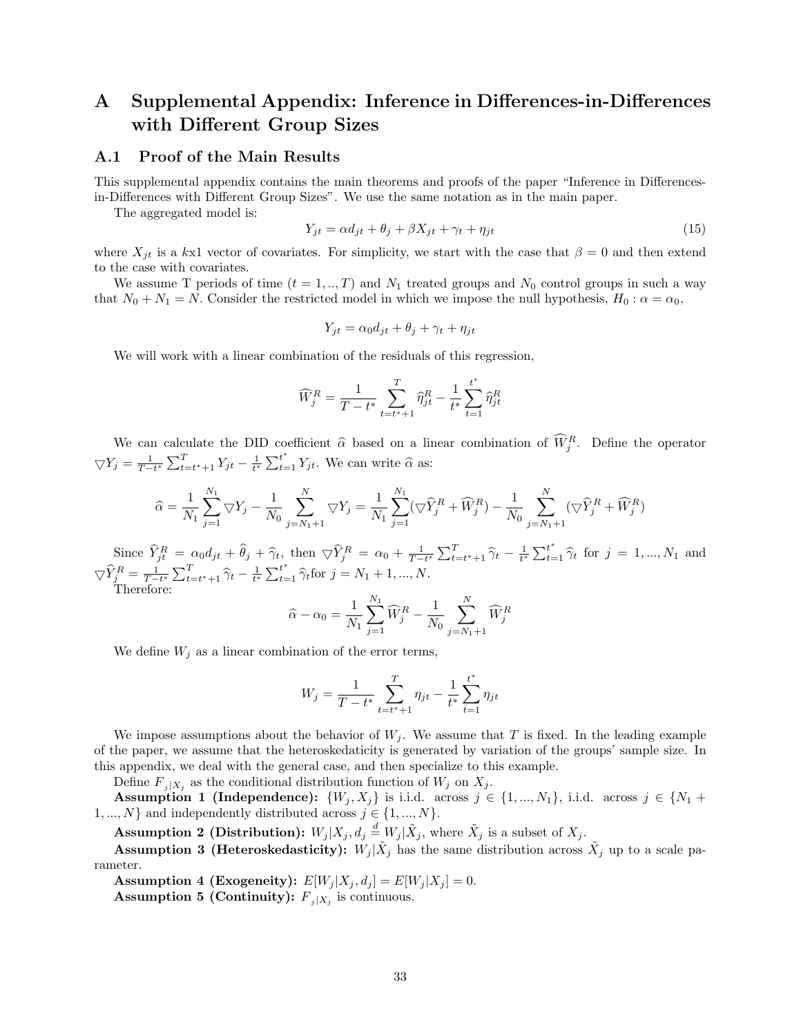# A Supplemental Appendix: Inference in Differences-in-Differences with Different Group Sizes

#### <span id="page-32-0"></span>A.1 Proof of the Main Results

This supplemental appendix contains the main theorems and proofs of the paper "Inference in Differencesin-Differences with Different Group Sizes". We use the same notation as in the main paper.

The aggregated model is:

$$
Y_{jt} = \alpha d_{jt} + \theta_j + \beta X_{jt} + \gamma_t + \eta_{jt}
$$
\n
$$
(15)
$$

where  $X_{jt}$  is a kx1 vector of covariates. For simplicity, we start with the case that  $\beta = 0$  and then extend to the case with covariates.

We assume T periods of time  $(t = 1, ..., T)$  and  $N_1$  treated groups and  $N_0$  control groups in such a way that  $N_0 + N_1 = N$ . Consider the restricted model in which we impose the null hypothesis,  $H_0: \alpha = \alpha_0$ ,

$$
Y_{jt} = \alpha_0 d_{jt} + \theta_j + \gamma_t + \eta_{jt}
$$

We will work with a linear combination of the residuals of this regression.

$$
\widehat{W}_{j}^{R} = \frac{1}{T - t^{*}} \sum_{t = t^{*}+1}^{T} \widehat{\eta}_{jt}^{R} - \frac{1}{t^{*}} \sum_{t=1}^{t^{*}} \widehat{\eta}_{jt}^{R}
$$

We can calculate the DID coefficient  $\hat{\alpha}$  based on a linear combination of  $\hat{W}_j^R$ . Define the operator  $\nabla Y_j = \frac{1}{T-t^*} \sum_{t=t^*+1}^T Y_{jt} - \frac{1}{t^*} \sum_{t=1}^{t^*} Y_{jt}.$  We can write  $\hat{\alpha}$  as:

$$
\widehat{\alpha} = \frac{1}{N_1} \sum_{j=1}^{N_1} \nabla Y_j - \frac{1}{N_0} \sum_{j=N_1+1}^{N} \nabla Y_j = \frac{1}{N_1} \sum_{j=1}^{N_1} (\nabla \widehat{Y}_j^R + \widehat{W}_j^R) - \frac{1}{N_0} \sum_{j=N_1+1}^{N} (\nabla \widehat{Y}_j^R + \widehat{W}_j^R)
$$

Since  $\widehat{Y}_{jt}^R = \alpha_0 d_{jt} + \widehat{\theta}_j + \widehat{\gamma}_t$ , then  $\nabla \widehat{Y}_j^R = \alpha_0 + \frac{1}{T-t^*} \sum_{t=t^*+1}^T \widehat{\gamma}_t - \frac{1}{t^*} \sum_{t=1}^{t^*} \widehat{\gamma}_t$  for  $j = 1, ..., N_1$  and  $\nabla \widehat{Y}_{j}^{R} = \frac{1}{T-t^{*}} \sum_{t=t^{*}+1}^{T} \widehat{\gamma}_{t} - \frac{1}{t^{*}} \sum_{t=1}^{t^{*}} \widehat{\gamma}_{t}$  for  $j = N_{1} + 1, ..., N$ .<br>Therefore:

$$
\widehat{\alpha} - \alpha_0 = \frac{1}{N_1} \sum_{j=1}^{N_1} \widehat{W}_j^R - \frac{1}{N_0} \sum_{j=N_1+1}^{N} \widehat{W}_j^R
$$

We define  $W_j$  as a linear combination of the error terms,

$$
W_j = \frac{1}{T - t^*} \sum_{t = t^* + 1}^T \eta_{jt} - \frac{1}{t^*} \sum_{t = 1}^{t^*} \eta_{jt}
$$

We impose assumptions about the behavior of  $W_i$ . We assume that T is fixed. In the leading example of the paper, we assume that the heteroskedaticity is generated by variation of the groups' sample size. In this appendix, we deal with the general case, and then specialize to this example.

Define  $F_{j|X_j}$  as the conditional distribution function of  $W_j$  on  $X_j$ .

Assumption 1 (Independence):  $\{W_j, X_j\}$  is i.i.d. across  $j \in \{1, ..., N_1\}$ , i.i.d. across  $j \in \{N_1 +$ 1, ..., N} and independently distributed across  $j \in \{1, ..., N\}$ .

**Assumption 2 (Distribution):**  $W_j | X_j, d_j \stackrel{d}{=} W_j | \tilde{X}_j$ , where  $\tilde{X}_j$  is a subset of  $X_j$ .

**Assumption 3 (Heteroskedasticity):**  $W_j | \tilde{X}_j$  has the same distribution across  $\tilde{X}_j$  up to a scale parameter.

Assumption 4 (Exogeneity):  $E[W_j | X_j, d_j] = E[W_j | X_j] = 0$ .

<span id="page-32-1"></span>**Assumption 5 (Continuity):**  $F_{j|X_j}$  is continuous.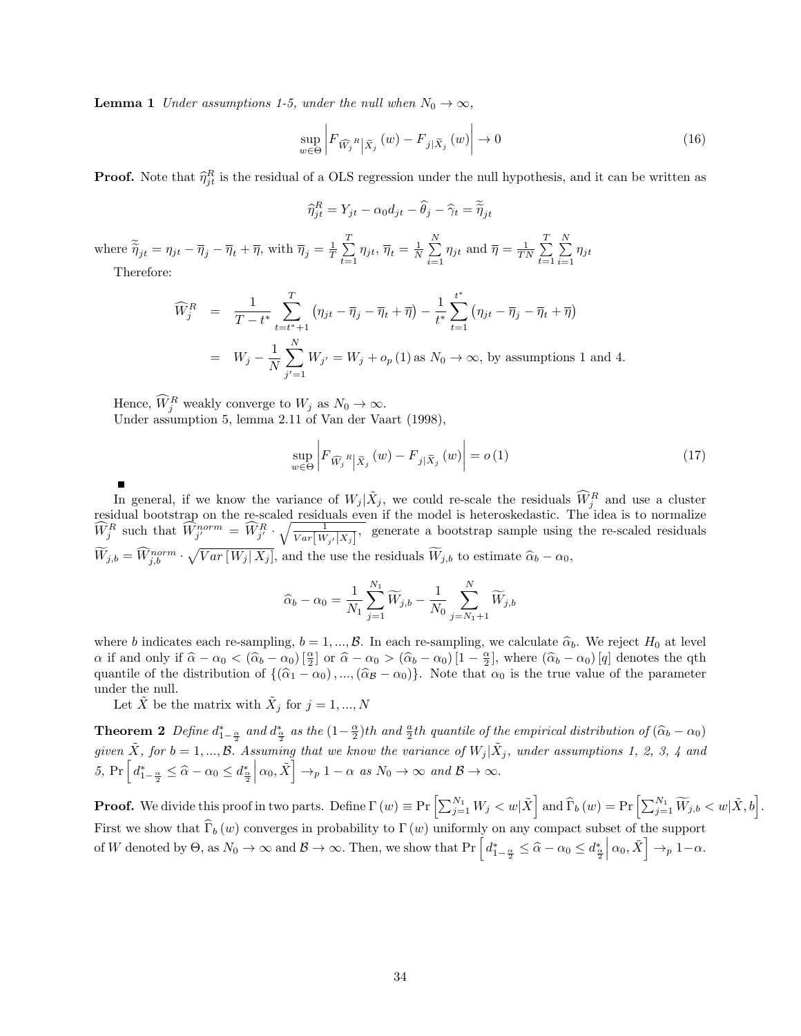**Lemma 1** Under assumptions 1-5, under the null when  $N_0 \rightarrow \infty$ ,

$$
\sup_{w \in \Theta} \left| F_{\widehat{W_j}^R} \middle|_{\widetilde{X}_j} (w) - F_{j|\widetilde{X}_j} (w) \right| \to 0 \tag{16}
$$

**Proof.** Note that  $\hat{\eta}_{jt}^R$  is the residual of a OLS regression under the null hypothesis, and it can be written as

$$
\widehat{\eta}_{jt}^R = Y_{jt} - \alpha_0 d_{jt} - \widehat{\theta}_j - \widehat{\gamma}_t = \widetilde{\widetilde{\eta}}_{jt}
$$

where  $\widetilde{\tilde{\eta}}_{jt} = \eta_{jt} - \overline{\eta}_j - \overline{\eta}_t + \overline{\eta}$ , with  $\overline{\eta}_j = \frac{1}{T} \sum_{t=1}^T$  $\sum_{t=1}^T \eta_{jt}, \overline{\eta}_t = \frac{1}{N} \sum_{i=1}^N$  $\sum_{i=1}^{N} \eta_{jt}$  and  $\overline{\eta} = \frac{1}{TN} \sum_{t=1}^{T}$  $t=1$  $\sum_{i=1}^{N}$  $\sum_{i=1} \eta_{jt}$ 

Therefore:

$$
\widehat{W}_{j}^{R} = \frac{1}{T - t^{*}} \sum_{t=t^{*}+1}^{T} (\eta_{jt} - \overline{\eta}_{j} - \overline{\eta}_{t} + \overline{\eta}) - \frac{1}{t^{*}} \sum_{t=1}^{t^{*}} (\eta_{jt} - \overline{\eta}_{j} - \overline{\eta}_{t} + \overline{\eta})
$$
  
\n=  $W_{j} - \frac{1}{N} \sum_{j'=1}^{N} W_{j'} = W_{j} + o_{p}(1)$  as  $N_{0} \to \infty$ , by assumptions 1 and 4.

Hence,  $\widehat{W}_j^R$  weakly converge to  $W_j$  as  $N_0 \to \infty$ . Under assumption 5, lemma 2.11 of Van der Vaart (1998),

$$
\sup_{w \in \Theta} \left| F_{\widehat{W_j}^R} \left| \tilde{X}_j \left( w \right) - F_{j \mid \widetilde{X}_j} \left( w \right) \right| = o(1) \tag{17}
$$

In general, if we know the variance of  $W_j | \tilde{X}_j$ , we could re-scale the residuals  $\widehat{W}_j^R$  and use a cluster residual bootstrap on the re-scaled residuals even if the model is heteroskedastic. The idea is to normalize  $\widehat{W}_{j}^{R}$  such that  $\widehat{W}_{j'}^{norm} = \widehat{W}_{j'}^{R} \cdot \sqrt{\frac{1}{Var[W_{j'}|X_{j}]}}$ , generate a bootstrap sample using the re-scaled residuals  $W_{j,b} = W_{j,b}^{norm} \cdot \sqrt{Var[W_j|X_j]}$ , and the use the residuals  $W_{j,b}$  to estimate  $\hat{\alpha}_b - \alpha_0$ ,

<span id="page-33-0"></span>
$$
\widehat{\alpha}_b - \alpha_0 = \frac{1}{N_1} \sum_{j=1}^{N_1} \widetilde{W}_{j,b} - \frac{1}{N_0} \sum_{j=N_1+1}^{N} \widetilde{W}_{j,b}
$$

where b indicates each re-sampling,  $b = 1, ..., B$ . In each re-sampling, we calculate  $\hat{\alpha}_b$ . We reject  $H_0$  at level  $\alpha$  if and only if  $\hat{\alpha} - \alpha_0 < (\hat{\alpha}_b - \alpha_0) [\frac{\alpha}{2}]$  or  $\hat{\alpha} - \alpha_0 > (\hat{\alpha}_b - \alpha_0) [1 - \frac{\alpha}{2}]$ , where  $(\hat{\alpha}_b - \alpha_0) [q]$  denotes the qth quantile of the distribution of  $\{(\hat{\alpha}_1 - \alpha_0), ..., (\hat{\alpha}_B - \alpha_0)\}\$ . Note that  $\alpha_0$  is the true value of the parameter under the null.

Let  $\tilde{X}$  be the matrix with  $\tilde{X}_j$  for  $j = 1, ..., N$ 

**Theorem 2** Define  $d_{\frac{4}{3}}^*$  as the  $(1-\frac{\alpha}{2})$ th and  $\frac{a}{2}$ th quantile of the empirical distribution of  $(\widehat{\alpha}_b - \alpha_0)$ given  $\tilde{X}$ , for  $b = 1, ..., B$ . Assuming that we know the variance of  $W_j | \tilde{X}_j$ , under assumptions 1, 2, 3, 4 and 5, Pr  $\left[ d_{1-\frac{\alpha}{2}}^{*} \leq \widehat{\alpha} - \alpha_0 \leq d_{\frac{\alpha}{2}}^{*} \right]$  $\left[\alpha_0, \tilde{X}\right] \to_p 1 - \alpha \text{ as } N_0 \to \infty \text{ and } \mathcal{B} \to \infty.$ 

**Proof.** We divide this proof in two parts. Define  $\Gamma(w) \equiv \Pr\left[\sum_{j=1}^{N_1} W_j < w | \tilde{X}\right]$  and  $\widehat{\Gamma}_b\left(w\right) = \Pr\left[\sum_{j=1}^{N_1} \widetilde{W}_{j,b} < w | \tilde{X},b\right]$ . First we show that  $\widehat{\Gamma}_b (w)$  converges in probability to  $\Gamma (w)$  uniformly on any compact subset of the support of W denoted by  $\Theta$ , as  $N_0 \to \infty$  and  $\mathcal{B} \to \infty$ . Then, we show that  $Pr\left[d_{1-\frac{\alpha}{2}}^* \leq \widehat{\alpha} - \alpha_0 \leq d_{\frac{\alpha}{2}}^*\right]$  $\left[\alpha_0, \tilde{X}\right] \rightarrow_p 1-\alpha.$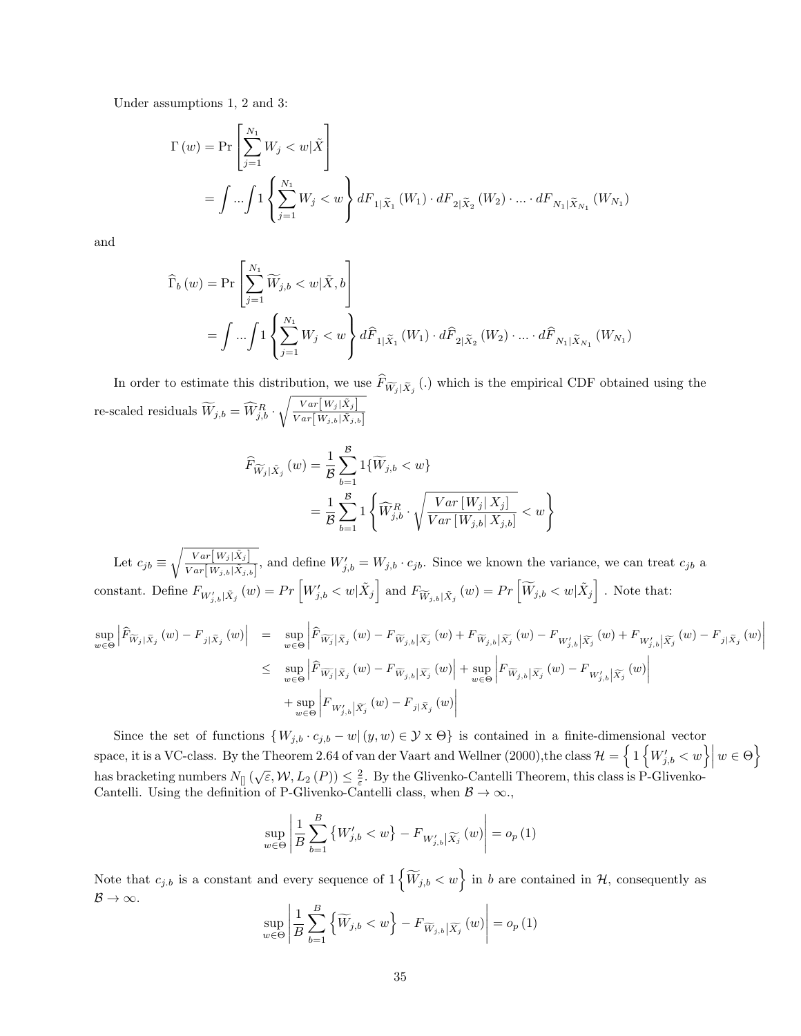Under assumptions 1, 2 and 3:

$$
\Gamma(w) = \Pr\left[\sum_{j=1}^{N_1} W_j < w | \tilde{X} \right]
$$
\n
$$
= \int \dots \int 1 \left\{ \sum_{j=1}^{N_1} W_j < w \right\} dF_{1 | \tilde{X}_1} \left( W_1 \right) \cdot dF_{2 | \tilde{X}_2} \left( W_2 \right) \cdot \dots \cdot dF_{N_1 | \tilde{X}_{N_1}} \left( W_{N_1} \right)
$$

and

$$
\widehat{\Gamma}_{b}(w) = \Pr\left[\sum_{j=1}^{N_{1}} \widetilde{W}_{j,b} < w | \tilde{X}, b\right]
$$
\n
$$
= \int \dots \int 1 \left\{\sum_{j=1}^{N_{1}} W_{j} < w\right\} d\widehat{F}_{1|\tilde{X}_{1}}(W_{1}) \cdot d\widehat{F}_{2|\tilde{X}_{2}}(W_{2}) \cdot \dots \cdot d\widehat{F}_{N_{1}|\tilde{X}_{N_{1}}}(W_{N_{1}})
$$

In order to estimate this distribution, we use  $F_{\widetilde{W}_j | \widetilde{X}_j}$  (.) which is the empirical CDF obtained using the re-scaled residuals  $\widetilde{W}_{j,b} = \widehat{W}_{j,b}^R \cdot \sqrt{\frac{Var[W_j|\tilde{X}_j]}{Var[W_{j,b}|\tilde{X}_{j,b}]} }$  $Var[W_{j,b}|\tilde{X}_{j,b}]$ 

$$
\widehat{F}_{\widetilde{W}_j|\tilde{X}_j}(w) = \frac{1}{\mathcal{B}} \sum_{b=1}^{\mathcal{B}} 1\{\widetilde{W}_{j,b} < w\}
$$
\n
$$
= \frac{1}{\mathcal{B}} \sum_{b=1}^{\mathcal{B}} 1\left\{\widehat{W}_{j,b}^R \cdot \sqrt{\frac{Var[W_j|X_j]}{Var[W_{j,b}|X_{j,b}]}} < w\right\}
$$

Let  $c_{jb} \equiv \sqrt{\frac{Var[W_j|\tilde{X}_j]}{Var[W_j|\tilde{X}_j]}}$  $\frac{Var[W_j|X_j]}{Var[W_{j,b}|\tilde{X}_{j,b}]}$ , and define  $W'_{j,b} = W_{j,b} \cdot c_{jb}$ . Since we known the variance, we can treat  $c_{jb}$  a constant. Define  $F_{W'_{j,b}|\tilde{X}_j}(w) = Pr \left[ W'_{j,b} < w | \tilde{X}_j \right]$  and  $F_{\widetilde{W}_{j,b}|\tilde{X}_j}(w) = Pr \left[ \widetilde{W}_{j,b} < w | \tilde{X}_j \right]$ . Note that:

$$
\sup_{w \in \Theta} \left| \widehat{F}_{\widetilde{W}_{j}|\widetilde{X}_{j}}(w) - F_{j|\widetilde{X}_{j}}(w) \right| = \sup_{w \in \Theta} \left| \widehat{F}_{\widetilde{W}_{j}|\widetilde{X}_{j}}(w) - F_{\widetilde{W}_{j,b}|\widetilde{X}_{j}}(w) + F_{\widetilde{W}_{j,b}|\widetilde{X}_{j}}(w) - F_{W'_{j,b}|\widetilde{X}_{j}}(w) + F_{W'_{j,b}|\widetilde{X}_{j}}(w) - F_{j|\widetilde{X}_{j}}(w) \right|
$$
  
\n
$$
\leq \sup_{w \in \Theta} \left| \widehat{F}_{\widetilde{W}_{j}|\widetilde{X}_{j}}(w) - F_{\widetilde{W}_{j,b}|\widetilde{X}_{j}}(w) \right| + \sup_{w \in \Theta} \left| F_{\widetilde{W}_{j,b}|\widetilde{X}_{j}}(w) - F_{W'_{j,b}|\widetilde{X}_{j}}(w) \right|
$$

Since the set of functions  $\{W_{j,b} \cdot c_{j,b} - w \mid (y,w) \in \mathcal{Y} \times \Theta\}$  is contained in a finite-dimensional vector space, it is a VC-class. By the Theorem 2.64 of van der Vaart and Wellner (2000), the class  $\mathcal{H} = \left\{1 \left\{W'_{j,b} < w\right\} \middle| w \in \Theta\right\}$ has bracketing numbers  $N_{[]}(\sqrt{\varepsilon}, \mathcal{W}, L_2(P)) \leq \frac{2}{\varepsilon}$ . By the Glivenko-Cantelli Theorem, this class is P-Glivenko-Cantelli. Using the definition of P-Glivenko-Cantelli class, when  $\mathcal{B} \to \infty$ .

$$
\sup_{w \in \Theta} \left| \frac{1}{B} \sum_{b=1}^{B} \left\{ W'_{j,b} < w \right\} - F_{W'_{j,b} | \widetilde{X}_j} \left( w \right) \right| = o_p \left( 1 \right)
$$

Note that  $c_{j,b}$  is a constant and every sequence of  $1\left\{\widetilde{W}_{j,b} < w\right\}$  in b are contained in  $\mathcal{H}$ , consequently as  $B \rightarrow \infty$ .

$$
\sup_{w \in \Theta} \left| \frac{1}{B} \sum_{b=1}^{B} \left\{ \widetilde{W}_{j,b} < w \right\} - F_{\widetilde{W}_{j,b} | \widetilde{X}_j} \left( w \right) \right| = o_p \left( 1 \right)
$$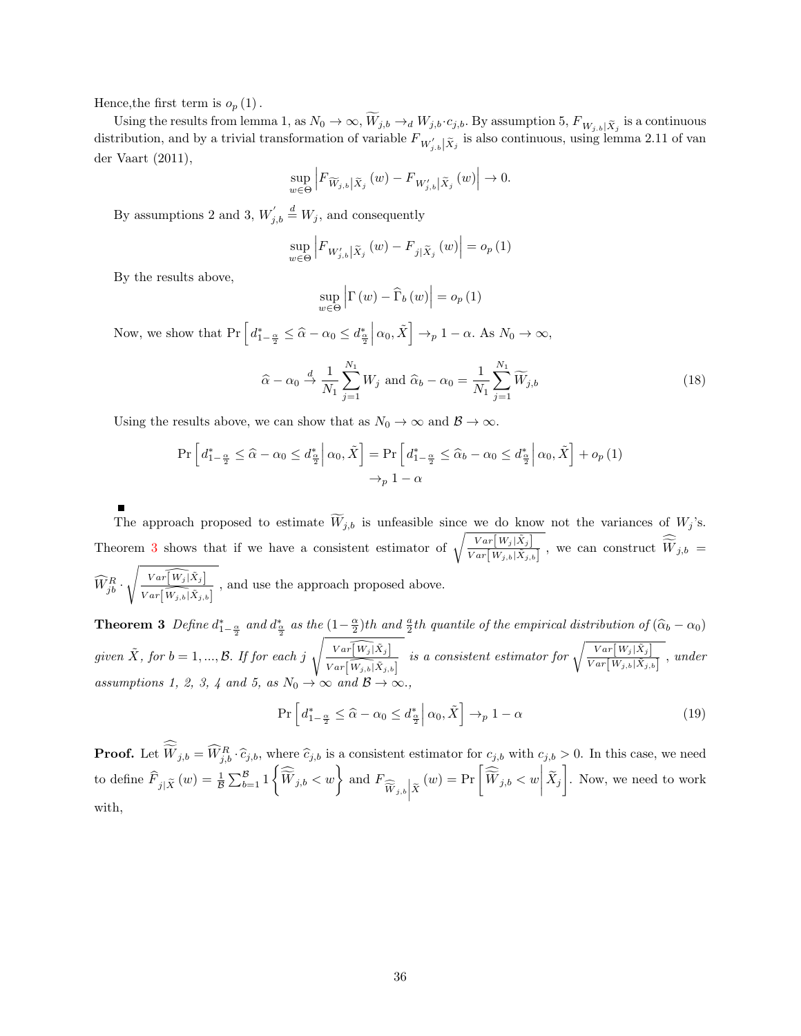Hence, the first term is  $o_p(1)$ .

Using the results from lemma 1, as  $N_0 \to \infty$ ,  $W_{j,b} \to_d W_{j,b} \cdot c_{j,b}$ . By assumption 5,  $F_{W_{j,b}}[\tilde{X}_j]$  is a continuous distribution, and by a trivial transformation of variable  $F_{W'_{j,b}|{\tilde{X}}_j}$  is also continuous, using lemma 2.11 of van der Vaart (2011),

$$
\sup_{w \in \Theta} \left| F_{\widetilde{W}_{j,b}} \left| \tilde{X}_j \left( w \right) - F_{W'_{j,b}} \right| \tilde{X}_j \left( w \right) \right| \to 0.
$$

By assumptions 2 and 3,  $W'_{j,b} \stackrel{d}{=} W_j$ , and consequently

$$
\sup_{w \in \Theta} \left| F_{W'_{j,b} | \tilde{X}_j} \left( w \right) - F_{j | \tilde{X}_j} \left( w \right) \right| = o_p \left( 1 \right)
$$

By the results above,

$$
\sup_{w \in \Theta} \left| \Gamma(w) - \widehat{\Gamma}_{b}(w) \right| = o_{p}(1)
$$

Now, we show that  $\Pr\left[d_{1-\frac{\alpha}{2}}^{*} \leq \hat{\alpha} - \alpha_0 \leq d_{\frac{\alpha}{2}}^{*}\right]$  $\left[\alpha_0, \tilde{X}\right] \rightarrow_p 1 - \alpha.$  As  $N_0 \rightarrow \infty$ ,

$$
\widehat{\alpha} - \alpha_0 \xrightarrow{d} \frac{1}{N_1} \sum_{j=1}^{N_1} W_j \text{ and } \widehat{\alpha}_b - \alpha_0 = \frac{1}{N_1} \sum_{j=1}^{N_1} \widetilde{W}_{j,b} \tag{18}
$$

Using the results above, we can show that as  $N_0 \to \infty$  and  $\mathcal{B} \to \infty$ .

$$
\Pr\left[d_{1-\frac{\alpha}{2}}^{*} \leq \hat{\alpha} - \alpha_0 \leq d_{\frac{\alpha}{2}}^{*} \middle| \alpha_0, \tilde{X}\right] = \Pr\left[d_{1-\frac{\alpha}{2}}^{*} \leq \hat{\alpha}_b - \alpha_0 \leq d_{\frac{\alpha}{2}}^{*} \middle| \alpha_0, \tilde{X}\right] + o_p\left(1\right)
$$
\n
$$
\rightarrow_p 1 - \alpha
$$

The approach proposed to estimate  $W_{j,b}$  is unfeasible since we do know not the variances of  $W_j$ 's. Theorem [3](#page-35-0) shows that if we have a consistent estimator of  $\sqrt{\frac{Var[W_j|\tilde{X}_j]}{Var[W_j|\tilde{X}_j]}}$  $\frac{Var[W_j|X_j]}{Var[W_{j,b}|\tilde{X}_{j,b}]}$ , we can construct  $W_{j,b} =$  $\widehat{W}_{jb}^R$  .  $\sqrt{Var\left[W_j | \tilde{X}_j\right]}$  $\frac{Var[W_j|X_j]}{Var[\overline{W}_{j,b}|\tilde{X}_{j,b}]}$ , and use the approach proposed above.

<span id="page-35-0"></span>**Theorem 3** Define  $d_{1-\frac{\alpha}{2}}^*$  and  $d_{\frac{\alpha}{2}}^*$  as the  $(1-\frac{\alpha}{2})$ th and  $\frac{a}{2}$ th quantile of the empirical distribution of  $(\widehat{\alpha}_b - \alpha_0)$ given  $\tilde{X}$ , for  $b = 1, ..., B$ . If for each  $j \sqrt{\frac{Var[\widehat{W_j}|\tilde{X}_j]}{Var[\widehat{W}_j|\tilde{X}_j]}}$  $Var\left[\widehat{W_{j,b}}|\tilde{X}_{j,b}\right]$ is a consistent estimator for  $\sqrt{\frac{Var[W_j|\tilde{X}_j]}{Var[W_j|\tilde{X}_j]}}$  $\frac{var[w_j|X_j]}{Var[W_{j,b}|\tilde{X}_{j,b}]}$ , under assumptions 1, 2, 3, 4 and 5, as  $N_0 \to \infty$  and  $\mathcal{B} \to \infty$ .,

$$
\Pr\left[d_{1-\frac{\alpha}{2}}^{*} \leq \widehat{\alpha} - \alpha_0 \leq d_{\frac{\alpha}{2}}^{*} \middle| \alpha_0, \tilde{X}\right] \to_{p} 1 - \alpha \tag{19}
$$

**Proof.** Let  $\overline{W}_{j,b} = \widehat{W}_{j,b}^R \cdot \widehat{c}_{j,b}$ , where  $\widehat{c}_{j,b}$  is a consistent estimator for  $c_{j,b}$  with  $c_{j,b} > 0$ . In this case, we need to define  $\widehat{F}_{j|\widetilde{X}}(w) = \frac{1}{\mathcal{B}} \sum_{b=1}^{\mathcal{B}} 1 \left\{ \widehat{\widetilde{W}}_{j,b} < w \right\}$  and  $F_{\widehat{\widetilde{W}}_{j,b} | \widetilde{X}}$  $(w) = \Pr\left[\widehat{\widetilde{W}}_{j,b} < w \middle| \widetilde{X}_j\right]$ . Now, we need to work with,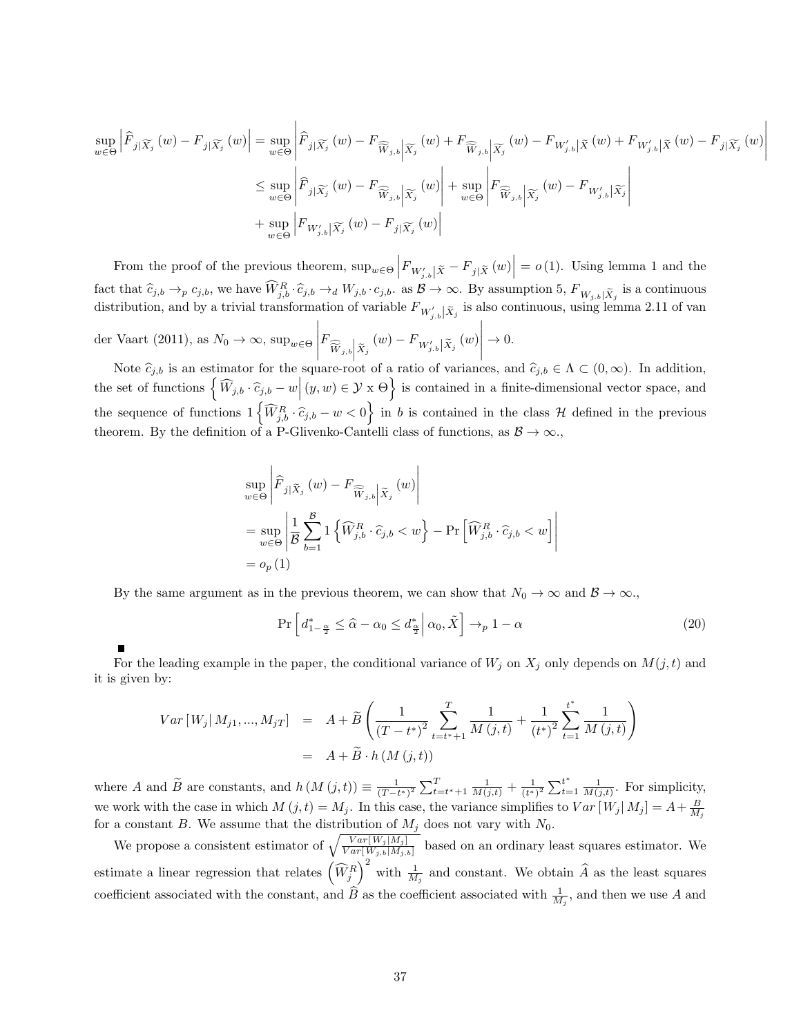$$
\sup_{w \in \Theta} \left| \widehat{F}_{j|\widetilde{X}_{j}}(w) - F_{j|\widetilde{X}_{j}}(w) \right| = \sup_{w \in \Theta} \left| \widehat{F}_{j|\widetilde{X}_{j}}(w) - F_{\widehat{W}_{j,b}|\widetilde{X}_{j}}(w) + F_{\widehat{W}_{j,b}|\widetilde{X}_{j}}(w) - F_{W'_{j,b}|\widetilde{X}}(w) + F_{W'_{j,b}|\widetilde{X}}(w) - F_{j|\widetilde{X}_{j}}(w) \right|
$$
  

$$
\leq \sup_{w \in \Theta} \left| \widehat{F}_{j|\widetilde{X}_{j}}(w) - F_{\widehat{W}_{j,b}|\widetilde{X}_{j}}(w) \right| + \sup_{w \in \Theta} \left| F_{\widehat{W}_{j,b}|\widetilde{X}_{j}}(w) - F_{W'_{j,b}|\widetilde{X}_{j}} \right|
$$
  
+ 
$$
\sup_{w \in \Theta} \left| F_{W'_{j,b}|\widetilde{X}_{j}}(w) - F_{j|\widetilde{X}_{j}}(w) \right|
$$

 $\overline{\phantom{a}}$  $\overline{\phantom{a}}$  $\overline{\phantom{a}}$ I  $\overline{\phantom{a}}$ 

From the proof of the previous theorem,  $\sup_{w \in \Theta} |F_{W'_{j,b}| \tilde{X}} - F_{j | \tilde{X}}(w)| = o(1)$ . Using lemma 1 and the fact that  $\hat{c}_{j,b} \rightarrow_P c_{j,b}$ , we have  $\widehat{W}_{j,b}^R \cdot \hat{c}_{j,b} \rightarrow_d W_{j,b} \cdot c_{j,b}$ . as  $\mathcal{B} \rightarrow \infty$ . By assumption 5,  $F_{W_{j,b}} \mid \tilde{X}_j$  is a continuous distribution, and by a trivial transformation of variable  $F_{W'_{j,b}|{\tilde{X}}_j}$  is also continuous, using lemma 2.11 of van

der Vaart (2011), as  $N_0 \to \infty$ , sup<sub>w∈Θ</sub>  $\Bigg| F_{\widehat{\widetilde{W}}_{j,b}\big|\widetilde{X}_j}\left(w\right)-F_{W'_{j,b}\big|\widetilde{X}_j}\left(w\right)$  $\begin{bmatrix} w_{j,0} & w_{j,1} \\ w_{j,0} & w_{j,1} \\ w_{j,1} & w_{j,1} \\ w_{j,1} & w_{j,1} \end{bmatrix}$  $\Big\vert \to 0.$ 

Ē

Note  $\hat{c}_{j,b}$  is an estimator for the square-root of a ratio of variances, and  $\hat{c}_{j,b} \in \Lambda \subset (0,\infty)$ . In addition, the set of functions  $\left\{\widehat{W}_{j,b}\cdot\widehat{c}_{j,b}-w\Big|\left(y,w\right)\in\mathcal{Y}\times\Theta\right\}$  is contained in a finite-dimensional vector space, and the sequence of functions  $1\left\{\widehat{W}_{j,b}^R\cdot\widehat{c}_{j,b} - w < 0\right\}$  in b is contained in the class H defined in the previous theorem. By the definition of a P-Glivenko-Cantelli class of functions, as  $\mathcal{B} \to \infty$ .

$$
\sup_{w \in \Theta} \left| \widehat{F}_{j|\widetilde{X}_{j}}(w) - F_{\widehat{\widetilde{W}}_{j,b}} \right|_{\widetilde{X}_{j}}(w) \right|
$$
\n
$$
= \sup_{w \in \Theta} \left| \frac{1}{\mathcal{B}} \sum_{b=1}^{\mathcal{B}} 1 \left\{ \widehat{W}_{j,b}^{R} \cdot \widehat{c}_{j,b} < w \right\} - \Pr \left[ \widehat{W}_{j,b}^{R} \cdot \widehat{c}_{j,b} < w \right] \right|
$$
\n
$$
= o_{p}(1)
$$

By the same argument as in the previous theorem, we can show that  $N_0 \to \infty$  and  $\mathcal{B} \to \infty$ .

$$
\Pr\left[d_{1-\frac{\alpha}{2}}^{*} \leq \widehat{\alpha} - \alpha_0 \leq d_{\frac{\alpha}{2}}^{*} \middle| \alpha_0, \tilde{X}\right] \to_{p} 1 - \alpha \tag{20}
$$

For the leading example in the paper, the conditional variance of  $W_j$  on  $X_j$  only depends on  $M(j, t)$  and it is given by:

$$
Var[W_j|M_{j1},...,M_{jT}] = A + \widetilde{B}\left(\frac{1}{(T-t^*)^2} \sum_{t=t^*+1}^{T} \frac{1}{M(j,t)} + \frac{1}{(t^*)^2} \sum_{t=1}^{t^*} \frac{1}{M(j,t)}\right)
$$
  
=  $A + \widetilde{B} \cdot h(M(j,t))$ 

where A and  $\widetilde{B}$  are constants, and  $h(M(j,t)) \equiv \frac{1}{(T-t^*)^2} \sum_{t=t^*+1}^T \frac{1}{M(j,t)} + \frac{1}{(t^*+1)^2}$  $\frac{1}{(t^*)^2} \sum_{t=1}^{t^*}$  $t^*$   $\frac{1}{M(j,t)}$ . For simplicity, we work with the case in which  $M(j,t) = M_j$ . In this case, the variance simplifies to  $Var[W_j|M_j] = A + \frac{B}{M_j}$ for a constant B. We assume that the distribution of  $M_j$  does not vary with  $N_0$ .

We propose a consistent estimator of  $\sqrt{\frac{Var[W_j|M_j]}{Var[W_{j,b}|M_{j,b}]}}$  based on an ordinary least squares estimator. We estimate a linear regression that relates  $(\widehat{W}_{j}^R)^2$  with  $\frac{1}{M_j}$  and constant. We obtain  $\widehat{A}$  as the least squares coefficient associated with the constant, and  $\widehat{B}$  as the coefficient associated with  $\frac{1}{M_j}$ , and then we use A and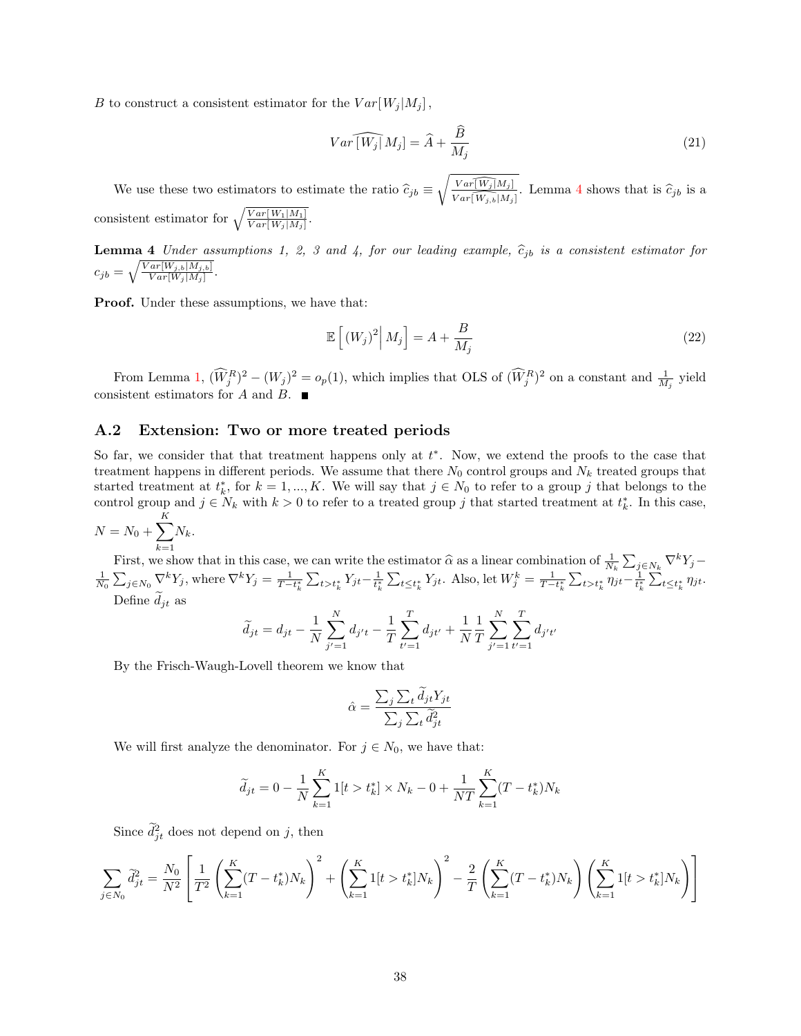B to construct a consistent estimator for the  $Var[W_i|M_j]$ ,

$$
Var\widehat{[W_j]}M_j = \widehat{A} + \frac{\widehat{B}}{M_j} \tag{21}
$$

We use these two estimators to estimate the ratio  $\hat{c}_{jb} \equiv \sqrt{\frac{Var[\widehat{W_j}|M_j]}{Var[\widehat{W_j,b}|M_j]}}$ . Lemma [4](#page-37-0) shows that is  $\hat{c}_{jb}$  is a consistent estimator for  $\sqrt{\frac{Var[W_1|M_1]}{Var[W_j|M_j]}}$ .

<span id="page-37-0"></span>**Lemma 4** Under assumptions 1, 2, 3 and 4, for our leading example,  $\hat{c}_{jb}$  is a consistent estimator for  $\sqrt{Var[W_{cb}][M_{cb}]}$  $c_{jb} = \sqrt{\frac{Var[W_{j,b}|M_{j,b}]}{Var[W_j|M_j]}}.$ 

Proof. Under these assumptions, we have that:

$$
\mathbb{E}\left[\left(W_{j}\right)^{2}\middle|M_{j}\right] = A + \frac{B}{M_{j}}\tag{22}
$$

From Lemma [1,](#page-32-1)  $(\hat{W}_j^R)^2 - (W_j)^2 = o_p(1)$ , which implies that OLS of  $(\hat{W}_j^R)^2$  on a constant and  $\frac{1}{M_j}$  yield consistent estimators for  $A$  and  $B$ .

#### <span id="page-37-1"></span>A.2 Extension: Two or more treated periods

So far, we consider that that treatment happens only at  $t^*$ . Now, we extend the proofs to the case that treatment happens in different periods. We assume that there  $N_0$  control groups and  $N_k$  treated groups that started treatment at  $t_k^*$ , for  $k = 1, ..., K$ . We will say that  $j \in N_0$  to refer to a group j that belongs to the control group and  $j \in N_k$  with  $k > 0$  to refer to a treated group j that started treatment at  $t_k^*$ . In this case,

$$
N = N_0 + \sum_{k=1}^{K} N_k.
$$

First, we show that in this case, we can write the estimator  $\hat{\alpha}$  as a linear combination of  $\frac{1}{N_k} \sum_{j \in N_k} \nabla^k Y_j - \frac{1}{N_0} \sum_{j \in N_0} \nabla^k Y_j$ , where  $\nabla^k Y_j = \frac{1}{T - t_k^*} \sum_{t > t_k^*} Y_{jt} - \frac{1}{t_k^*} \sum_{t \le t_k^*} Y_{jt}$ Define  $\tilde{d}_{it}$  as

$$
\widetilde{d}_{jt} = d_{jt} - \frac{1}{N} \sum_{j'=1}^{N} d_{j't} - \frac{1}{T} \sum_{t'=1}^{T} d_{jt'} + \frac{1}{N} \frac{1}{T} \sum_{j'=1}^{N} \sum_{t'=1}^{T} d_{j't'}
$$

By the Frisch-Waugh-Lovell theorem we know that

$$
\hat{\alpha} = \frac{\sum_{j} \sum_{t} \tilde{d}_{jt} Y_{jt}}{\sum_{j} \sum_{t} \tilde{d}_{jt}^2}
$$

We will first analyze the denominator. For  $j \in N_0$ , we have that:

$$
\widetilde{d}_{jt} = 0 - \frac{1}{N} \sum_{k=1}^{K} 1[t > t_k^*] \times N_k - 0 + \frac{1}{NT} \sum_{k=1}^{K} (T - t_k^*) N_k
$$

Since  $\tilde{d}_{jt}^2$  does not depend on j, then

$$
\sum_{j \in N_0} \tilde{d}_{jt}^2 = \frac{N_0}{N^2} \left[ \frac{1}{T^2} \left( \sum_{k=1}^K (T - t_k^*) N_k \right)^2 + \left( \sum_{k=1}^K 1[t > t_k^*] N_k \right)^2 - \frac{2}{T} \left( \sum_{k=1}^K (T - t_k^*) N_k \right) \left( \sum_{k=1}^K 1[t > t_k^*] N_k \right) \right]
$$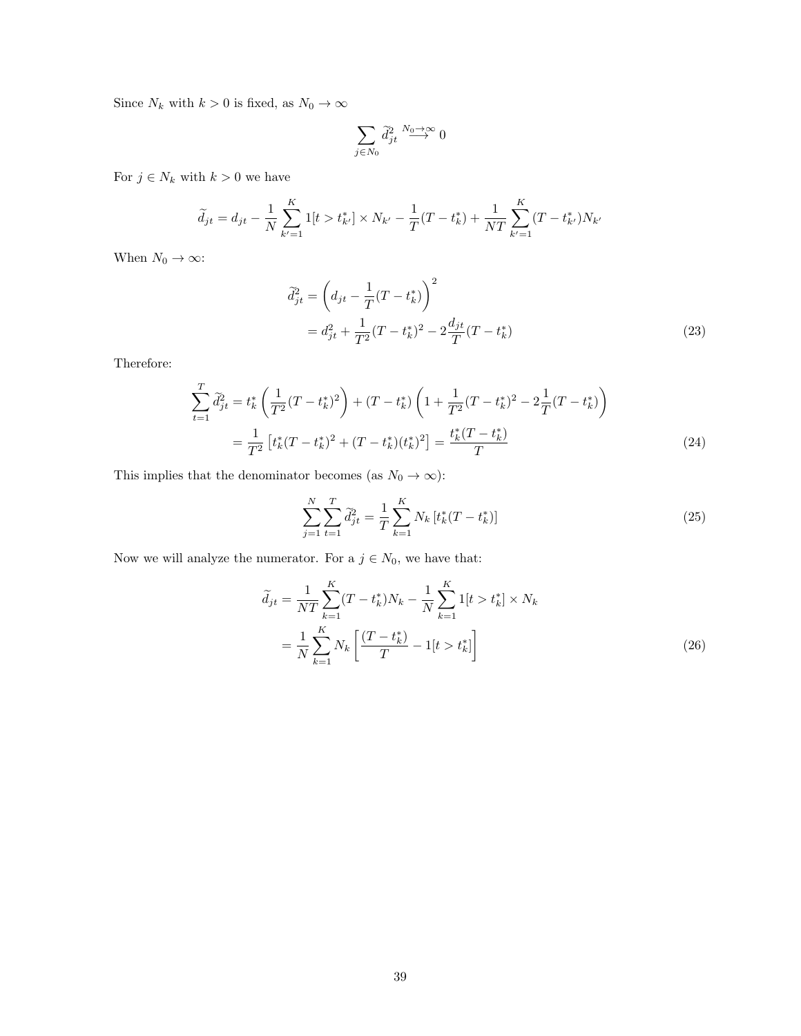Since  $N_k$  with  $k>0$  is fixed, as  $N_0\rightarrow\infty$ 

$$
\sum_{j\in N_0}\tilde{d}^2_{jt}\stackrel{N_0\to\infty}{\longrightarrow}0
$$

For  $j \in N_k$  with  $k > 0$  we have

$$
\widetilde{d}_{jt} = d_{jt} - \frac{1}{N} \sum_{k'=1}^{K} 1[t > t_{k'}^{*}] \times N_{k'} - \frac{1}{T}(T - t_{k}^{*}) + \frac{1}{NT} \sum_{k'=1}^{K} (T - t_{k'}^{*}) N_{k'}
$$

When  $N_0 \to \infty$ :

$$
\widetilde{d}_{jt}^{2} = \left(d_{jt} - \frac{1}{T}(T - t_{k}^{*})\right)^{2}
$$
\n
$$
= d_{jt}^{2} + \frac{1}{T^{2}}(T - t_{k}^{*})^{2} - 2\frac{d_{jt}}{T}(T - t_{k}^{*})
$$
\n(23)

Therefore:

$$
\sum_{t=1}^{T} \tilde{d}_{jt}^{2} = t_{k}^{*} \left( \frac{1}{T^{2}} (T - t_{k}^{*})^{2} \right) + (T - t_{k}^{*}) \left( 1 + \frac{1}{T^{2}} (T - t_{k}^{*})^{2} - 2 \frac{1}{T} (T - t_{k}^{*}) \right)
$$
\n
$$
= \frac{1}{T^{2}} \left[ t_{k}^{*} (T - t_{k}^{*})^{2} + (T - t_{k}^{*}) (t_{k}^{*})^{2} \right] = \frac{t_{k}^{*} (T - t_{k}^{*})}{T}
$$
\n(24)

This implies that the denominator becomes (as  $N_0 \rightarrow \infty)$ :

$$
\sum_{j=1}^{N} \sum_{t=1}^{T} \tilde{d}_{jt}^{2} = \frac{1}{T} \sum_{k=1}^{K} N_{k} \left[ t_{k}^{*}(T - t_{k}^{*}) \right]
$$
\n(25)

Now we will analyze the numerator. For a  $j\in N_0,$  we have that:

$$
\widetilde{d}_{jt} = \frac{1}{NT} \sum_{k=1}^{K} (T - t_k^*) N_k - \frac{1}{N} \sum_{k=1}^{K} 1[t > t_k^*] \times N_k
$$
\n
$$
= \frac{1}{N} \sum_{k=1}^{K} N_k \left[ \frac{(T - t_k^*)}{T} - 1[t > t_k^*] \right]
$$
\n(26)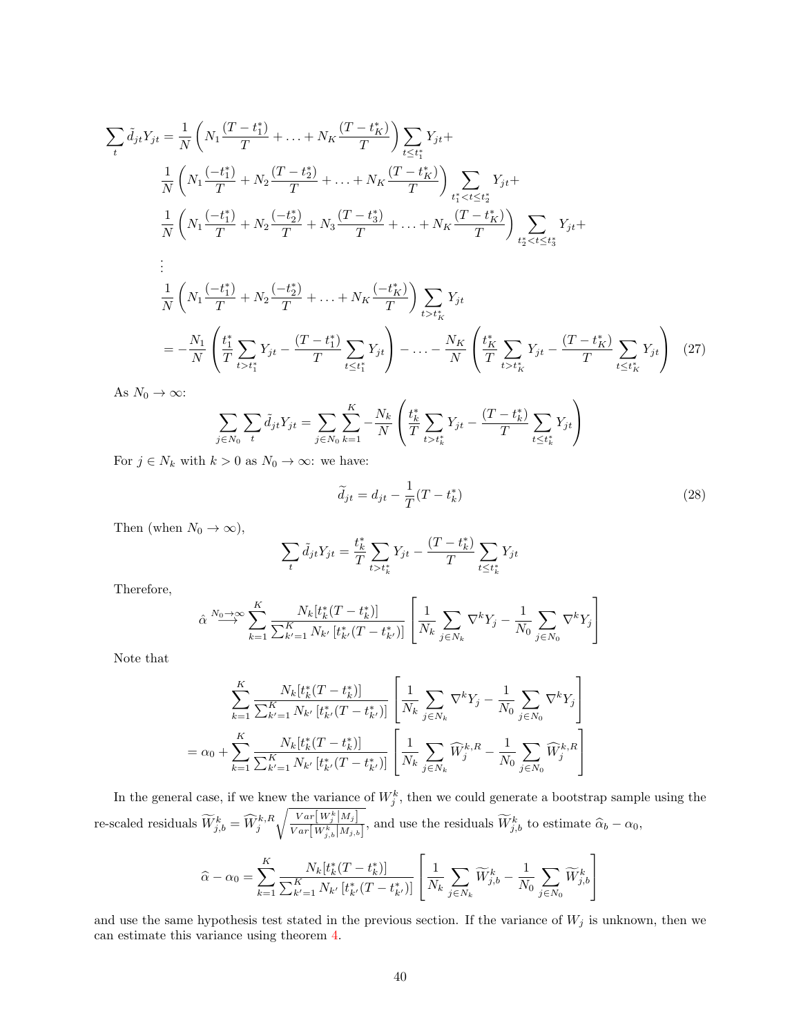$$
\sum_{t} \tilde{d}_{jt} Y_{jt} = \frac{1}{N} \left( N_1 \frac{(T - t_1^*)}{T} + \dots + N_K \frac{(T - t_K^*)}{T} \right) \sum_{t \le t_1^*} Y_{jt} + \frac{1}{N} \left( N_1 \frac{(-t_1^*)}{T} + N_2 \frac{(T - t_2^*)}{T} + \dots + N_K \frac{(T - t_K^*)}{T} \right) \sum_{t_1^* < t \le t_2^*} Y_{jt} + \frac{1}{N} \left( N_1 \frac{(-t_1^*)}{T} + N_2 \frac{(-t_2^*)}{T} + N_3 \frac{(T - t_3^*)}{T} + \dots + N_K \frac{(T - t_K^*)}{T} \right) \sum_{t_2^* < t \le t_3^*} Y_{jt} + \frac{1}{N} \left( N_1 \frac{(-t_1^*)}{T} + N_2 \frac{(-t_2^*)}{T} + \dots + N_K \frac{(-t_K^*)}{T} \right) \sum_{t > t_K^*} Y_{jt}
$$
\n
$$
= -\frac{N_1}{N} \left( \frac{t_1^*}{T} \sum_{t > t_1^*} Y_{jt} - \frac{(T - t_1^*)}{T} \sum_{t \le t_1^*} Y_{jt} \right) - \dots - \frac{N_K}{N} \left( \frac{t_K^*}{T} \sum_{t > t_K} Y_{jt} - \frac{(T - t_K^*)}{T} \sum_{t \le t_K^*} Y_{jt} \right) \tag{27}
$$
\nAs  $N_0 \to \infty$ :

As  $N_0 \to \infty$ :

$$
\sum_{j \in N_0} \sum_{t} \tilde{d}_{jt} Y_{jt} = \sum_{j \in N_0} \sum_{k=1}^{K} -\frac{N_k}{N} \left( \frac{t_k^*}{T} \sum_{t > t_k^*} Y_{jt} - \frac{(T - t_k^*)}{T} \sum_{t \le t_k^*} Y_{jt} \right)
$$

For  $j \in N_k$  with  $k > 0$  as  $N_0 \to \infty$ : we have:

$$
\widetilde{d}_{jt} = d_{jt} - \frac{1}{T}(T - t_k^*)
$$
\n(28)

Then (when  $N_0 \to \infty$ ),

$$
\sum_{t} \tilde{d}_{jt} Y_{jt} = \frac{t_k^*}{T} \sum_{t > t_k^*} Y_{jt} - \frac{(T - t_k^*)}{T} \sum_{t \le t_k^*} Y_{jt}
$$

Therefore,

$$
\hat{\alpha} \stackrel{N_0 \to \infty}{\longrightarrow} \sum_{k=1}^K \frac{N_k[t_k^*(T - t_k^*)]}{\sum_{k'=1}^K N_{k'}[t_{k'}^*(T - t_{k'}^*)]} \left[ \frac{1}{N_k} \sum_{j \in N_k} \nabla^k Y_j - \frac{1}{N_0} \sum_{j \in N_0} \nabla^k Y_j \right]
$$

Note that

$$
\sum_{k=1}^{K} \frac{N_k[t_k^*(T - t_k^*)]}{\sum_{k'=1}^{K} N_{k'}[t_{k'}^*(T - t_{k'}^*)]} \left[ \frac{1}{N_k} \sum_{j \in N_k} \nabla^k Y_j - \frac{1}{N_0} \sum_{j \in N_0} \nabla^k Y_j \right]
$$

$$
= \alpha_0 + \sum_{k=1}^{K} \frac{N_k[t_k^*(T - t_k^*)]}{\sum_{k'=1}^{K} N_{k'}[t_{k'}^*(T - t_{k'}^*)]} \left[ \frac{1}{N_k} \sum_{j \in N_k} \widehat{W}_j^{k,R} - \frac{1}{N_0} \sum_{j \in N_0} \widehat{W}_j^{k,R} \right]
$$

In the general case, if we knew the variance of  $W_j^k$ , then we could generate a bootstrap sample using the re-scaled residuals  $\widetilde{W}_{j,b}^{k} = \widehat{W}_{j}^{k,R}$  $\int Var\bigl[W_j^k\bigl|M_j\bigr]$  $\frac{Var[W_j^x]^{M_j}}{Var[W_{j,b}^k]^{M_j}}$ , and use the residuals  $\widetilde{W}_{j,b}^k$  to estimate  $\widehat{\alpha}_b - \alpha_0$ ,

$$
\widehat{\alpha} - \alpha_0 = \sum_{k=1}^K \frac{N_k[t_k^*(T - t_k^*)]}{\sum_{k'=1}^K N_{k'}[t_{k'}^*(T - t_{k'}^*)]} \left[ \frac{1}{N_k} \sum_{j \in N_k} \widetilde{W}_{j,b}^k - \frac{1}{N_0} \sum_{j \in N_0} \widetilde{W}_{j,b}^k \right]
$$

and use the same hypothesis test stated in the previous section. If the variance of  $W_j$  is unknown, then we can estimate this variance using theorem [4.](#page-37-0)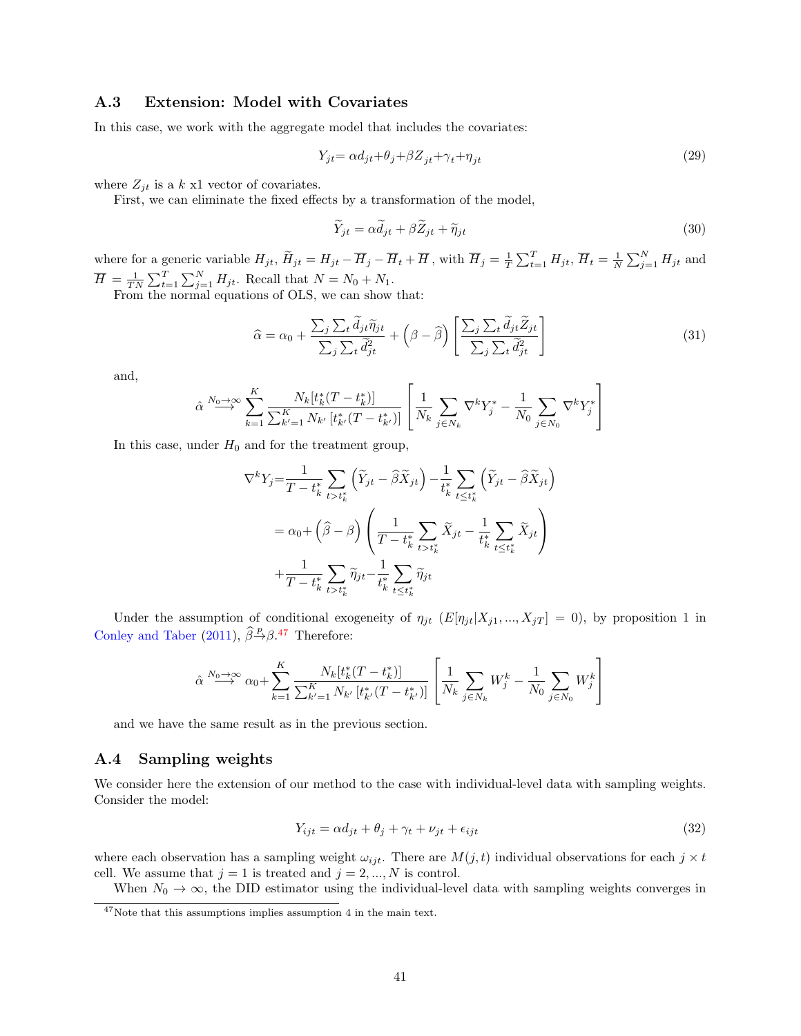### <span id="page-40-0"></span>A.3 Extension: Model with Covariates

In this case, we work with the aggregate model that includes the covariates:

$$
Y_{jt} = \alpha d_{jt} + \theta_j + \beta Z_{jt} + \gamma_t + \eta_{jt} \tag{29}
$$

where  $Z_{jt}$  is a k x1 vector of covariates.

First, we can eliminate the fixed effects by a transformation of the model,

$$
\widetilde{Y}_{jt} = \alpha \widetilde{d}_{jt} + \beta \widetilde{Z}_{jt} + \widetilde{\eta}_{jt} \tag{30}
$$

where for a generic variable  $H_{jt}$ ,  $\widetilde{H}_{jt} = H_{jt} - \overline{H}_j - \overline{H}_t + \overline{H}$ , with  $\overline{H}_j = \frac{1}{T} \sum_{t=1}^T H_{jt}$ ,  $\overline{H}_t = \frac{1}{N} \sum_{j=1}^N H_{jt}$  and  $\overline{H} = \frac{1}{TN} \sum_{t=1}^{T} \sum_{j=1}^{N} H_{jt}$ . Recall that  $N = N_0 + N_1$ .

From the normal equations of OLS, we can show that:

$$
\hat{\alpha} = \alpha_0 + \frac{\sum_j \sum_t \tilde{d}_{jt} \tilde{\eta}_{jt}}{\sum_j \sum_t \tilde{d}_{jt}^2} + (\beta - \hat{\beta}) \left[ \frac{\sum_j \sum_t \tilde{d}_{jt} \tilde{Z}_{jt}}{\sum_j \sum_t \tilde{d}_{jt}^2} \right]
$$
(31)

and,

$$
\hat{\alpha} \stackrel{N_0 \to \infty}{\longrightarrow} \sum_{k=1}^K \frac{N_k[t_k^*(T - t_k^*)]}{\sum_{k'=1}^K N_{k'}[t_{k'}^*(T - t_{k'}^*)]} \left[ \frac{1}{N_k} \sum_{j \in N_k} \nabla^k Y_j^* - \frac{1}{N_0} \sum_{j \in N_0} \nabla^k Y_j^* \right]
$$

In this case, under  $H_0$  and for the treatment group,

$$
\nabla^k Y_j = \frac{1}{T - t_k^*} \sum_{t > t_k^*} \left( \widetilde{Y}_{jt} - \widehat{\beta} \widetilde{X}_{jt} \right) - \frac{1}{t_k^*} \sum_{t \le t_k^*} \left( \widetilde{Y}_{jt} - \widehat{\beta} \widetilde{X}_{jt} \right)
$$
  

$$
= \alpha_0 + \left( \widehat{\beta} - \beta \right) \left( \frac{1}{T - t_k^*} \sum_{t > t_k^*} \widetilde{X}_{jt} - \frac{1}{t_k^*} \sum_{t \le t_k^*} \widetilde{X}_{jt} \right)
$$
  

$$
+ \frac{1}{T - t_k^*} \sum_{t > t_k^*} \widetilde{\eta}_{jt} - \frac{1}{t_k^*} \sum_{t \le t_k^*} \widetilde{\eta}_{jt}
$$

Under the assumption of conditional exogeneity of  $\eta_{jt}$  ( $E[\eta_{jt}|X_{j1},...,X_{jT}] = 0$ ), by proposition 1 in [Conley and Taber](#page-24-6) [\(2011\)](#page-24-6),  $\widehat{\beta}^{\mathbb{P}} \beta$ .<sup>[47](#page-40-2)</sup> Therefore:

$$
\hat{\alpha} \stackrel{N_0 \to \infty}{\longrightarrow} \alpha_0 + \sum_{k=1}^K \frac{N_k[t_k^*(T - t_k^*)]}{\sum_{k'=1}^K N_{k'}[t_{k'}^*(T - t_{k'}^*)]} \left[ \frac{1}{N_k} \sum_{j \in N_k} W_j^k - \frac{1}{N_0} \sum_{j \in N_0} W_j^k \right]
$$

and we have the same result as in the previous section.

#### <span id="page-40-1"></span>A.4 Sampling weights

We consider here the extension of our method to the case with individual-level data with sampling weights. Consider the model:

$$
Y_{ijt} = \alpha d_{jt} + \theta_j + \gamma_t + \nu_{jt} + \epsilon_{ijt}
$$
\n
$$
(32)
$$

where each observation has a sampling weight  $\omega_{ijt}$ . There are  $M(j, t)$  individual observations for each  $j \times t$ cell. We assume that  $j = 1$  is treated and  $j = 2, ..., N$  is control.

When  $N_0 \to \infty$ , the DID estimator using the individual-level data with sampling weights converges in

<span id="page-40-2"></span> $47\mbox{Note that this assumptions implies assumption 4 in the main text.}$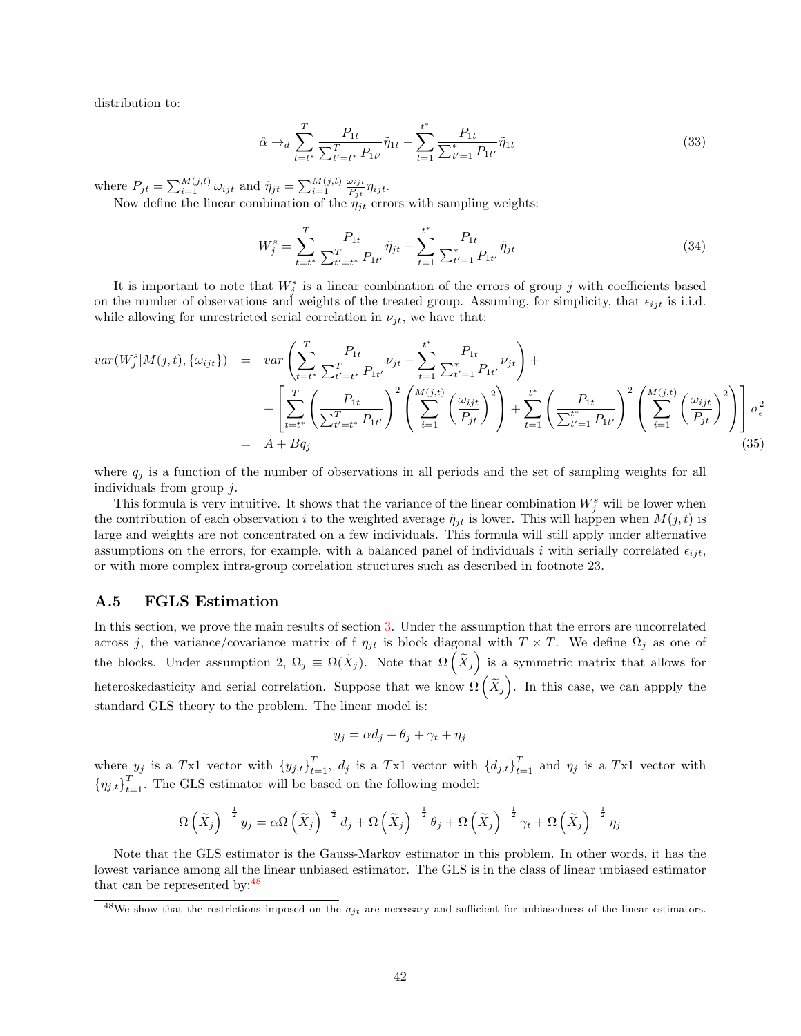distribution to:

$$
\hat{\alpha} \to_d \sum_{t=t^*}^T \frac{P_{1t}}{\sum_{t'=t^*}^T P_{1t'}} \tilde{\eta}_{1t} - \sum_{t=1}^{t^*} \frac{P_{1t}}{\sum_{t'=1}^T P_{1t'}} \tilde{\eta}_{1t}
$$
\n(33)

where  $P_{jt} = \sum_{i=1}^{M(j,t)} \omega_{ijt}$  and  $\tilde{\eta}_{jt} = \sum_{i=1}^{M(j,t)} \frac{\omega_{ijt}}{P_{it}}$  $\frac{\omega_{ijt}}{P_{jt}}\eta_{ijt}.$ 

Now define the linear combination of the  $\eta_{jt}$  errors with sampling weights:

$$
W_j^s = \sum_{t=t^*}^T \frac{P_{1t}}{\sum_{t'=t^*}^T P_{1t'}} \tilde{\eta}_{jt} - \sum_{t=1}^{t^*} \frac{P_{1t}}{\sum_{t'=1}^T P_{1t'}} \tilde{\eta}_{jt}
$$
(34)

It is important to note that  $W_j^s$  is a linear combination of the errors of group j with coefficients based on the number of observations and weights of the treated group. Assuming, for simplicity, that  $\epsilon_{ijt}$  is i.i.d. while allowing for unrestricted serial correlation in  $\nu_{jt}$ , we have that:

$$
var(W_{j}^{s}|M(j,t),\{\omega_{ijt}\}) = var\left(\sum_{t=t^{*}}^{T} \frac{P_{1t}}{\sum_{t'=t^{*}}^{T} P_{1t'}} \nu_{jt} - \sum_{t=1}^{t^{*}} \frac{P_{1t}}{\sum_{t'=1}^{T} P_{1t'}} \nu_{jt}\right) + \left[ \sum_{t=t^{*}}^{T} \left(\frac{P_{1t}}{\sum_{t'=t^{*}}^{T} P_{1t'}}\right)^{2} \left(\sum_{i=1}^{M(j,t)} \left(\frac{\omega_{ijt}}{P_{jt}}\right)^{2}\right) + \sum_{t=1}^{t^{*}} \left(\frac{P_{1t}}{\sum_{t'=1}^{t^{*}} P_{1t'}}\right)^{2} \left(\sum_{i=1}^{M(j,t)} \left(\frac{\omega_{ijt}}{P_{jt}}\right)^{2}\right) \right] \sigma_{\epsilon}^{2}
$$
\n
$$
= A + Bq_{j} \tag{35}
$$

where  $q_j$  is a function of the number of observations in all periods and the set of sampling weights for all individuals from group j.

This formula is very intuitive. It shows that the variance of the linear combination  $W_j^s$  will be lower when the contribution of each observation i to the weighted average  $\tilde{\eta}_{it}$  is lower. This will happen when  $M(j, t)$  is large and weights are not concentrated on a few individuals. This formula will still apply under alternative assumptions on the errors, for example, with a balanced panel of individuals i with serially correlated  $\epsilon_{iit}$ , or with more complex intra-group correlation structures such as described in footnote 23.

#### <span id="page-41-0"></span>A.5 FGLS Estimation

In this section, we prove the main results of section [3.](#page-13-0) Under the assumption that the errors are uncorrelated across j, the variance/covariance matrix of f  $\eta_{jt}$  is block diagonal with  $T \times T$ . We define  $\Omega_j$  as one of the blocks. Under assumption 2,  $\Omega_j \equiv \Omega(\tilde{X}_j)$ . Note that  $\Omega(\tilde{X}_j)$  is a symmetric matrix that allows for heteroskedasticity and serial correlation. Suppose that we know  $\Omega\left(\widetilde{X}_j\right)$ . In this case, we can appply the standard GLS theory to the problem. The linear model is:

$$
y_j = \alpha d_j + \theta_j + \gamma_t + \eta_j
$$

where  $y_j$  is a Tx1 vector with  $\{y_{j,t}\}_{t=1}^T$ ,  $d_j$  is a Tx1 vector with  $\{d_{j,t}\}_{t=1}^T$  and  $\eta_j$  is a Tx1 vector with  ${\{\eta_{j,t}\}}_{t=1}^T$ . The GLS estimator will be based on the following model:

$$
\Omega\left(\widetilde{X}_j\right)^{-\frac{1}{2}}y_j = \alpha \Omega\left(\widetilde{X}_j\right)^{-\frac{1}{2}}d_j + \Omega\left(\widetilde{X}_j\right)^{-\frac{1}{2}}\theta_j + \Omega\left(\widetilde{X}_j\right)^{-\frac{1}{2}}\gamma_t + \Omega\left(\widetilde{X}_j\right)^{-\frac{1}{2}}\eta_j
$$

Note that the GLS estimator is the Gauss-Markov estimator in this problem. In other words, it has the lowest variance among all the linear unbiased estimator. The GLS is in the class of linear unbiased estimator that can be represented by:<sup>[48](#page-41-1)</sup>

<span id="page-41-1"></span><sup>&</sup>lt;sup>48</sup>We show that the restrictions imposed on the  $a_{jt}$  are necessary and sufficient for unbiasedness of the linear estimators.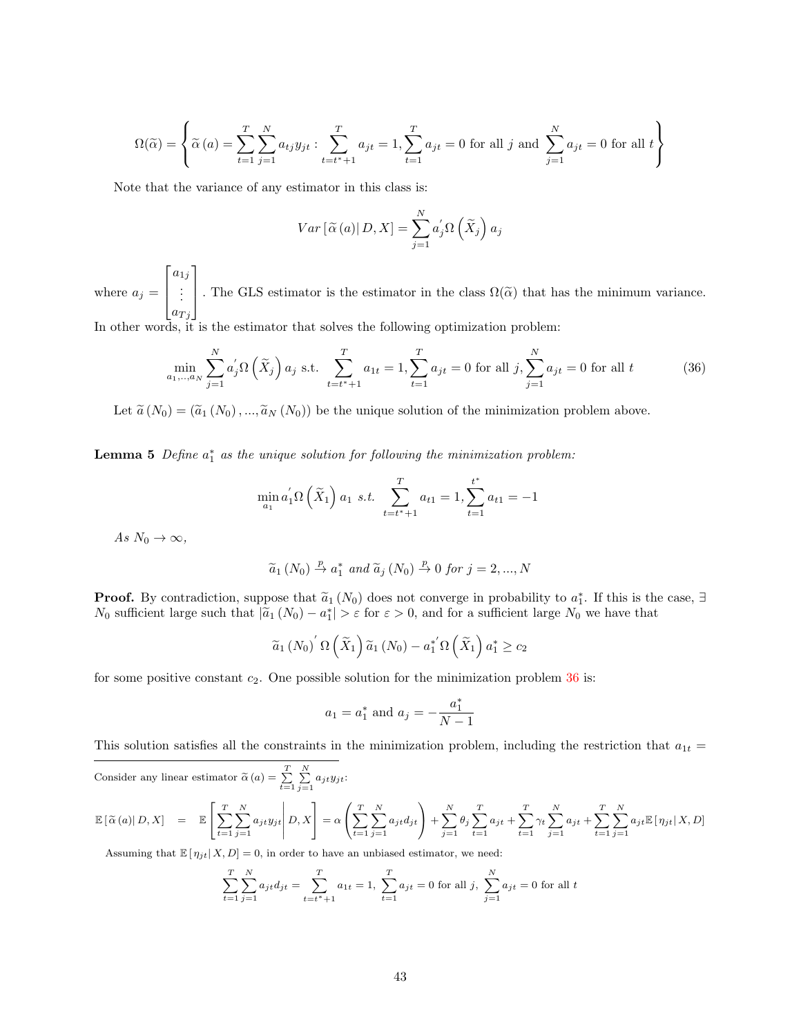$$
\Omega(\widetilde{\alpha}) = \left\{ \widetilde{\alpha}(a) = \sum_{t=1}^{T} \sum_{j=1}^{N} a_{tj} y_{jt} : \sum_{t=t^*+1}^{T} a_{jt} = 1, \sum_{t=1}^{T} a_{jt} = 0 \text{ for all } j \text{ and } \sum_{j=1}^{N} a_{jt} = 0 \text{ for all } t \right\}
$$

Note that the variance of any estimator in this class is:

<span id="page-42-0"></span>
$$
Var\left[\widetilde{\alpha}\left(a\right)|D,X\right] = \sum_{j=1}^{N} a'_j \Omega\left(\widetilde{X}_j\right) a_j
$$

where  $a_j =$  $\lceil$  $\Big\}$  $a_{1j}$ . . .  $a_{Tj}$ 1 . The GLS estimator is the estimator in the class  $\Omega(\tilde{\alpha})$  that has the minimum variance.

In other words, it is the estimator that solves the following optimization problem:

$$
\min_{a_1, \dots, a_N} \sum_{j=1}^N a'_j \Omega\left(\tilde{X}_j\right) a_j \text{ s.t. } \sum_{t=t^*+1}^T a_{1t} = 1, \sum_{t=1}^T a_{jt} = 0 \text{ for all } j, \sum_{j=1}^N a_{jt} = 0 \text{ for all } t \tag{36}
$$

Let  $\tilde{a}(N_0) = (\tilde{a}_1(N_0), ..., \tilde{a}_N(N_0))$  be the unique solution of the minimization problem above.

<span id="page-42-1"></span>**Lemma 5** Define  $a_1^*$  as the unique solution for following the minimization problem:

$$
\min_{a_1} a'_1 \Omega\left(\tilde{X}_1\right) a_1 \ s.t. \ \sum_{t=t^*+1}^T a_{t1} = 1, \sum_{t=1}^{t^*} a_{t1} = -1
$$

As  $N_0 \rightarrow \infty$ ,

$$
\widetilde{a}_1(N_0) \stackrel{p}{\rightarrow} a_1^*
$$
 and  $\widetilde{a}_j(N_0) \stackrel{p}{\rightarrow} 0$  for  $j = 2, ..., N$ 

**Proof.** By contradiction, suppose that  $\tilde{a}_1(N_0)$  does not converge in probability to  $a_1^*$ . If this is the case,  $\exists$   $N_c$  sufficient large such that  $|\tilde{a}_1(N_1) - a_1^*| > \epsilon$  for  $\epsilon > 0$ , and for a sufficient large  $N_0$  sufficient large such that  $|\tilde{a}_1(N_0) - a_1^*| > \varepsilon$  for  $\varepsilon > 0$ , and for a sufficient large  $N_0$  we have that

$$
\widetilde{a}_1(N_0)'\Omega\left(\widetilde{X}_1\right)\widetilde{a}_1(N_0)-a_1^{*'}\Omega\left(\widetilde{X}_1\right)a_1^{*}\geq c_2
$$

for some positive constant  $c_2$ . One possible solution for the minimization problem  $36$  is:

$$
a_1 = a_1^*
$$
 and  $a_j = -\frac{a_1^*}{N-1}$ 

This solution satisfies all the constraints in the minimization problem, including the restriction that  $a_{1t} =$ 

Consider any linear estimator 
$$
\tilde{\alpha}(a) = \sum_{t=1}^{T} \sum_{j=1}^{N} a_{jt} y_{jt}
$$
:  
\n
$$
\mathbb{E}[\tilde{\alpha}(a)|D, X] = \mathbb{E}\left[\sum_{t=1}^{T} \sum_{j=1}^{N} a_{jt} y_{jt}\middle| D, X\right] = \alpha \left(\sum_{t=1}^{T} \sum_{j=1}^{N} a_{jt} d_{jt}\right) + \sum_{j=1}^{N} \theta_j \sum_{t=1}^{T} a_{jt} + \sum_{t=1}^{T} \gamma_t \sum_{j=1}^{N} a_{jt} + \sum_{t=1}^{T} \sum_{j=1}^{N} a_{jt} \mathbb{E}[\eta_{jt}|X, D]
$$

Assuming that  $\mathbb{E}[\eta_{jt}|X,D] = 0$ , in order to have an unbiased estimator, we need:

$$
\sum_{t=1}^{T} \sum_{j=1}^{N} a_{jt} d_{jt} = \sum_{t=t^*+1}^{T} a_{1t} = 1, \sum_{t=1}^{T} a_{jt} = 0 \text{ for all } j, \sum_{j=1}^{N} a_{jt} = 0 \text{ for all } t
$$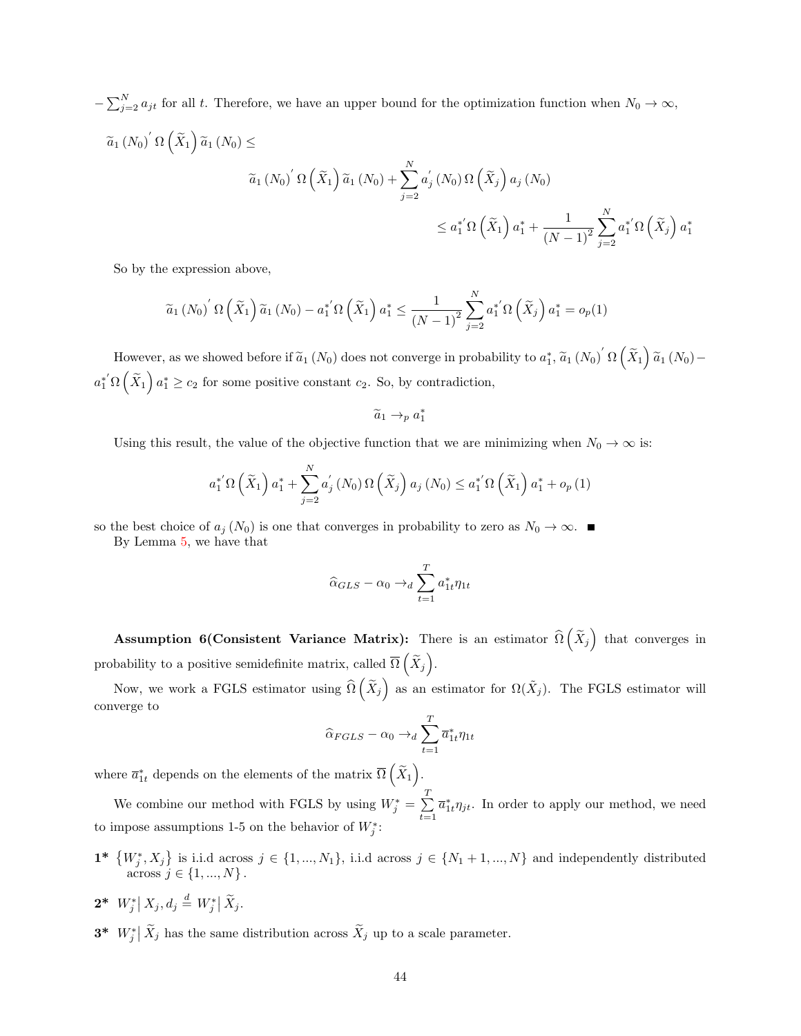$-\sum_{j=2}^{N} a_{jt}$  for all t. Therefore, we have an upper bound for the optimization function when  $N_0 \to \infty$ ,  $\widetilde{a}_1(N_0) \hat{N} \Omega \left( \widetilde{X}_1 \right) \widetilde{a}_1(N_0) \leq$  $\widetilde{a}_{1}(N_{0})^{'}\,\Omega\left(\widetilde{X}_{1}\right)\widetilde{a}_{1}(N_{0})+\sum_{i=0}^{N}% \widetilde{a}_{i}^{'}\,\Omega\left(\widetilde{X}_{1}\right)\widetilde{a}_{i}$  $j=2$  $a'$  $\int\limits_{j}^{\prime}\left(N_{0}\right)\Omega\left(\widetilde{X}_{j}\right)a_{j}\left(N_{0}\right)$  $\leq a_1^{*'} \Omega\left(\widetilde{X}_1\right) a_1^* + \frac{1}{(N-1)}$  $(N-1)^2$  $\sum_{i=1}^{N}$  $j=2$  $a_1^{*'}\Omega\left(\widetilde{X}_j\right)a_1^{*}$ 

So by the expression above,

$$
\widetilde{a}_1(N_0)' \Omega\left(\widetilde{X}_1\right) \widetilde{a}_1(N_0) - a_1^{*'} \Omega\left(\widetilde{X}_1\right) a_1^* \le \frac{1}{\left(N-1\right)^2} \sum_{j=2}^N a_1^{*'} \Omega\left(\widetilde{X}_j\right) a_1^* = o_p(1)
$$

However, as we showed before if  $\tilde{a}_1(N_0)$  does not converge in probability to  $a_1^*, \tilde{a}_1(N_0)' \Omega(\tilde{X}_1) \tilde{a}_1(N_0)$  $a_1^{*'}\Omega\left(\widetilde{X}_1\right)a_1^{*} \geq c_2$  for some positive constant  $c_2$ . So, by contradiction,

$$
\widetilde{a}_1 \to_p a_1^*
$$

Using this result, the value of the objective function that we are minimizing when  $N_0 \to \infty$  is:

$$
a_1^{*'}\Omega\left(\tilde{X}_1\right)a_1^{*} + \sum_{j=2}^{N} a_j^{'}\left(N_0\right)\Omega\left(\tilde{X}_j\right)a_j\left(N_0\right) \le a_1^{*'}\Omega\left(\tilde{X}_1\right)a_1^{*} + o_p\left(1\right)
$$

so the best choice of  $a_j(N_0)$  is one that converges in probability to zero as  $N_0 \to \infty$ .

By Lemma [5,](#page-42-1) we have that

$$
\widehat{\alpha}_{GLS} - \alpha_0 \rightarrow_d \sum_{t=1}^{T} a_{1t}^* \eta_{1t}
$$

Assumption 6(Consistent Variance Matrix): There is an estimator  $\widehat{\Omega}\left(\widetilde{X}_j\right)$  that converges in probability to a positive semidefinite matrix, called  $\overline{\Omega}\left(\widetilde{X}_j\right)$ .

Now, we work a FGLS estimator using  $\widehat{\Omega}(\widetilde{X}_j)$  as an estimator for  $\Omega(\widetilde{X}_j)$ . The FGLS estimator will converge to

$$
\widehat{\alpha}_{FGLS} - \alpha_0 \rightarrow_d \sum_{t=1}^{T} \overline{a}_{1t}^* \eta_{1t}
$$

where  $\overline{a}_{1t}^*$  depends on the elements of the matrix  $\overline{\Omega}\left(\widetilde{X}_1\right)$ .

We combine our method with FGLS by using  $W_j^* = \sum^T$  $\sum_{t=1} \overline{a}_{1t}^* \eta_{jt}$ . In order to apply our method, we need to impose assumptions 1-5 on the behavior of  $W_j^*$ :

- $\mathbf{1}^* \{W_j^*, X_j\}$  is i.i.d across  $j \in \{1, ..., N_1\}$ , i.i.d across  $j \in \{N_1 + 1, ..., N\}$  and independently distributed across  $j \in \{1, ..., N\}$ .
- $2^* W^*_j | X_j, d_j \stackrel{d}{=} W^*_j | \widetilde{X}_j.$
- **3\***  $W_j^* | \tilde{X}_j$  has the same distribution across  $\tilde{X}_j$  up to a scale parameter.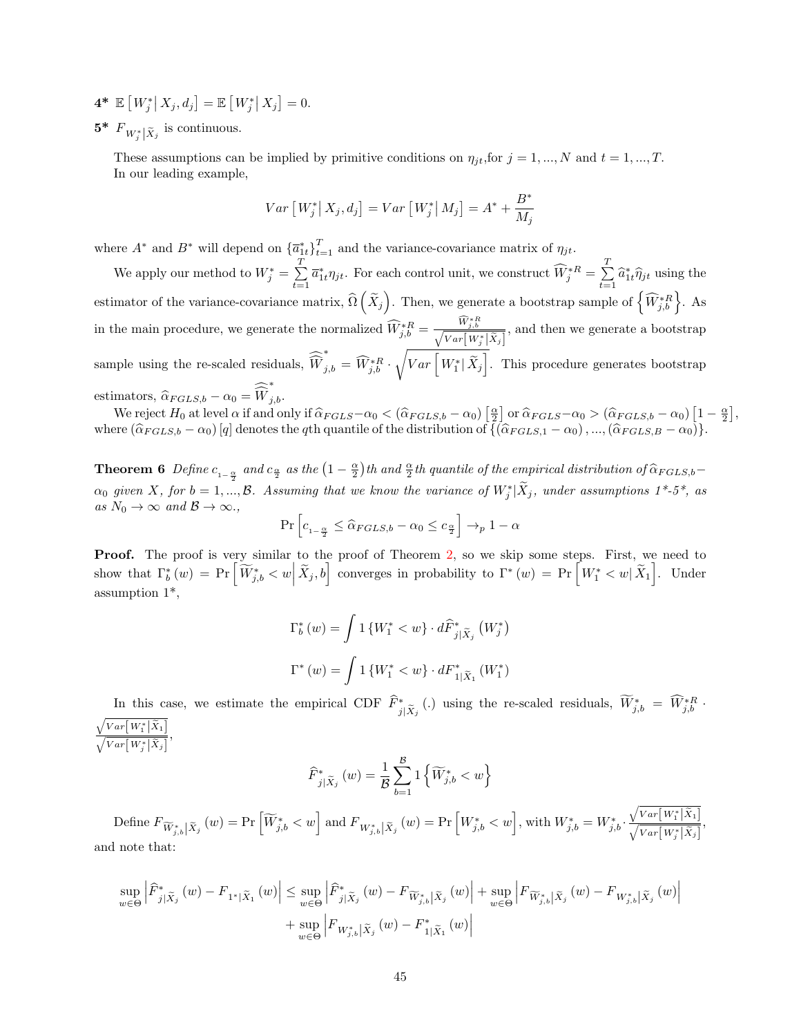$4^* \mathbb{E} [W_j^* | X_j, d_j] = \mathbb{E} [W_j^* | X_j] = 0.$ 

 $5^*$   $F_{W_j^*|\tilde{X}_j}$  is continuous.

These assumptions can be implied by primitive conditions on  $\eta_{jt}$ , for  $j = 1, ..., N$  and  $t = 1, ..., T$ . In our leading example,

$$
Var\left[W_j^*|X_j,d_j\right] = Var\left[W_j^*|M_j\right] = A^* + \frac{B^*}{M_j}
$$

where  $A^*$  and  $B^*$  will depend on  ${\overline{\{a_{1t}^*\}}}_{t=1}^T$  and the variance-covariance matrix of  $\eta_{jt}$ .

We apply our method to  $W_j^* = \sum_{i=1}^{T}$  $\sum_{t=1}^{T} \overline{a}_{1t}^{*} \eta_{jt}$ . For each control unit, we construct  $\widehat{W}_{j}^{*R} = \sum_{t=1}^{T}$  $\sum_{t=1} \hat{a}_{1t}^* \hat{\eta}_{jt}$  using the estimator of the variance-covariance matrix,  $\widehat{\Omega}\left(\widetilde{X}_j\right)$ . Then, we generate a bootstrap sample of  $\left\{\widehat{W}_{j,b}^{*R}\right\}$ . As in the main procedure, we generate the normalized  $\widehat{W}_{j,b}^{*R} = \frac{\widehat{W}_{j,b}^{*R}}{\sqrt{Var[W_j^*|\tilde{X}_j]}},$  and then we generate a bootstrap sample using the re-scaled residuals,  $W$  $\widetilde{W}_{j,b}^* = \widehat{W}_{j,b}^{*R} \cdot \sqrt{Var\left[W_1^* | \widetilde{X}_j\right]}$ . This procedure generates bootstrap estimators,  $\widehat{\alpha}_{FGLS,b} - \alpha_0 = W$ <br>We write  $H_{\text{c}}$  the level  $\widehat{\alpha}_{F}$ ∗  $j,b$ .

We reject  $H_0$  at level  $\alpha$  if and only if  $\hat{\alpha}_{FGLS} - \alpha_0 < (\hat{\alpha}_{FGLS,b} - \alpha_0) \left[\frac{\alpha}{2}\right]$  or  $\hat{\alpha}_{FGLS} - \alpha_0 > (\hat{\alpha}_{FGLS,b} - \alpha_0) \left[1 - \frac{\alpha}{2}\right],$ where  $(\hat{\alpha}_{FGLS,b} - \alpha_0) [q]$  denotes the qth quantile of the distribution of  $\{(\hat{\alpha}_{FGLS,1} - \alpha_0), ..., (\hat{\alpha}_{FGLS,B} - \alpha_0)\}.$ 

**Theorem 6** Define  $c_{1-\frac{\alpha}{2}}$  and  $c_{\frac{\alpha}{2}}$  as the  $\left(1-\frac{\alpha}{2}\right)$ th and  $\frac{\alpha}{2}$ th quantile of the empirical distribution of  $\widehat{\alpha}_{FGLS,b}$ - $\alpha_0$  given X, for  $b = 1, ..., B$ . Assuming that we know the variance of  $W_j^* | \tilde{X}_j$ , under assumptions  $1^*$ -5<sup>\*</sup>, as as  $N_0 \to \infty$  and  $\mathcal{B} \to \infty$ .,

$$
\Pr\left[c_{1-\frac{\alpha}{2}} \leq \widehat{\alpha}_{FGLS,b} - \alpha_0 \leq c_{\frac{\alpha}{2}}\right] \to_p 1 - \alpha
$$

Proof. The proof is very similar to the proof of Theorem [2,](#page-33-0) so we skip some steps. First, we need to show that  $\Gamma_b^*(w) = \Pr\left[\widetilde{W}_{j,b}^* < w \Big| \widetilde{X}_j, b\right]$  converges in probability to  $\Gamma^*(w) = \Pr\left[W_1^* < w \Big| \widetilde{X}_1\right]$ . Under assumption 1\*,

$$
\Gamma_b^*(w) = \int 1 \left\{ W_1^* < w \right\} \cdot d\widehat{F}_{j|\widetilde{X}_j}^* \left( W_j^* \right)
$$
\n
$$
\Gamma^*(w) = \int 1 \left\{ W_1^* < w \right\} \cdot dF_{1|\widetilde{X}_1}^* \left( W_1^* \right)
$$

In this case, we estimate the empirical CDF  $\widehat{F}_{j|\widetilde{X}_j}^*$  (.) using the re-scaled residuals,  $\widetilde{W}_{j,b}^* = \widetilde{W}_{j,b}^{*R}$ .  $\frac{\sqrt{Var\big[\,W_1^*\,\big]\widetilde{X}_1\big]}}{\sqrt{Var\big[\,W_j^*\,\big|\widetilde{X}_j\big]}}\,,$ 

$$
\widehat{F}_{j|\widetilde{X}_j}^*(w) = \frac{1}{\mathcal{B}} \sum_{b=1}^{\mathcal{B}} 1\left\{ \widetilde{W}_{j,b}^* < w \right\}
$$

 $\text{Define } F_{\widetilde{W}_{j,b}^*}(\tilde{x}_j \left( w \right) = \Pr \left[ \widetilde{W}_{j,b}^* < w \right] \text{ and } F_{W_{j,b}^*|\tilde{X}_j} \left( w \right) = \Pr \left[ W_{j,b}^* < w \right], \text{with } W_{j,b}^* = W_{j,b}^* \cdot \frac{\sqrt{Var[W_1^*|\tilde{X}_1]} }{\sqrt{Var[W_j^*|\tilde{X}_j]}},$ and note that:

$$
\sup_{w \in \Theta} \left| \widehat{F}_{j|\widetilde{X}_{j}}^{*}(w) - F_{1^{*}|\widetilde{X}_{1}}(w) \right| \leq \sup_{w \in \Theta} \left| \widehat{F}_{j|\widetilde{X}_{j}}^{*}(w) - F_{\widetilde{W}_{j,b}^{*}|\widetilde{X}_{j}}(w) \right| + \sup_{w \in \Theta} \left| F_{\widetilde{W}_{j,b}^{*}|\widetilde{X}_{j}}(w) - F_{W_{j,b}^{*}|\widetilde{X}_{j}}(w) \right|
$$
  
+ 
$$
\sup_{w \in \Theta} \left| F_{W_{j,b}^{*}|\widetilde{X}_{j}}(w) - F_{1|\widetilde{X}_{1}}^{*}(w) \right|
$$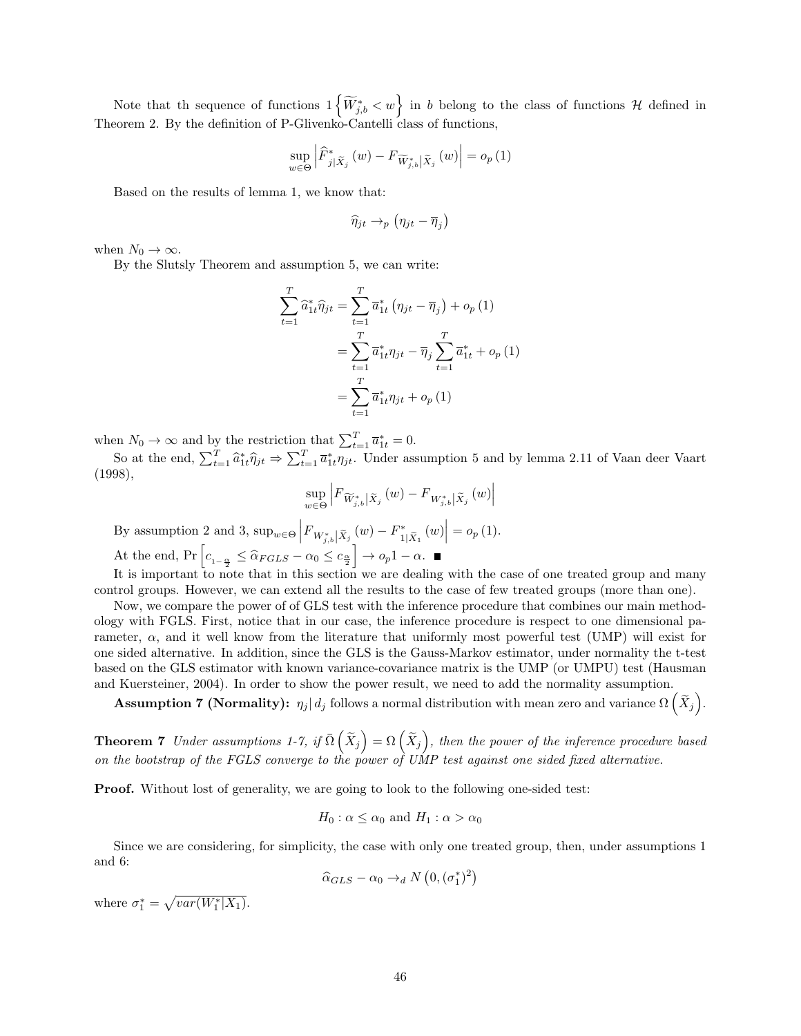Note that the sequence of functions  $1\left\{\widetilde{W}_{j,b}^* < w\right\}$  in b belong to the class of functions H defined in Theorem 2. By the definition of P-Glivenko-Cantelli class of functions,

$$
\sup_{w \in \Theta} \left| \widehat{F}_{j|\widetilde{X}_j}^*(w) - F_{\widetilde{W}_{j,b}^*|\widetilde{X}_j}(w) \right| = o_p(1)
$$

Based on the results of lemma 1, we know that:

$$
\widehat{\eta}_{jt} \rightarrow_p (\eta_{jt} - \overline{\eta}_j)
$$

when  $N_0 \to \infty$ .

By the Slutsly Theorem and assumption 5, we can write:

$$
\sum_{t=1}^{T} \hat{a}_{1t}^{*} \hat{\eta}_{jt} = \sum_{t=1}^{T} \overline{a}_{1t}^{*} (\eta_{jt} - \overline{\eta}_{j}) + o_{p}(1)
$$

$$
= \sum_{t=1}^{T} \overline{a}_{1t}^{*} \eta_{jt} - \overline{\eta}_{j} \sum_{t=1}^{T} \overline{a}_{1t}^{*} + o_{p}(1)
$$

$$
= \sum_{t=1}^{T} \overline{a}_{1t}^{*} \eta_{jt} + o_{p}(1)
$$

when  $N_0 \to \infty$  and by the restriction that  $\sum_{t=1}^T \overline{a}_{1t}^* = 0$ .

So at the end,  $\sum_{t=1}^T \hat{a}_{1t}^* \hat{\eta}_{jt} \Rightarrow \sum_{t=1}^T \bar{a}_{1t}^* \eta_{jt}$ . Under assumption 5 and by lemma 2.11 of Vaan deer Vaart (1998),

$$
\sup_{w \in \Theta} \left| F_{\widetilde{W}_{j,b}^*|\widetilde{X}_j}(w) - F_{W_{j,b}^*|\widetilde{X}_j}(w) \right|
$$

By assumption 2 and 3,  $\sup_{w \in \Theta} \left| F_{W^*_{j,b}| \tilde{X}_j}(w) - F^*_{1} \right|$  $\left| \sum_{1 \mid \widetilde{X}_1}^* (w) \right| = o_p(1).$ 

At the end,  $Pr\left[c_{1-\frac{\alpha}{2}} \leq \hat{\alpha}_{FGLS} - \alpha_0 \leq c_{\frac{\alpha}{2}}\right] \to o_p 1 - \alpha.$ 

It is important to note that in this section we are dealing with the case of one treated group and many control groups. However, we can extend all the results to the case of few treated groups (more than one).

Now, we compare the power of of GLS test with the inference procedure that combines our main methodology with FGLS. First, notice that in our case, the inference procedure is respect to one dimensional parameter,  $\alpha$ , and it well know from the literature that uniformly most powerful test (UMP) will exist for one sided alternative. In addition, since the GLS is the Gauss-Markov estimator, under normality the t-test based on the GLS estimator with known variance-covariance matrix is the UMP (or UMPU) test (Hausman and Kuersteiner, 2004). In order to show the power result, we need to add the normality assumption.

 ${\bf Assumption~7} \text{ (Normally): } \eta_j | \text{ } d_j \text{ follows a normal distribution with mean zero and variance } \Omega \left( \widetilde{X}_j \right)$ .

**Theorem 7** Under assumptions 1-7, if  $\bar{\Omega}(\tilde{X}_j) = \Omega(\tilde{X}_j)$ , then the power of the inference procedure based on the bootstrap of the FGLS converge to the power of UMP test against one sided fixed alternative.

Proof. Without lost of generality, we are going to look to the following one-sided test:

$$
H_0
$$
:  $\alpha \leq \alpha_0$  and  $H_1$ :  $\alpha > \alpha_0$ 

Since we are considering, for simplicity, the case with only one treated group, then, under assumptions 1 and 6:

$$
\widehat{\alpha}_{GLS} - \alpha_0 \rightarrow_d N\left(0, (\sigma_1^*)^2\right)
$$

where  $\sigma_1^* = \sqrt{var(W_1^*|X_1)}$ .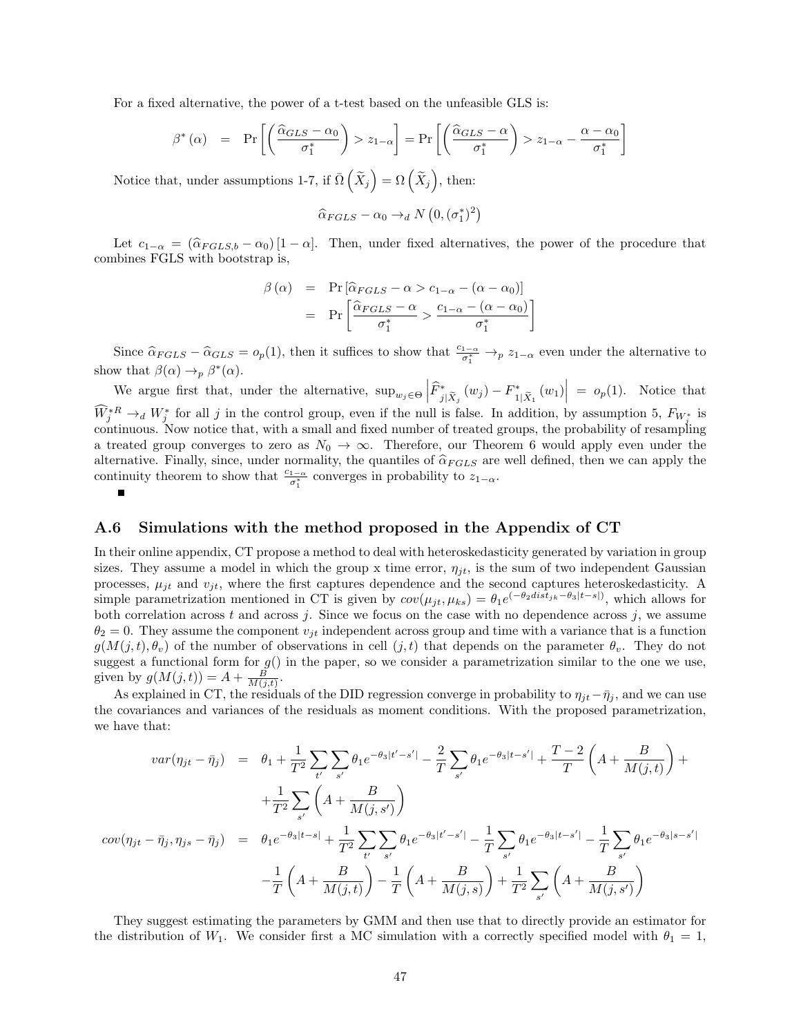For a fixed alternative, the power of a t-test based on the unfeasible GLS is:

$$
\beta^*(\alpha) = \Pr\left[\left(\frac{\widehat{\alpha}_{GLS} - \alpha_0}{\sigma_1^*}\right) > z_{1-\alpha}\right] = \Pr\left[\left(\frac{\widehat{\alpha}_{GLS} - \alpha}{\sigma_1^*}\right) > z_{1-\alpha} - \frac{\alpha - \alpha_0}{\sigma_1^*}\right]
$$

Notice that, under assumptions 1-7, if  $\overline{\Omega} \left( \widetilde{X}_j \right) = \Omega \left( \widetilde{X}_j \right)$ , then:

$$
\widehat{\alpha}_{FGLS} - \alpha_0 \rightarrow_d N\left(0, (\sigma_1^*)^2\right)
$$

Let  $c_{1-\alpha} = (\hat{\alpha}_{FGLS,b} - \alpha_0) [1-\alpha]$ . Then, under fixed alternatives, the power of the procedure that combines FGLS with bootstrap is,

$$
\beta(\alpha) = \Pr[\hat{\alpha}_{FGLS} - \alpha > c_{1-\alpha} - (\alpha - \alpha_0)]
$$

$$
= \Pr\left[\frac{\hat{\alpha}_{FGLS} - \alpha}{\sigma_1^*} > \frac{c_{1-\alpha} - (\alpha - \alpha_0)}{\sigma_1^*}\right]
$$

Since  $\hat{\alpha}_{FGLS} - \hat{\alpha}_{GLS} = o_p(1)$ , then it suffices to show that  $\frac{c_{1-\alpha}}{\sigma_1^*} \to_p z_{1-\alpha}$  even under the alternative to show that  $\beta(\alpha) \to_p \beta^*(\alpha)$ .

We argue first that, under the alternative,  $\sup_{w_j \in \Theta} \left| \widehat{F}_{j|\widetilde{X}_j}^*(w_j) - F_1^* \right|$  $\begin{vmatrix} * \\ 1|\tilde{X}_1 \end{vmatrix}$  =  $o_p(1)$ . Notice that  $\widehat{W}_j^{*R} \to_d W_j^*$  for all j in the control group, even if the null is false. In addition, by assumption 5,  $F_{W_j^*}$  is continuous. Now notice that, with a small and fixed number of treated groups, the probability of resampling a treated group converges to zero as  $N_0 \rightarrow \infty$ . Therefore, our Theorem 6 would apply even under the alternative. Finally, since, under normality, the quantiles of  $\hat{\alpha}_{FGLS}$  are well defined, then we can apply the continuity theorem to show that  $\frac{c_{1-\alpha}}{\sigma_1^*}$  converges in probability to  $z_{1-\alpha}$ .

#### <span id="page-46-0"></span>A.6 Simulations with the method proposed in the Appendix of CT

In their online appendix, CT propose a method to deal with heteroskedasticity generated by variation in group sizes. They assume a model in which the group x time error,  $\eta_{jt}$ , is the sum of two independent Gaussian processes,  $\mu_{jt}$  and  $v_{jt}$ , where the first captures dependence and the second captures heteroskedasticity. A simple parametrization mentioned in CT is given by  $cov(\mu_{jt}, \mu_{ks}) = \theta_1 e^{(-\theta_2 dist_{jk} - \theta_3 |t-s|)}$ , which allows for both correlation across  $t$  and across  $j$ . Since we focus on the case with no dependence across  $j$ , we assume  $\theta_2 = 0$ . They assume the component  $v_{it}$  independent across group and time with a variance that is a function  $g(M(j, t), \theta_v)$  of the number of observations in cell  $(j, t)$  that depends on the parameter  $\theta_v$ . They do not suggest a functional form for  $g()$  in the paper, so we consider a parametrization similar to the one we use, given by  $g(M(j,t)) = A + \frac{B}{M(j,t)}$ .

As explained in CT, the residuals of the DID regression converge in probability to  $\eta_{jt}-\bar{\eta}_j$ , and we can use the covariances and variances of the residuals as moment conditions. With the proposed parametrization, we have that:

$$
var(\eta_{jt} - \bar{\eta}_j) = \theta_1 + \frac{1}{T^2} \sum_{t'} \sum_{s'} \theta_1 e^{-\theta_3 |t'-s'|} - \frac{2}{T} \sum_{s'} \theta_1 e^{-\theta_3 |t-s'|} + \frac{T-2}{T} \left( A + \frac{B}{M(j,t)} \right) +
$$
  

$$
+ \frac{1}{T^2} \sum_{s'} \left( A + \frac{B}{M(j,s')} \right)
$$
  

$$
cov(\eta_{jt} - \bar{\eta}_j, \eta_{js} - \bar{\eta}_j) = \theta_1 e^{-\theta_3 |t-s|} + \frac{1}{T^2} \sum_{t'} \sum_{s'} \theta_1 e^{-\theta_3 |t'-s'|} - \frac{1}{T} \sum_{s'} \theta_1 e^{-\theta_3 |t-s'|} - \frac{1}{T} \sum_{s'} \theta_1 e^{-\theta_3 |s-s'|}
$$
  

$$
- \frac{1}{T} \left( A + \frac{B}{M(j,t)} \right) - \frac{1}{T} \left( A + \frac{B}{M(j,s)} \right) + \frac{1}{T^2} \sum_{s'} \left( A + \frac{B}{M(j,s')} \right)
$$

They suggest estimating the parameters by GMM and then use that to directly provide an estimator for the distribution of  $W_1$ . We consider first a MC simulation with a correctly specified model with  $\theta_1 = 1$ ,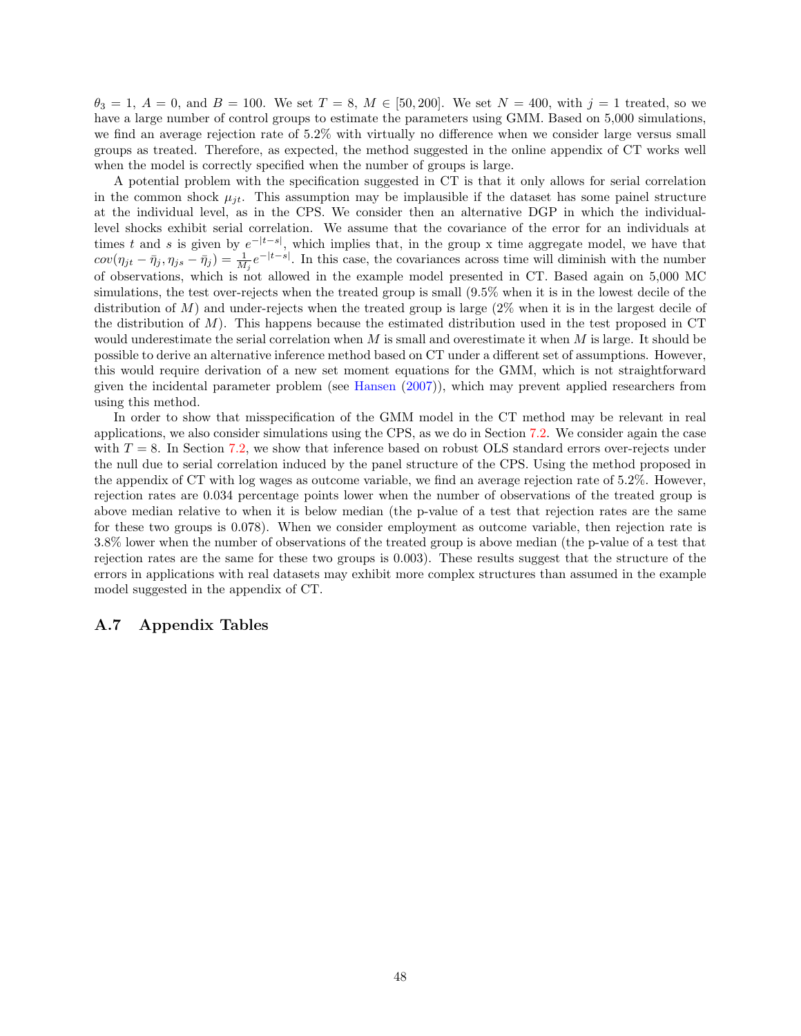$\theta_3 = 1, A = 0$ , and  $B = 100$ . We set  $T = 8, M \in [50, 200]$ . We set  $N = 400$ , with  $j = 1$  treated, so we have a large number of control groups to estimate the parameters using GMM. Based on 5,000 simulations, we find an average rejection rate of 5.2% with virtually no difference when we consider large versus small groups as treated. Therefore, as expected, the method suggested in the online appendix of CT works well when the model is correctly specified when the number of groups is large.

A potential problem with the specification suggested in CT is that it only allows for serial correlation in the common shock  $\mu_{jt}$ . This assumption may be implausible if the dataset has some painel structure at the individual level, as in the CPS. We consider then an alternative DGP in which the individuallevel shocks exhibit serial correlation. We assume that the covariance of the error for an individuals at times t and s is given by  $e^{-|t-s|}$ , which implies that, in the group x time aggregate model, we have that  $cov(\eta_{jt} - \bar{\eta}_j, \eta_{js} - \bar{\eta}_j) = \frac{1}{M_j}e^{-|t-s|}$ . In this case, the covariances across time will diminish with the number of observations, which is not allowed in the example model presented in CT. Based again on 5,000 MC simulations, the test over-rejects when the treated group is small (9.5% when it is in the lowest decile of the distribution of  $M$ ) and under-rejects when the treated group is large  $(2\%$  when it is in the largest decile of the distribution of  $M$ ). This happens because the estimated distribution used in the test proposed in CT would underestimate the serial correlation when  $M$  is small and overestimate it when  $M$  is large. It should be possible to derive an alternative inference method based on CT under a different set of assumptions. However, this would require derivation of a new set moment equations for the GMM, which is not straightforward given the incidental parameter problem (see [Hansen](#page-25-5) [\(2007\)](#page-25-5)), which may prevent applied researchers from using this method.

In order to show that misspecification of the GMM model in the CT method may be relevant in real applications, we also consider simulations using the CPS, as we do in Section [7.2.](#page-22-0) We consider again the case with  $T = 8$ . In Section [7.2,](#page-22-0) we show that inference based on robust OLS standard errors over-rejects under the null due to serial correlation induced by the panel structure of the CPS. Using the method proposed in the appendix of CT with log wages as outcome variable, we find an average rejection rate of 5.2%. However, rejection rates are 0.034 percentage points lower when the number of observations of the treated group is above median relative to when it is below median (the p-value of a test that rejection rates are the same for these two groups is 0.078). When we consider employment as outcome variable, then rejection rate is 3.8% lower when the number of observations of the treated group is above median (the p-value of a test that rejection rates are the same for these two groups is 0.003). These results suggest that the structure of the errors in applications with real datasets may exhibit more complex structures than assumed in the example model suggested in the appendix of CT.

#### A.7 Appendix Tables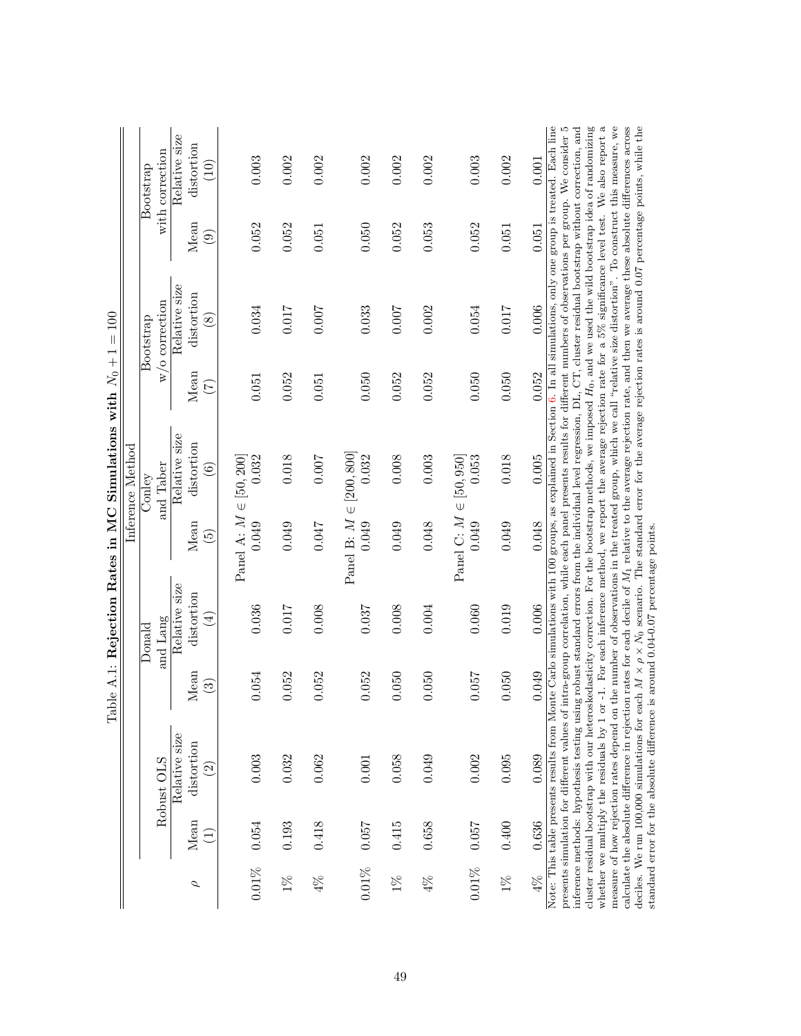| Note: This table presents results from Monte Carlo simulations with 100 groups, as explained in Section 6. In all simulations, only one group is treated. Bach line<br>Relative size<br>distortion<br>with correction<br>0.003<br>0.002<br>0.002<br>0.002<br>0.002<br>0.002<br>0.002<br>0.003<br>0.001<br>$\widetilde{\Xi}$<br>Mean<br>0.052<br>0.052<br>0.050<br>0.052<br>0.053<br>0.052<br>0.051<br>0.051<br>0.051<br>$\widehat{\odot}$<br>Relative size<br>distortion<br>w/o correction<br>0.006<br>0.017<br>0.034<br>710.0<br>0.007<br>0.033<br>0.007<br>0.002<br>0.054<br>$\circledast$<br>Mean<br>0.052<br>0.050<br>0.052<br>0.050<br>0.052<br>0.052<br>0.050<br>$0.051\,$<br>0.051<br>E<br>Relative size<br>distortion<br>Panel B: $M \in [200, 800]$<br>0.018<br>0.005<br>Panel A: $M \in [50, 200]$<br>0.032<br>0.018<br>0.007<br>0.032<br>0.008<br>0.003<br>Panel C: $M \in [50, 950]$<br>0.053<br>and Taber<br>$\widehat{\mathbf{e}}$<br>0.049<br>0.049<br>0.048<br>Mean<br>0.049<br>0.049<br>0.049<br>0.048<br>0.049<br>0.047<br>$\widetilde{\mathbf{e}}$<br>Relative size<br>distortion<br>0.006<br>0.036<br>0.008<br>0.037<br>0.008<br>0.060<br>0.019<br>0.017<br>0.004<br>$(\pm)$<br>and Lang<br>Mean<br>0.049<br>0.052<br>0.050<br>0.050<br>0.050<br>0.057<br>0.054<br>0.052<br>0.052<br>$\widehat{\mathbb{S}}$<br>Relative size<br>distortion<br>0.003<br>0.089<br>0.032<br>0.058<br>0.002<br>0.095<br>0.049<br>0.062<br>0.001<br>Robust OLS<br>$\widehat{\mathfrak{D}}$<br>Mean<br>0.054<br>0.418<br>0.057<br>0.415<br>0.658<br>0.057<br>0.193 |       | $\rm{Donald}$ | Inference Method<br>$_{\mathrm{Coulety}}$ | Bootstrap | Bootstrap |
|------------------------------------------------------------------------------------------------------------------------------------------------------------------------------------------------------------------------------------------------------------------------------------------------------------------------------------------------------------------------------------------------------------------------------------------------------------------------------------------------------------------------------------------------------------------------------------------------------------------------------------------------------------------------------------------------------------------------------------------------------------------------------------------------------------------------------------------------------------------------------------------------------------------------------------------------------------------------------------------------------------------------------------------------------------------------------------------------------------------------------------------------------------------------------------------------------------------------------------------------------------------------------------------------------------------------------------------------------------------------------------------------------------------------------------------------------------------------------------------------------------------------------------------------------------------|-------|---------------|-------------------------------------------|-----------|-----------|
|                                                                                                                                                                                                                                                                                                                                                                                                                                                                                                                                                                                                                                                                                                                                                                                                                                                                                                                                                                                                                                                                                                                                                                                                                                                                                                                                                                                                                                                                                                                                                                  |       |               |                                           |           |           |
|                                                                                                                                                                                                                                                                                                                                                                                                                                                                                                                                                                                                                                                                                                                                                                                                                                                                                                                                                                                                                                                                                                                                                                                                                                                                                                                                                                                                                                                                                                                                                                  |       |               |                                           |           |           |
|                                                                                                                                                                                                                                                                                                                                                                                                                                                                                                                                                                                                                                                                                                                                                                                                                                                                                                                                                                                                                                                                                                                                                                                                                                                                                                                                                                                                                                                                                                                                                                  |       |               |                                           |           |           |
|                                                                                                                                                                                                                                                                                                                                                                                                                                                                                                                                                                                                                                                                                                                                                                                                                                                                                                                                                                                                                                                                                                                                                                                                                                                                                                                                                                                                                                                                                                                                                                  |       |               |                                           |           |           |
|                                                                                                                                                                                                                                                                                                                                                                                                                                                                                                                                                                                                                                                                                                                                                                                                                                                                                                                                                                                                                                                                                                                                                                                                                                                                                                                                                                                                                                                                                                                                                                  |       |               |                                           |           |           |
|                                                                                                                                                                                                                                                                                                                                                                                                                                                                                                                                                                                                                                                                                                                                                                                                                                                                                                                                                                                                                                                                                                                                                                                                                                                                                                                                                                                                                                                                                                                                                                  |       |               |                                           |           |           |
|                                                                                                                                                                                                                                                                                                                                                                                                                                                                                                                                                                                                                                                                                                                                                                                                                                                                                                                                                                                                                                                                                                                                                                                                                                                                                                                                                                                                                                                                                                                                                                  |       |               |                                           |           |           |
|                                                                                                                                                                                                                                                                                                                                                                                                                                                                                                                                                                                                                                                                                                                                                                                                                                                                                                                                                                                                                                                                                                                                                                                                                                                                                                                                                                                                                                                                                                                                                                  |       |               |                                           |           |           |
|                                                                                                                                                                                                                                                                                                                                                                                                                                                                                                                                                                                                                                                                                                                                                                                                                                                                                                                                                                                                                                                                                                                                                                                                                                                                                                                                                                                                                                                                                                                                                                  |       |               |                                           |           |           |
|                                                                                                                                                                                                                                                                                                                                                                                                                                                                                                                                                                                                                                                                                                                                                                                                                                                                                                                                                                                                                                                                                                                                                                                                                                                                                                                                                                                                                                                                                                                                                                  |       |               |                                           |           |           |
|                                                                                                                                                                                                                                                                                                                                                                                                                                                                                                                                                                                                                                                                                                                                                                                                                                                                                                                                                                                                                                                                                                                                                                                                                                                                                                                                                                                                                                                                                                                                                                  | 0.400 |               |                                           |           |           |
|                                                                                                                                                                                                                                                                                                                                                                                                                                                                                                                                                                                                                                                                                                                                                                                                                                                                                                                                                                                                                                                                                                                                                                                                                                                                                                                                                                                                                                                                                                                                                                  | 0.636 |               |                                           |           |           |

| $\frac{1}{2}$              |  |
|----------------------------|--|
| $\overline{\phantom{a}}$   |  |
|                            |  |
|                            |  |
|                            |  |
|                            |  |
| ations with                |  |
|                            |  |
|                            |  |
|                            |  |
|                            |  |
| Rejection Rates in MC Simu |  |
|                            |  |
|                            |  |
|                            |  |
| $\frac{1}{2}$              |  |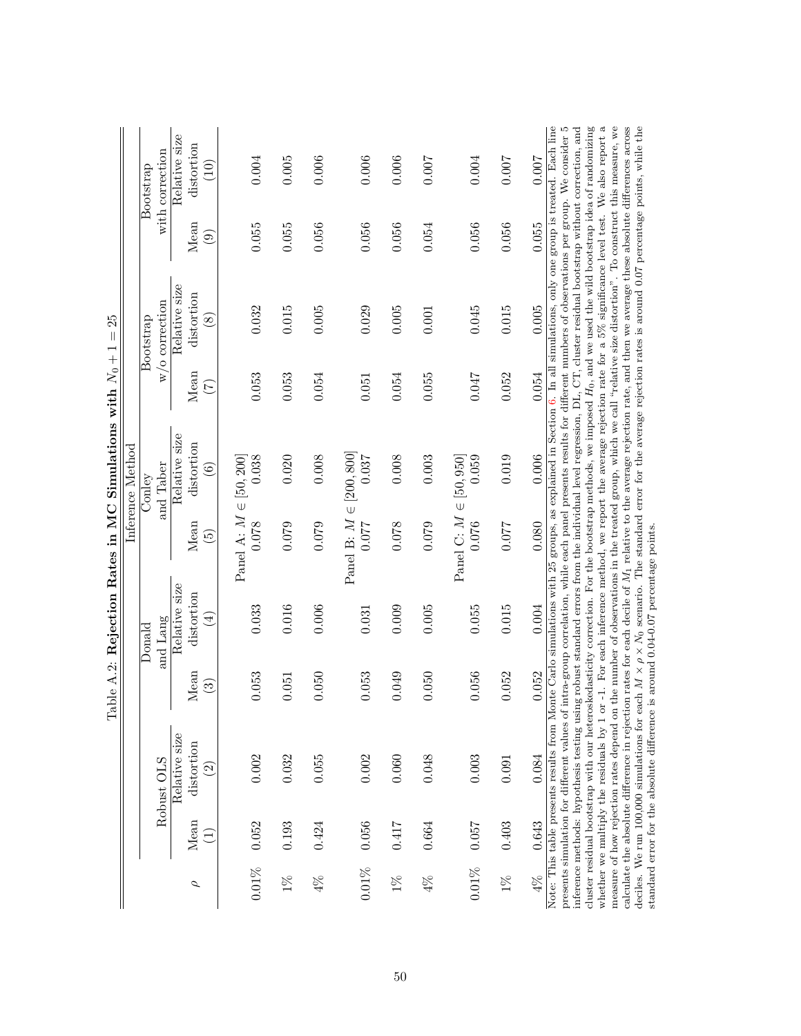| Relative size<br>distortion<br>with correction<br>0.006<br>0.007<br>0.004<br>0.005<br>0.006<br>0.006<br>0.007<br>0.004<br>0.007<br>$\widetilde{\Xi}$<br>0.055<br>Mean<br>0.055<br>0.056<br>0.056<br>0.055<br>0.056<br>0.056<br>0.056<br>0.054<br>$\widehat{\odot}$<br>Relative size<br>distortion<br>w/o correction<br>0.005<br>0.032<br>0.029<br>0.045<br>0.015<br>0.015<br>0.005<br>0.005<br>0.001<br>$\circledast$<br>Mean<br>0.054<br>0.055<br>0.052<br>0.053<br>0.053<br>0.047<br>0.054<br>0.054<br>0.051<br>E<br>Relative size<br>distortion<br>Panel B: $M \in [200, 800]$<br>0.019<br>0.006<br>Panel A: $M \in [50, 200]$<br>0.038<br>0.020<br>0.008<br>0.037<br>0.008<br>0.003<br>Panel C: $M \in [50, 950]$<br>0.059<br>and Taber<br>$\widehat{\mathbf{e}}$<br>0.078<br>Mean<br>0.077<br>0.076<br>0.080<br>0.079<br>0.079<br>0.078<br>0.079<br>0.077<br>$\widetilde{\mathbf{e}}$<br>Relative size<br>distortion<br>0.004<br>0.033<br>0.016<br>0.006<br>0.055<br>0.015<br>0.009<br>0.005<br>0.031<br>$(\pm)$<br>and Lang<br>Mean<br>0.052<br>0.052<br>0.053<br>0.053<br>0.049<br>0.050<br>0.056<br>0.050<br>0.051<br>$\widehat{\mathbb{S}}$<br>Note: This table presents results from M<br>Relative size<br>distortion<br>0.002<br>0.032<br>0.002<br>0.003<br>0.084<br>0.055<br>0.060<br>0.048<br>0.091<br>Robust OLS<br>$\widehat{\mathfrak{D}}$<br>Mean<br>0.052<br>0.403<br>0.643<br>0.056<br>0.417<br>0.057<br>0.193<br>0.664<br>0.424 | $\rm{Donald}$ |                                            | $_{\mathrm{Coulety}}$                  | Bootstrap | Bootstrap                                                                                                                                                                                                                                                                                                                                                                                                                                                                                                                                                                                                                                                                                                                                                                                                                                                                                                                                                                                                                                                                                                                                                                                                                                                                |
|-----------------------------------------------------------------------------------------------------------------------------------------------------------------------------------------------------------------------------------------------------------------------------------------------------------------------------------------------------------------------------------------------------------------------------------------------------------------------------------------------------------------------------------------------------------------------------------------------------------------------------------------------------------------------------------------------------------------------------------------------------------------------------------------------------------------------------------------------------------------------------------------------------------------------------------------------------------------------------------------------------------------------------------------------------------------------------------------------------------------------------------------------------------------------------------------------------------------------------------------------------------------------------------------------------------------------------------------------------------------------------------------------------------------------------------------------------|---------------|--------------------------------------------|----------------------------------------|-----------|--------------------------------------------------------------------------------------------------------------------------------------------------------------------------------------------------------------------------------------------------------------------------------------------------------------------------------------------------------------------------------------------------------------------------------------------------------------------------------------------------------------------------------------------------------------------------------------------------------------------------------------------------------------------------------------------------------------------------------------------------------------------------------------------------------------------------------------------------------------------------------------------------------------------------------------------------------------------------------------------------------------------------------------------------------------------------------------------------------------------------------------------------------------------------------------------------------------------------------------------------------------------------|
|                                                                                                                                                                                                                                                                                                                                                                                                                                                                                                                                                                                                                                                                                                                                                                                                                                                                                                                                                                                                                                                                                                                                                                                                                                                                                                                                                                                                                                                     |               |                                            |                                        |           |                                                                                                                                                                                                                                                                                                                                                                                                                                                                                                                                                                                                                                                                                                                                                                                                                                                                                                                                                                                                                                                                                                                                                                                                                                                                          |
|                                                                                                                                                                                                                                                                                                                                                                                                                                                                                                                                                                                                                                                                                                                                                                                                                                                                                                                                                                                                                                                                                                                                                                                                                                                                                                                                                                                                                                                     |               |                                            |                                        |           |                                                                                                                                                                                                                                                                                                                                                                                                                                                                                                                                                                                                                                                                                                                                                                                                                                                                                                                                                                                                                                                                                                                                                                                                                                                                          |
|                                                                                                                                                                                                                                                                                                                                                                                                                                                                                                                                                                                                                                                                                                                                                                                                                                                                                                                                                                                                                                                                                                                                                                                                                                                                                                                                                                                                                                                     |               |                                            |                                        |           |                                                                                                                                                                                                                                                                                                                                                                                                                                                                                                                                                                                                                                                                                                                                                                                                                                                                                                                                                                                                                                                                                                                                                                                                                                                                          |
|                                                                                                                                                                                                                                                                                                                                                                                                                                                                                                                                                                                                                                                                                                                                                                                                                                                                                                                                                                                                                                                                                                                                                                                                                                                                                                                                                                                                                                                     |               |                                            |                                        |           |                                                                                                                                                                                                                                                                                                                                                                                                                                                                                                                                                                                                                                                                                                                                                                                                                                                                                                                                                                                                                                                                                                                                                                                                                                                                          |
|                                                                                                                                                                                                                                                                                                                                                                                                                                                                                                                                                                                                                                                                                                                                                                                                                                                                                                                                                                                                                                                                                                                                                                                                                                                                                                                                                                                                                                                     |               |                                            |                                        |           |                                                                                                                                                                                                                                                                                                                                                                                                                                                                                                                                                                                                                                                                                                                                                                                                                                                                                                                                                                                                                                                                                                                                                                                                                                                                          |
|                                                                                                                                                                                                                                                                                                                                                                                                                                                                                                                                                                                                                                                                                                                                                                                                                                                                                                                                                                                                                                                                                                                                                                                                                                                                                                                                                                                                                                                     |               |                                            |                                        |           |                                                                                                                                                                                                                                                                                                                                                                                                                                                                                                                                                                                                                                                                                                                                                                                                                                                                                                                                                                                                                                                                                                                                                                                                                                                                          |
|                                                                                                                                                                                                                                                                                                                                                                                                                                                                                                                                                                                                                                                                                                                                                                                                                                                                                                                                                                                                                                                                                                                                                                                                                                                                                                                                                                                                                                                     |               |                                            |                                        |           |                                                                                                                                                                                                                                                                                                                                                                                                                                                                                                                                                                                                                                                                                                                                                                                                                                                                                                                                                                                                                                                                                                                                                                                                                                                                          |
|                                                                                                                                                                                                                                                                                                                                                                                                                                                                                                                                                                                                                                                                                                                                                                                                                                                                                                                                                                                                                                                                                                                                                                                                                                                                                                                                                                                                                                                     |               |                                            |                                        |           |                                                                                                                                                                                                                                                                                                                                                                                                                                                                                                                                                                                                                                                                                                                                                                                                                                                                                                                                                                                                                                                                                                                                                                                                                                                                          |
|                                                                                                                                                                                                                                                                                                                                                                                                                                                                                                                                                                                                                                                                                                                                                                                                                                                                                                                                                                                                                                                                                                                                                                                                                                                                                                                                                                                                                                                     |               |                                            |                                        |           |                                                                                                                                                                                                                                                                                                                                                                                                                                                                                                                                                                                                                                                                                                                                                                                                                                                                                                                                                                                                                                                                                                                                                                                                                                                                          |
|                                                                                                                                                                                                                                                                                                                                                                                                                                                                                                                                                                                                                                                                                                                                                                                                                                                                                                                                                                                                                                                                                                                                                                                                                                                                                                                                                                                                                                                     |               |                                            |                                        |           |                                                                                                                                                                                                                                                                                                                                                                                                                                                                                                                                                                                                                                                                                                                                                                                                                                                                                                                                                                                                                                                                                                                                                                                                                                                                          |
|                                                                                                                                                                                                                                                                                                                                                                                                                                                                                                                                                                                                                                                                                                                                                                                                                                                                                                                                                                                                                                                                                                                                                                                                                                                                                                                                                                                                                                                     |               |                                            |                                        |           |                                                                                                                                                                                                                                                                                                                                                                                                                                                                                                                                                                                                                                                                                                                                                                                                                                                                                                                                                                                                                                                                                                                                                                                                                                                                          |
| presents simulation for different values of<br>measure of how rejection rates depend on                                                                                                                                                                                                                                                                                                                                                                                                                                                                                                                                                                                                                                                                                                                                                                                                                                                                                                                                                                                                                                                                                                                                                                                                                                                                                                                                                             |               | standard error for the absolute difference | is around 0.04-0.07 percentage points. |           | cluster residual bootstrap with our heteroskedasticity correction. For the bootstrap methods, we imposed $H_0$ , and we used the wild bootstrap idea of randomizing<br>whether we multiply the residuals by 1 or -1. For each inference method, we report the average rejection rate for a 5% significance level test. We also report a<br>the number of observations in the treated group, which we call "relative size distortion". To construct this measure, we<br>calculate the absolute difference in rejection rates for each decile of $M_1$ relative to the average rejection rate, and then we average these absolute differences across<br>deciles. We run 100,000 simulations for each $M \times \rho \times N_0$ scenario. The standard error for the average rejection rates is around 0.07 percentage points, while the<br>onte Carlo simulations with 25 groups, as explained in Section 6. In all simulations, only one group is treated. Each line<br>inference methods: hypothesis testing using robust standard errors from the individual level regression, DL, CT, cluster residual bootstrap without correction, and<br>intra-group correlation, while each panel presents results for different numbers of observations per group. We consider 5 |

| $52 = 1$                             |  |
|--------------------------------------|--|
|                                      |  |
|                                      |  |
| $\sim$ with $\sim$                   |  |
| lation<br>$\overline{1}$<br>יים כי י |  |
|                                      |  |
|                                      |  |
|                                      |  |
| Rejection Rates in N <sub>1</sub>    |  |
|                                      |  |
| $\sim$ $\sim$ $\sim$<br>۱            |  |